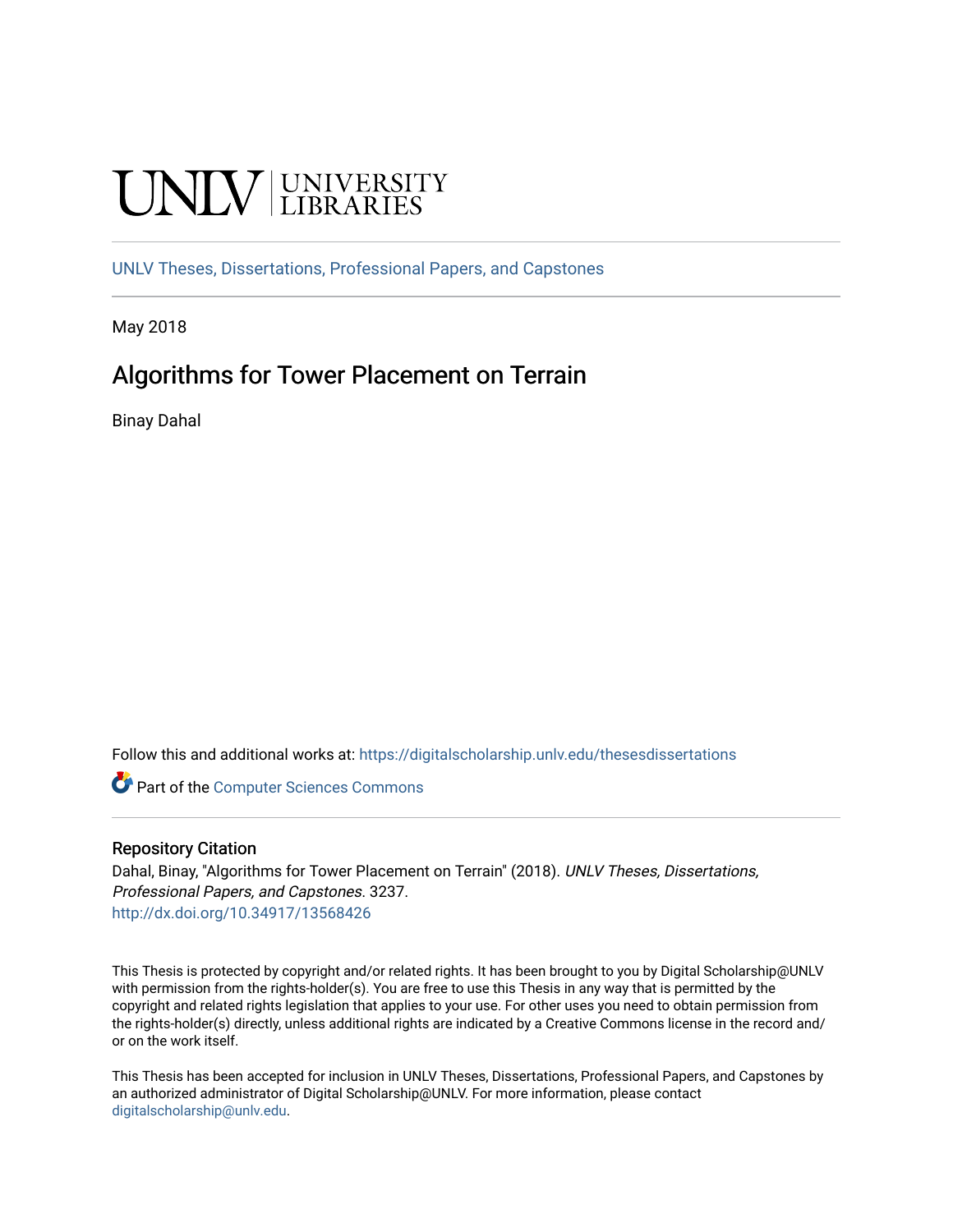# **UNIVERSITY**

[UNLV Theses, Dissertations, Professional Papers, and Capstones](https://digitalscholarship.unlv.edu/thesesdissertations)

May 2018

### Algorithms for Tower Placement on Terrain

Binay Dahal

Follow this and additional works at: [https://digitalscholarship.unlv.edu/thesesdissertations](https://digitalscholarship.unlv.edu/thesesdissertations?utm_source=digitalscholarship.unlv.edu%2Fthesesdissertations%2F3237&utm_medium=PDF&utm_campaign=PDFCoverPages)

**Part of the [Computer Sciences Commons](http://network.bepress.com/hgg/discipline/142?utm_source=digitalscholarship.unlv.edu%2Fthesesdissertations%2F3237&utm_medium=PDF&utm_campaign=PDFCoverPages)** 

### Repository Citation

Dahal, Binay, "Algorithms for Tower Placement on Terrain" (2018). UNLV Theses, Dissertations, Professional Papers, and Capstones. 3237. <http://dx.doi.org/10.34917/13568426>

This Thesis is protected by copyright and/or related rights. It has been brought to you by Digital Scholarship@UNLV with permission from the rights-holder(s). You are free to use this Thesis in any way that is permitted by the copyright and related rights legislation that applies to your use. For other uses you need to obtain permission from the rights-holder(s) directly, unless additional rights are indicated by a Creative Commons license in the record and/ or on the work itself.

This Thesis has been accepted for inclusion in UNLV Theses, Dissertations, Professional Papers, and Capstones by an authorized administrator of Digital Scholarship@UNLV. For more information, please contact [digitalscholarship@unlv.edu](mailto:digitalscholarship@unlv.edu).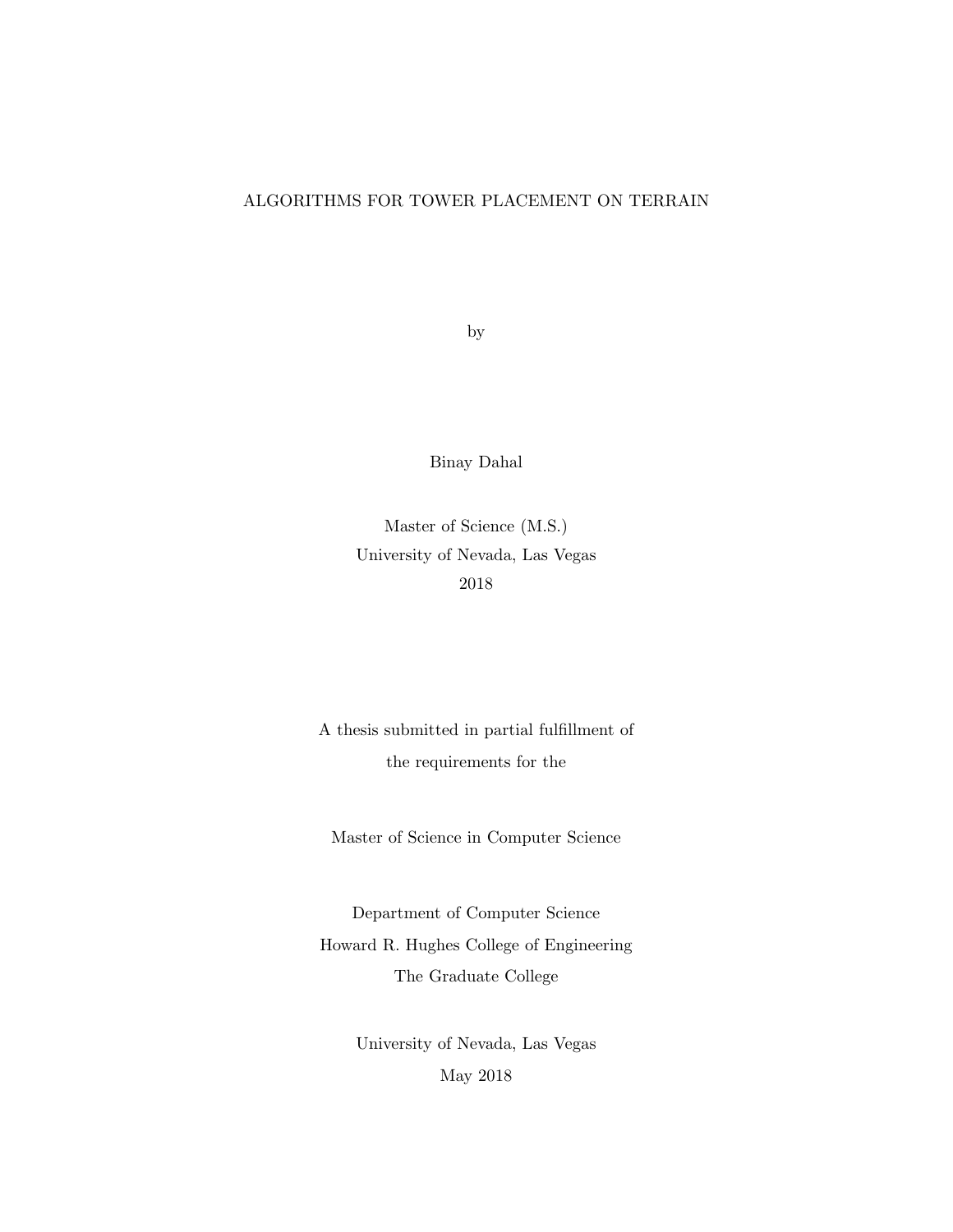### ALGORITHMS FOR TOWER PLACEMENT ON TERRAIN

by

Binay Dahal

Master of Science (M.S.) University of Nevada, Las Vegas 2018

A thesis submitted in partial fulfillment of the requirements for the

Master of Science in Computer Science

Department of Computer Science Howard R. Hughes College of Engineering The Graduate College

> University of Nevada, Las Vegas May 2018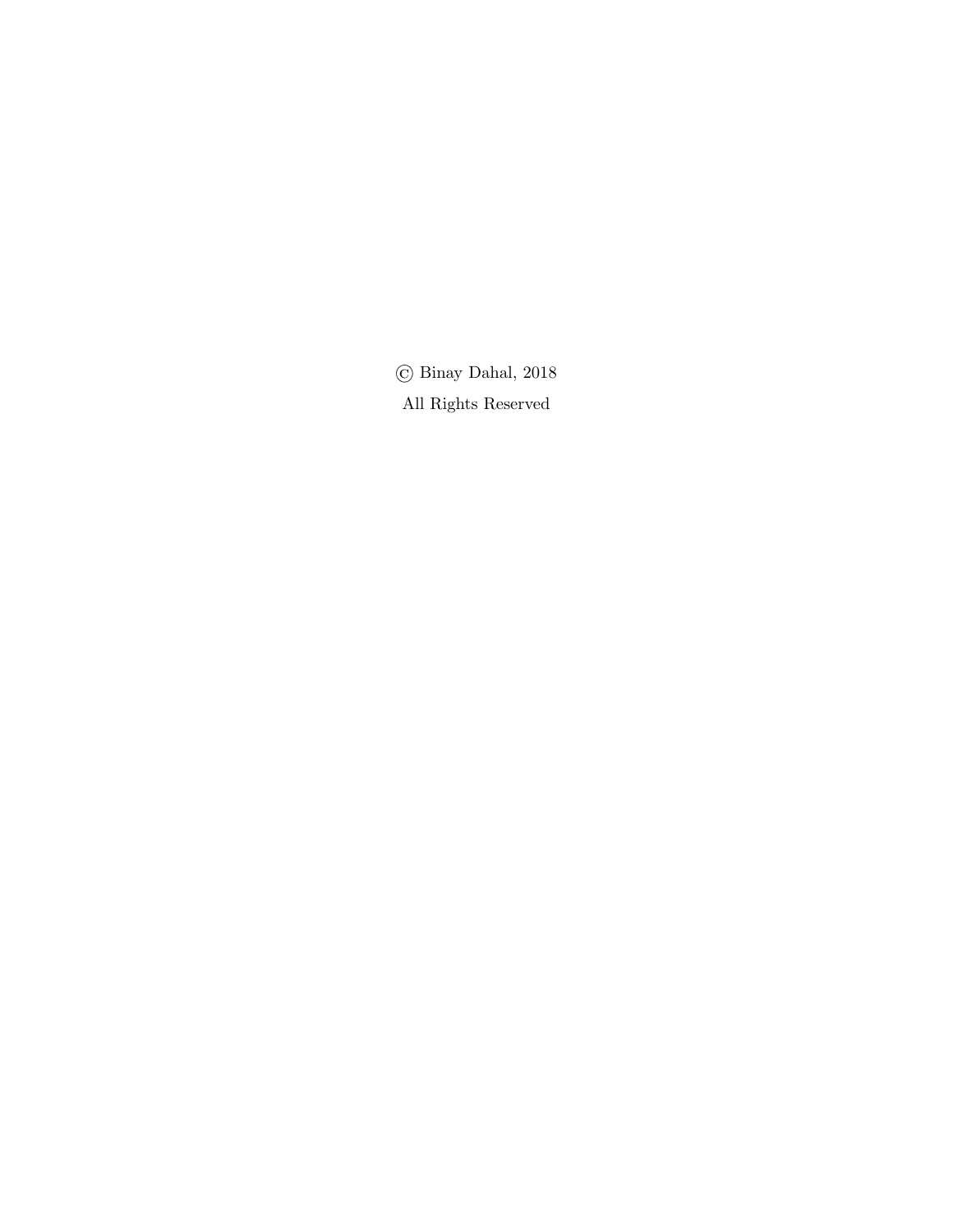© Binay Dahal, 2018 All Rights Reserved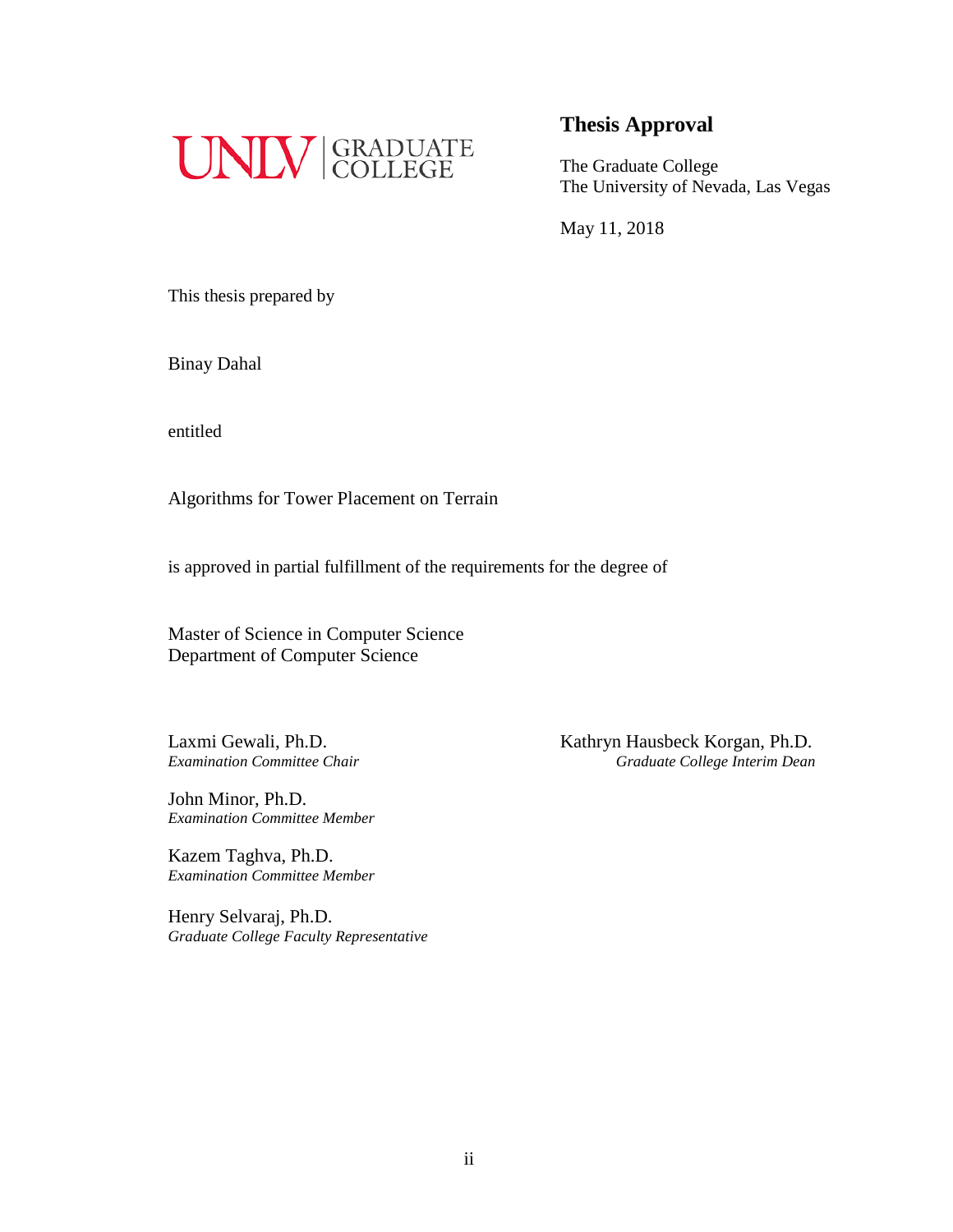

### **Thesis Approval**

The Graduate College The University of Nevada, Las Vegas

May 11, 2018

This thesis prepared by

Binay Dahal

entitled

Algorithms for Tower Placement on Terrain

is approved in partial fulfillment of the requirements for the degree of

Master of Science in Computer Science Department of Computer Science

John Minor, Ph.D. *Examination Committee Member*

Kazem Taghva, Ph.D. *Examination Committee Member*

Henry Selvaraj, Ph.D. *Graduate College Faculty Representative*

Laxmi Gewali, Ph.D.<br>
Examination Committee Chair<br>
Graduate College Interim Dean *Examination Committee Chair Graduate College Interim Dean*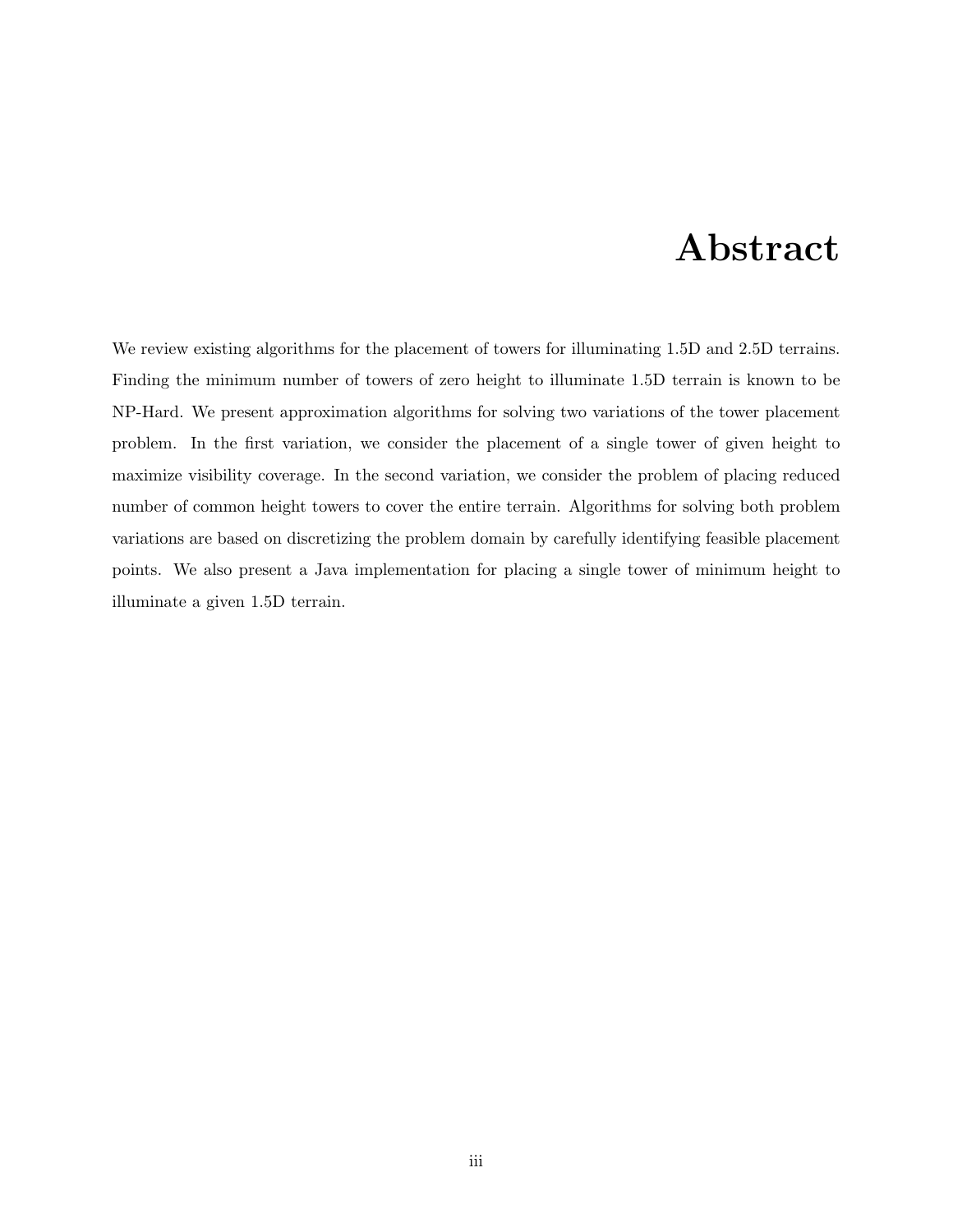### Abstract

We review existing algorithms for the placement of towers for illuminating 1.5D and 2.5D terrains. Finding the minimum number of towers of zero height to illuminate 1.5D terrain is known to be NP-Hard. We present approximation algorithms for solving two variations of the tower placement problem. In the first variation, we consider the placement of a single tower of given height to maximize visibility coverage. In the second variation, we consider the problem of placing reduced number of common height towers to cover the entire terrain. Algorithms for solving both problem variations are based on discretizing the problem domain by carefully identifying feasible placement points. We also present a Java implementation for placing a single tower of minimum height to illuminate a given 1.5D terrain.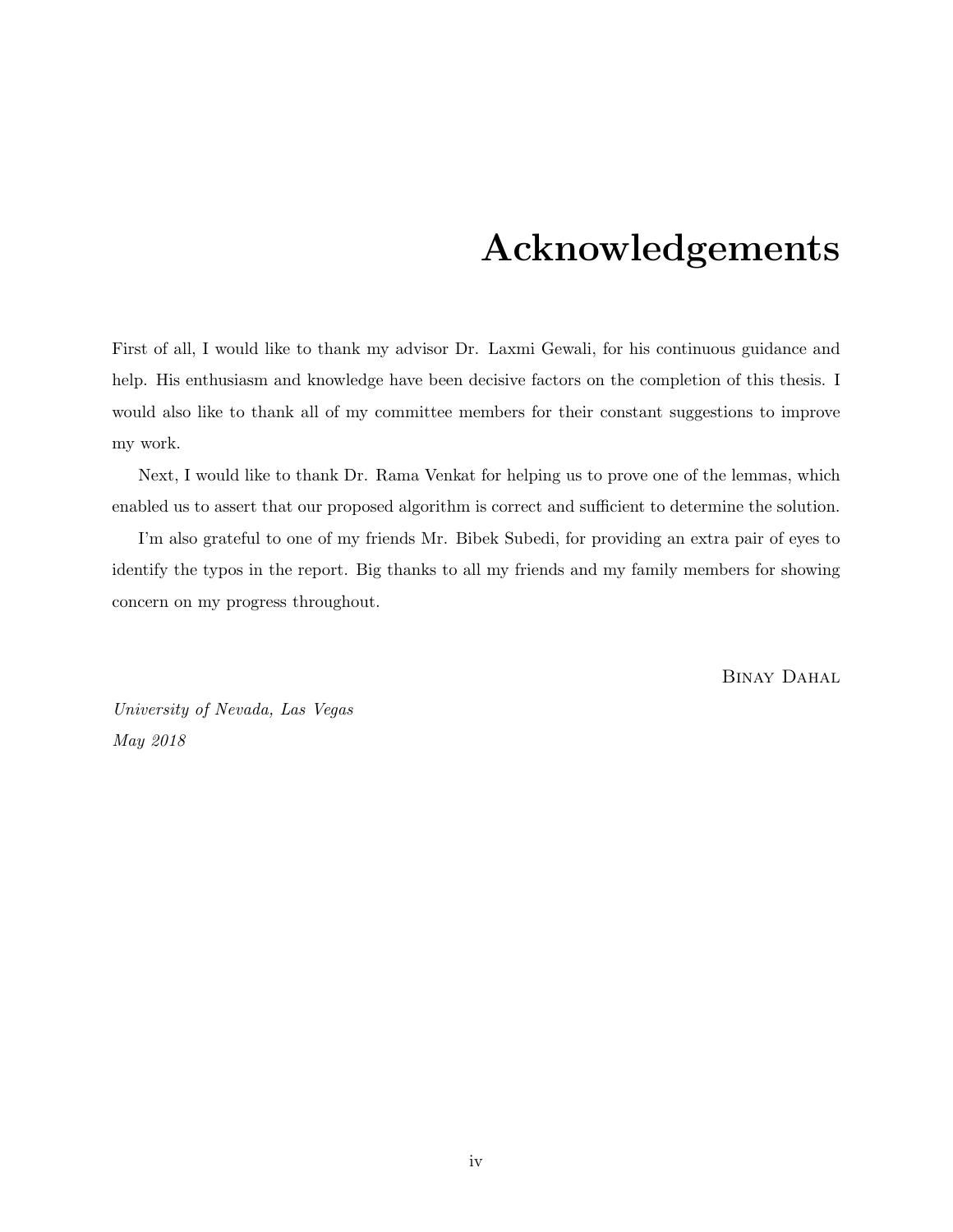### Acknowledgements

First of all, I would like to thank my advisor Dr. Laxmi Gewali, for his continuous guidance and help. His enthusiasm and knowledge have been decisive factors on the completion of this thesis. I would also like to thank all of my committee members for their constant suggestions to improve my work.

Next, I would like to thank Dr. Rama Venkat for helping us to prove one of the lemmas, which enabled us to assert that our proposed algorithm is correct and sufficient to determine the solution.

I'm also grateful to one of my friends Mr. Bibek Subedi, for providing an extra pair of eyes to identify the typos in the report. Big thanks to all my friends and my family members for showing concern on my progress throughout.

BINAY DAHAL

University of Nevada, Las Vegas May 2018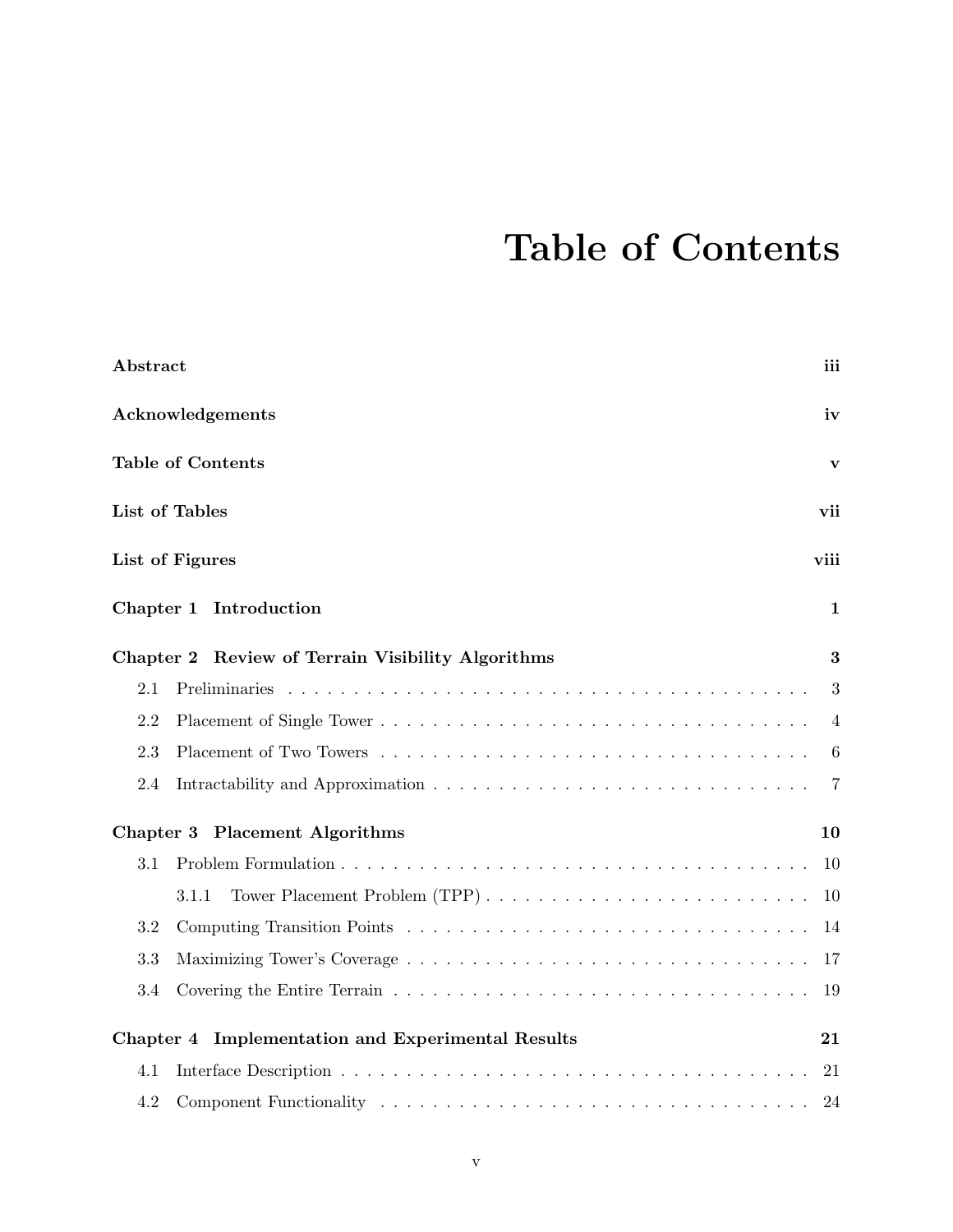## Table of Contents

|     | Abstract<br>iii                                   |                |  |  |  |  |
|-----|---------------------------------------------------|----------------|--|--|--|--|
|     | Acknowledgements<br>iv                            |                |  |  |  |  |
|     | <b>Table of Contents</b>                          | $\mathbf{v}$   |  |  |  |  |
|     | List of Tables                                    | vii            |  |  |  |  |
|     | List of Figures                                   | viii           |  |  |  |  |
|     | Chapter 1 Introduction                            | 1              |  |  |  |  |
|     | Chapter 2 Review of Terrain Visibility Algorithms | 3              |  |  |  |  |
| 2.1 |                                                   | 3              |  |  |  |  |
| 2.2 |                                                   | $\overline{4}$ |  |  |  |  |
| 2.3 |                                                   | 6              |  |  |  |  |
| 2.4 |                                                   | $\overline{7}$ |  |  |  |  |
|     | Chapter 3 Placement Algorithms                    | 10             |  |  |  |  |
| 3.1 |                                                   | 10             |  |  |  |  |
|     | Tower Placement Problem (TPP)<br>3.1.1            | 10             |  |  |  |  |
| 3.2 |                                                   | 14             |  |  |  |  |
| 3.3 |                                                   | 17             |  |  |  |  |
| 3.4 |                                                   | 19             |  |  |  |  |
|     | Chapter 4 Implementation and Experimental Results | 21             |  |  |  |  |
| 4.1 |                                                   | 21             |  |  |  |  |
| 4.2 |                                                   | 24             |  |  |  |  |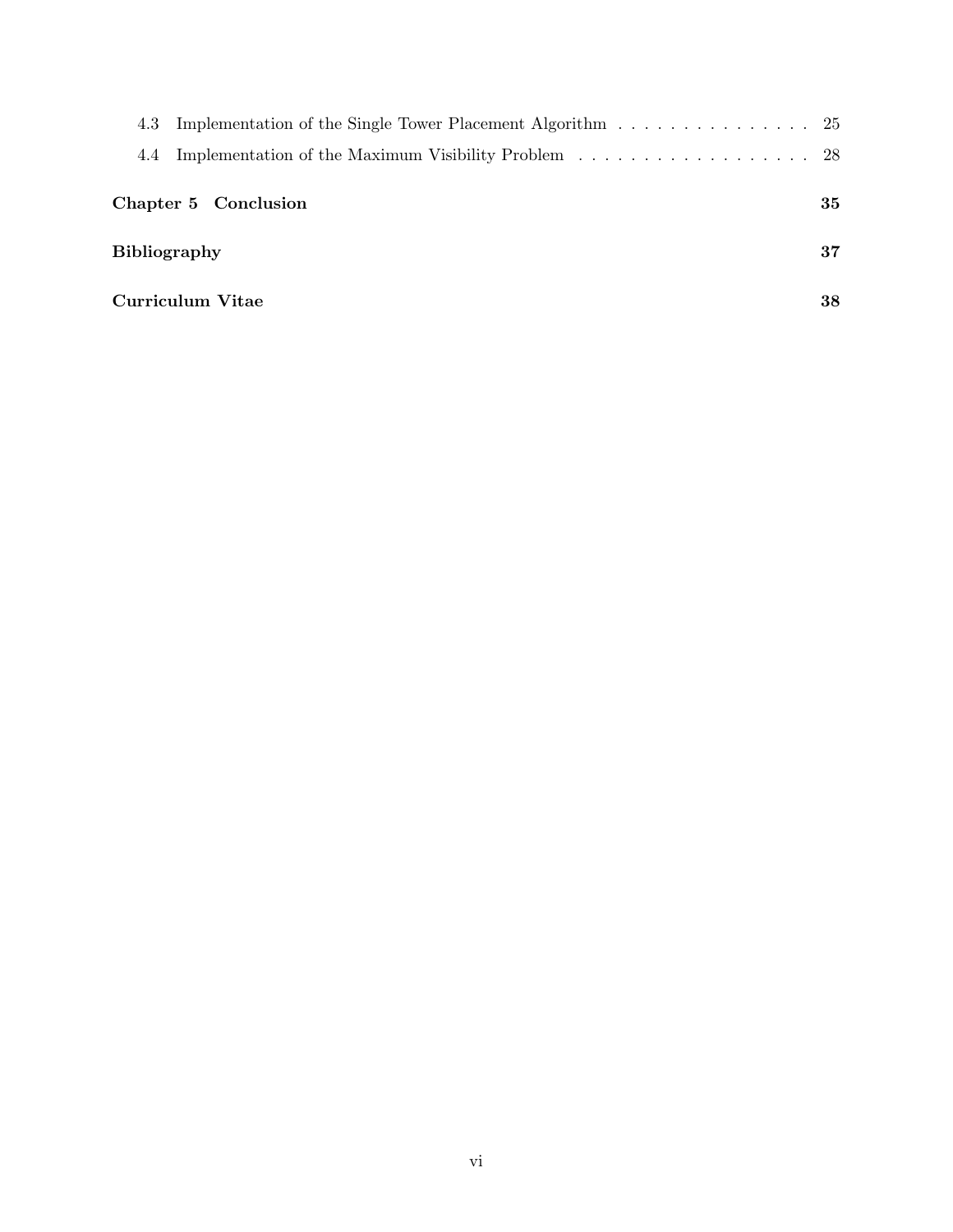| Implementation of the Single Tower Placement Algorithm 25<br>4.3 |    |
|------------------------------------------------------------------|----|
| 4.4                                                              |    |
| Chapter 5 Conclusion                                             | 35 |
| <b>Bibliography</b>                                              | 37 |
| Curriculum Vitae                                                 | 38 |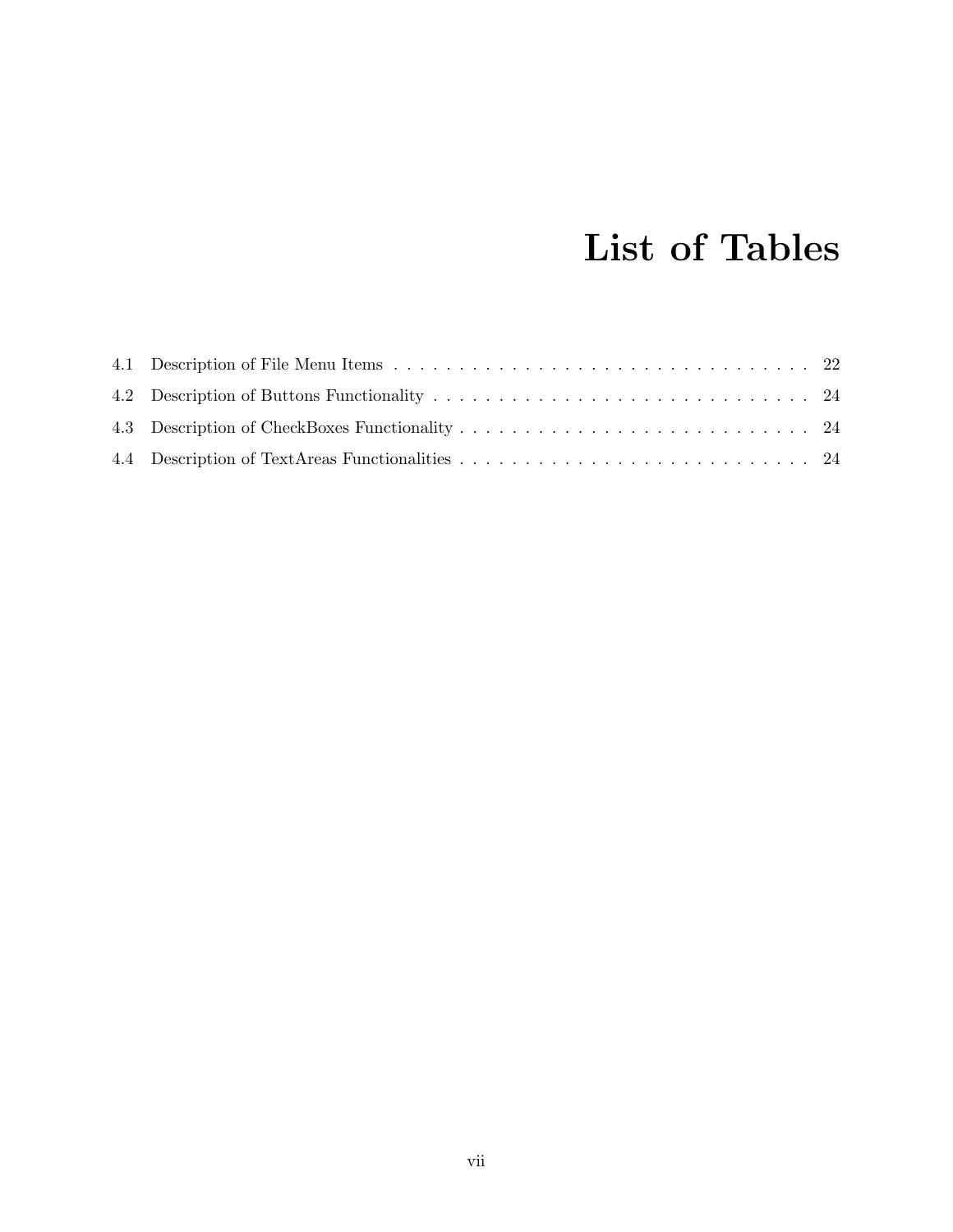## List of Tables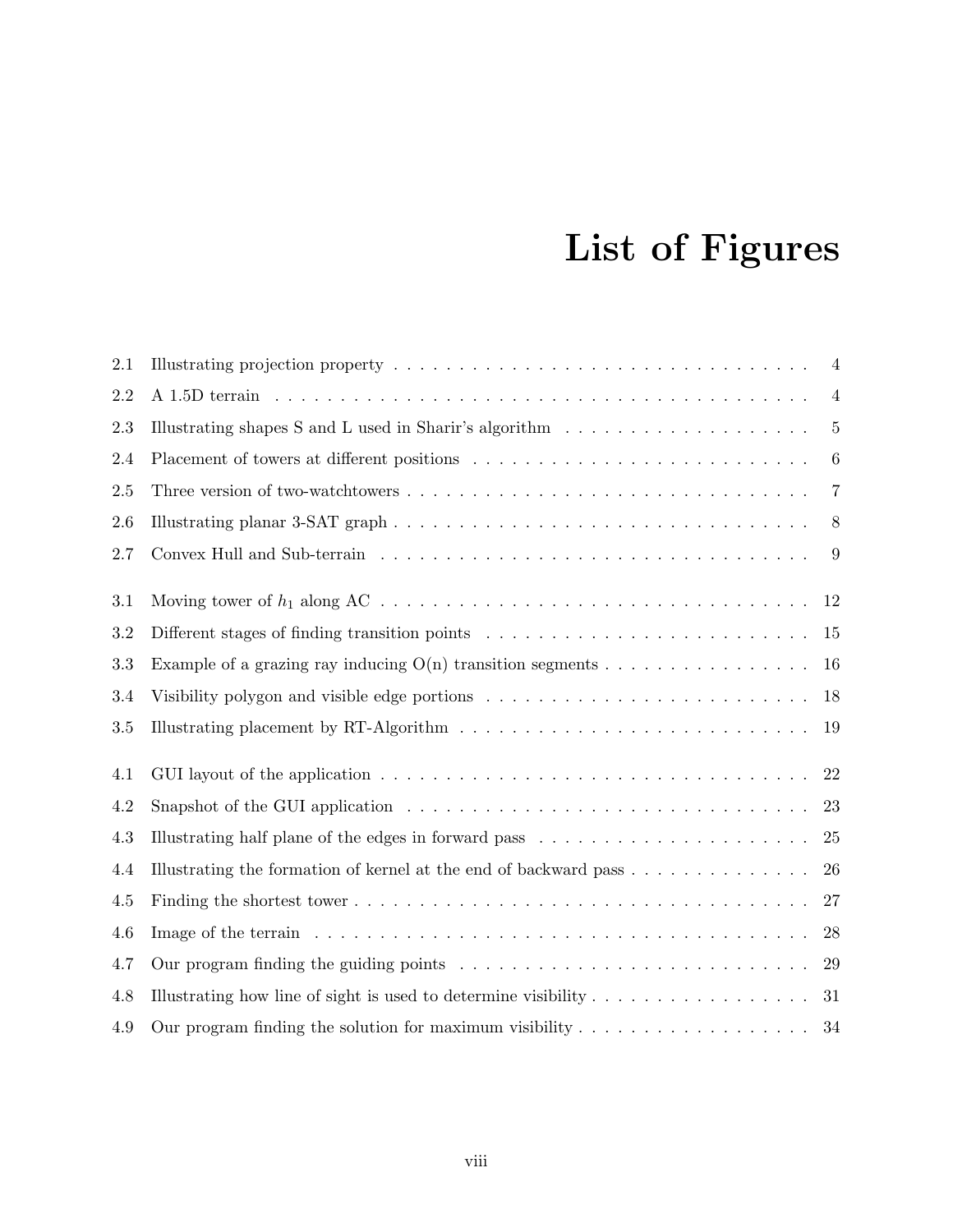## List of Figures

| 2.1     |                                                                                                            | $\overline{4}$  |
|---------|------------------------------------------------------------------------------------------------------------|-----------------|
| 2.2     |                                                                                                            | $\overline{4}$  |
| 2.3     | Illustrating shapes S and L used in Sharir's algorithm $\ldots \ldots \ldots \ldots \ldots \ldots$         | $\overline{5}$  |
| 2.4     |                                                                                                            | $6\phantom{.}6$ |
| 2.5     |                                                                                                            | $\overline{7}$  |
| 2.6     |                                                                                                            | 8               |
| 2.7     |                                                                                                            | 9               |
| 3.1     |                                                                                                            | 12              |
| 3.2     |                                                                                                            | 15              |
| 3.3     | Example of a grazing ray inducing $O(n)$ transition segments                                               | 16              |
| 3.4     | Visibility polygon and visible edge portions $\dots \dots \dots \dots \dots \dots \dots \dots \dots \dots$ | 18              |
| 3.5     | Illustrating placement by RT-Algorithm $\ldots \ldots \ldots \ldots \ldots \ldots \ldots \ldots \ldots$    | 19              |
| 4.1     |                                                                                                            | 22              |
| 4.2     |                                                                                                            | 23              |
| 4.3     | Illustrating half plane of the edges in forward pass $\ldots \ldots \ldots \ldots \ldots \ldots \ldots$    | 25              |
| 4.4     | Illustrating the formation of kernel at the end of backward pass                                           | 26              |
| $4.5\,$ |                                                                                                            | 27              |
| 4.6     | Image of the terrain $\ldots \ldots \ldots \ldots \ldots \ldots \ldots \ldots \ldots \ldots \ldots \ldots$ | 28              |
| 4.7     | Our program finding the guiding points $\ldots \ldots \ldots \ldots \ldots \ldots \ldots \ldots$           | 29              |
| 4.8     | Illustrating how line of sight is used to determine visibility $\dots \dots \dots \dots \dots \dots$       | 31              |
| 4.9     | Our program finding the solution for maximum visibility $\dots \dots \dots \dots \dots \dots$              | 34              |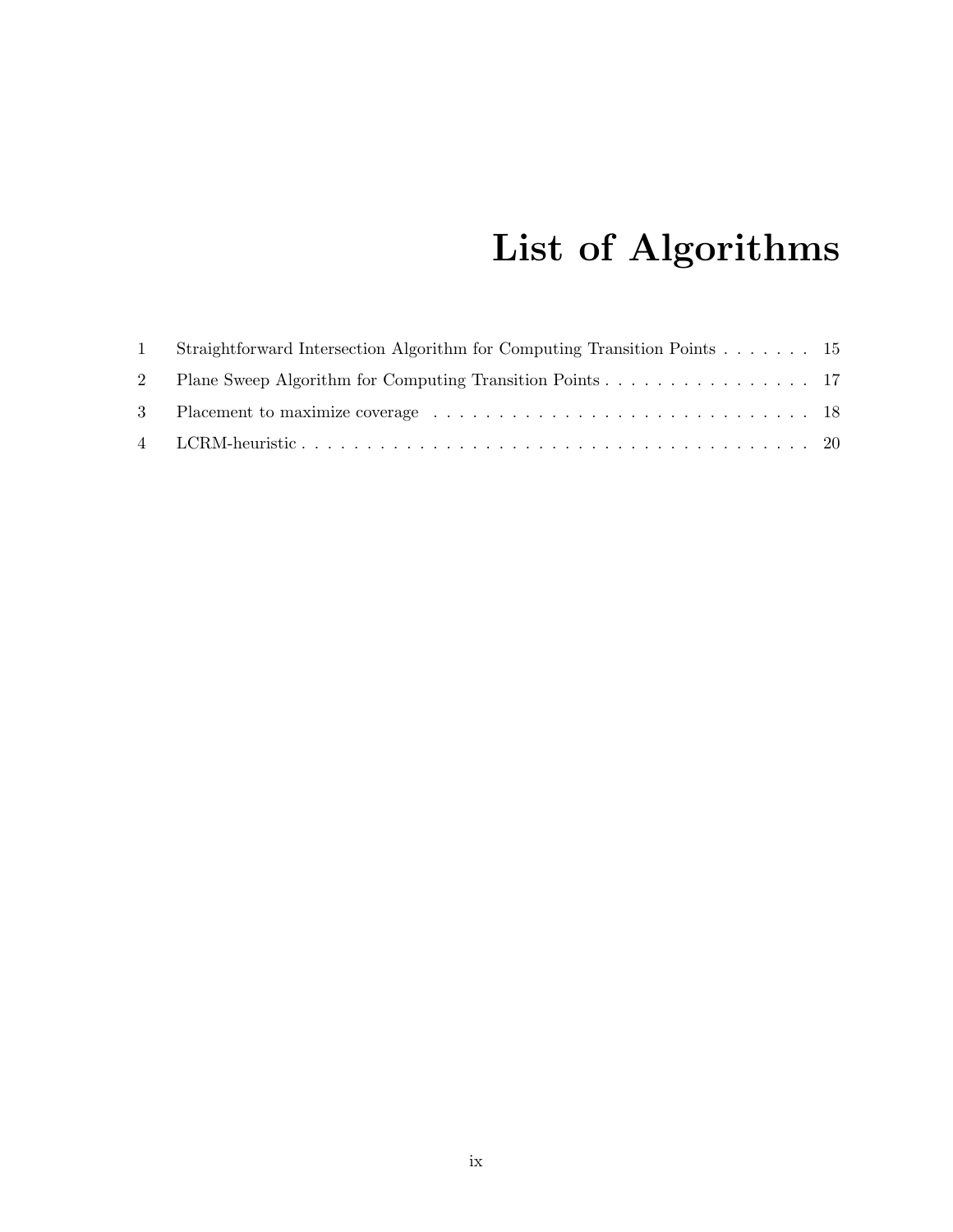# List of Algorithms

| 1 Straightforward Intersection Algorithm for Computing Transition Points 15 |  |
|-----------------------------------------------------------------------------|--|
| 2 Plane Sweep Algorithm for Computing Transition Points 17                  |  |
|                                                                             |  |
|                                                                             |  |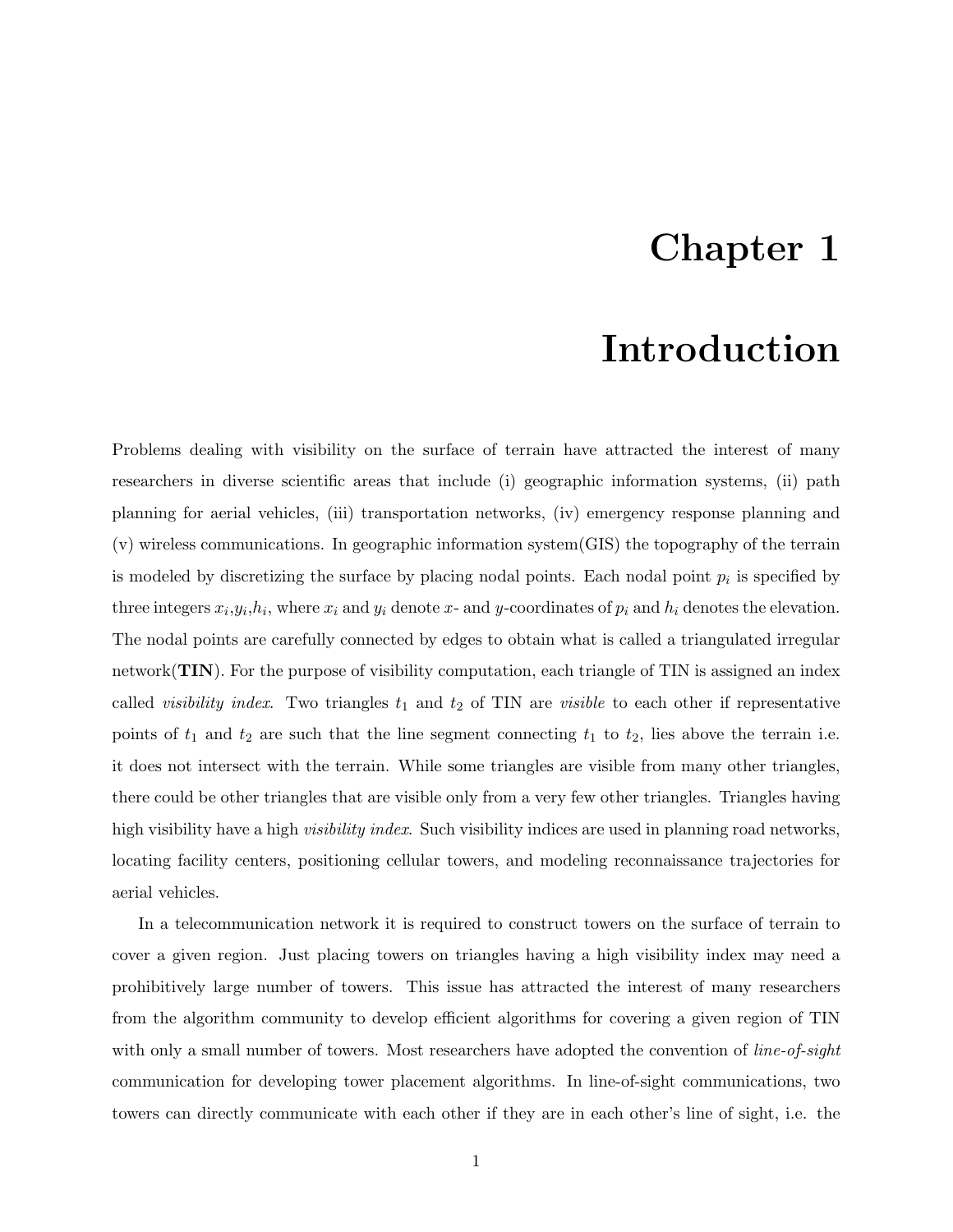### Chapter 1

### Introduction

Problems dealing with visibility on the surface of terrain have attracted the interest of many researchers in diverse scientific areas that include (i) geographic information systems, (ii) path planning for aerial vehicles, (iii) transportation networks, (iv) emergency response planning and (v) wireless communications. In geographic information system(GIS) the topography of the terrain is modeled by discretizing the surface by placing nodal points. Each nodal point  $p_i$  is specified by three integers  $x_i, y_i, h_i$ , where  $x_i$  and  $y_i$  denote x- and y-coordinates of  $p_i$  and  $h_i$  denotes the elevation. The nodal points are carefully connected by edges to obtain what is called a triangulated irregular network(TIN). For the purpose of visibility computation, each triangle of TIN is assigned an index called *visibility index*. Two triangles  $t_1$  and  $t_2$  of TIN are *visible* to each other if representative points of  $t_1$  and  $t_2$  are such that the line segment connecting  $t_1$  to  $t_2$ , lies above the terrain i.e. it does not intersect with the terrain. While some triangles are visible from many other triangles, there could be other triangles that are visible only from a very few other triangles. Triangles having high visibility have a high *visibility index*. Such visibility indices are used in planning road networks, locating facility centers, positioning cellular towers, and modeling reconnaissance trajectories for aerial vehicles.

In a telecommunication network it is required to construct towers on the surface of terrain to cover a given region. Just placing towers on triangles having a high visibility index may need a prohibitively large number of towers. This issue has attracted the interest of many researchers from the algorithm community to develop efficient algorithms for covering a given region of TIN with only a small number of towers. Most researchers have adopted the convention of *line-of-sight* communication for developing tower placement algorithms. In line-of-sight communications, two towers can directly communicate with each other if they are in each other's line of sight, i.e. the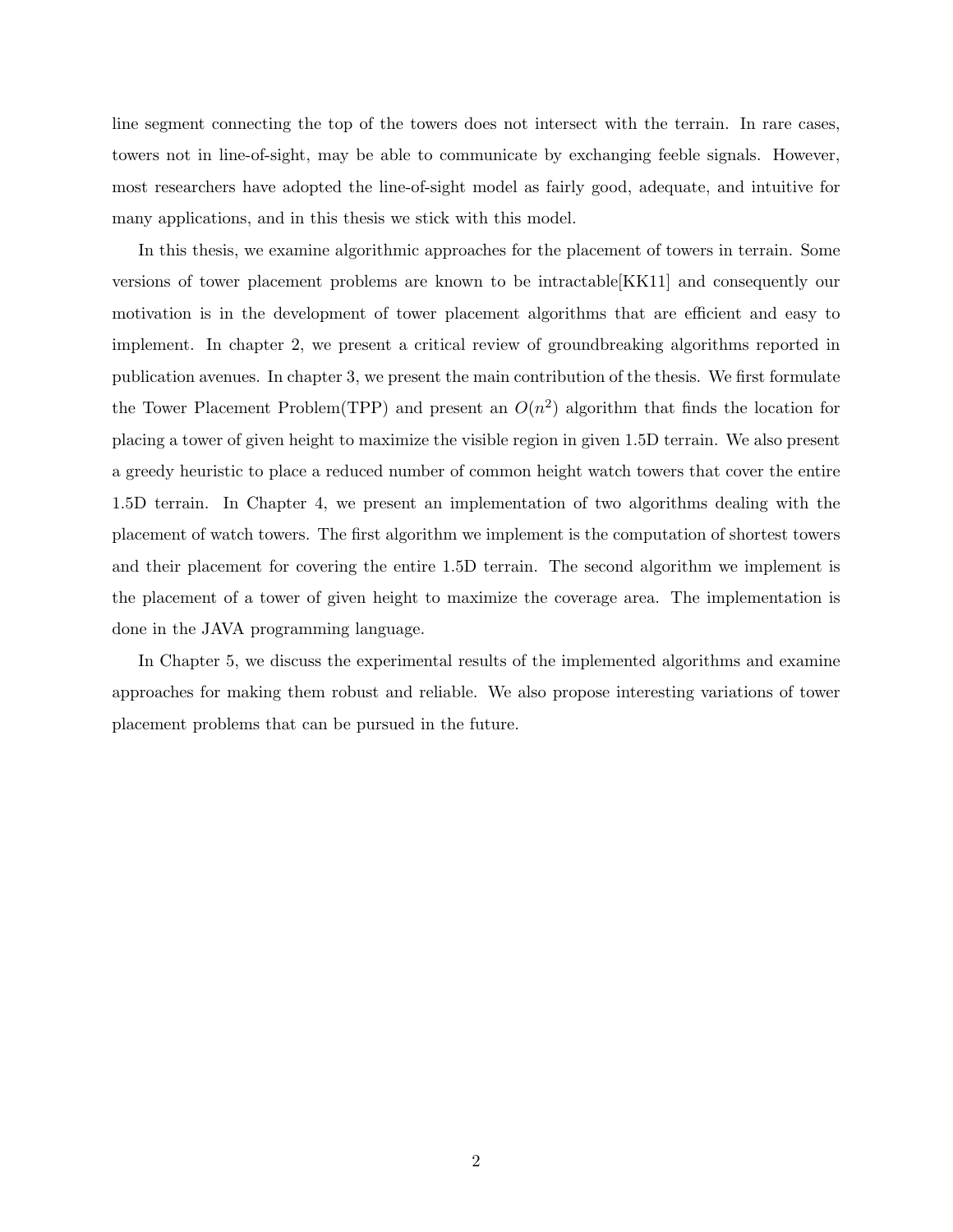line segment connecting the top of the towers does not intersect with the terrain. In rare cases, towers not in line-of-sight, may be able to communicate by exchanging feeble signals. However, most researchers have adopted the line-of-sight model as fairly good, adequate, and intuitive for many applications, and in this thesis we stick with this model.

In this thesis, we examine algorithmic approaches for the placement of towers in terrain. Some versions of tower placement problems are known to be intractable[KK11] and consequently our motivation is in the development of tower placement algorithms that are efficient and easy to implement. In chapter 2, we present a critical review of groundbreaking algorithms reported in publication avenues. In chapter 3, we present the main contribution of the thesis. We first formulate the Tower Placement Problem (TPP) and present an  $O(n^2)$  algorithm that finds the location for placing a tower of given height to maximize the visible region in given 1.5D terrain. We also present a greedy heuristic to place a reduced number of common height watch towers that cover the entire 1.5D terrain. In Chapter 4, we present an implementation of two algorithms dealing with the placement of watch towers. The first algorithm we implement is the computation of shortest towers and their placement for covering the entire 1.5D terrain. The second algorithm we implement is the placement of a tower of given height to maximize the coverage area. The implementation is done in the JAVA programming language.

In Chapter 5, we discuss the experimental results of the implemented algorithms and examine approaches for making them robust and reliable. We also propose interesting variations of tower placement problems that can be pursued in the future.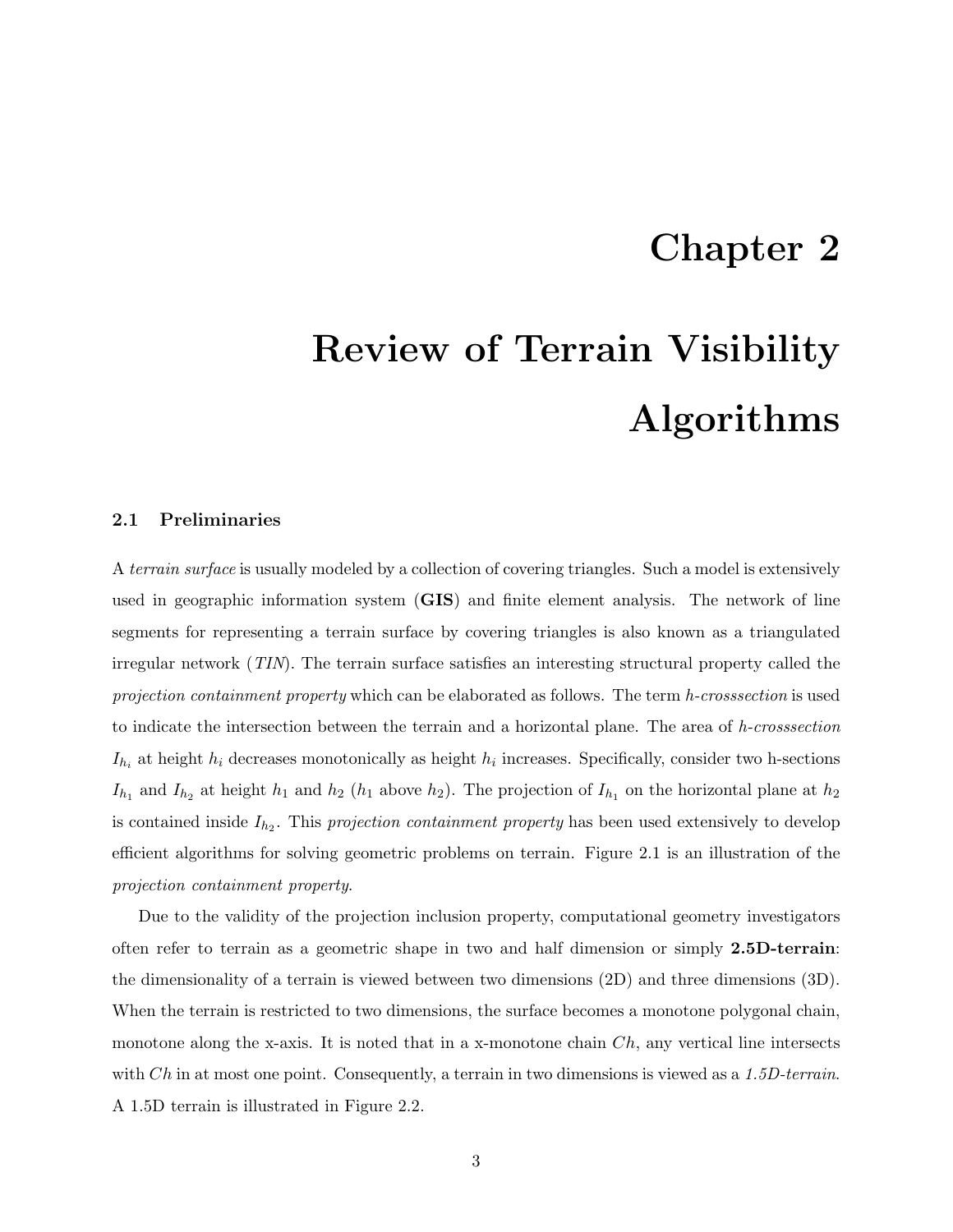### Chapter 2

# Review of Terrain Visibility Algorithms

#### 2.1 Preliminaries

A terrain surface is usually modeled by a collection of covering triangles. Such a model is extensively used in geographic information system (GIS) and finite element analysis. The network of line segments for representing a terrain surface by covering triangles is also known as a triangulated irregular network (TIN). The terrain surface satisfies an interesting structural property called the projection containment property which can be elaborated as follows. The term h-crosssection is used to indicate the intersection between the terrain and a horizontal plane. The area of h-crosssection  $I_{h_i}$  at height  $h_i$  decreases monotonically as height  $h_i$  increases. Specifically, consider two h-sections  $I_{h_1}$  and  $I_{h_2}$  at height  $h_1$  and  $h_2$  ( $h_1$  above  $h_2$ ). The projection of  $I_{h_1}$  on the horizontal plane at  $h_2$ is contained inside  $I_{h_2}$ . This projection containment property has been used extensively to develop efficient algorithms for solving geometric problems on terrain. Figure 2.1 is an illustration of the projection containment property.

Due to the validity of the projection inclusion property, computational geometry investigators often refer to terrain as a geometric shape in two and half dimension or simply 2.5D-terrain: the dimensionality of a terrain is viewed between two dimensions (2D) and three dimensions (3D). When the terrain is restricted to two dimensions, the surface becomes a monotone polygonal chain, monotone along the x-axis. It is noted that in a x-monotone chain  $Ch$ , any vertical line intersects with  $Ch$  in at most one point. Consequently, a terrain in two dimensions is viewed as a 1.5D-terrain. A 1.5D terrain is illustrated in Figure 2.2.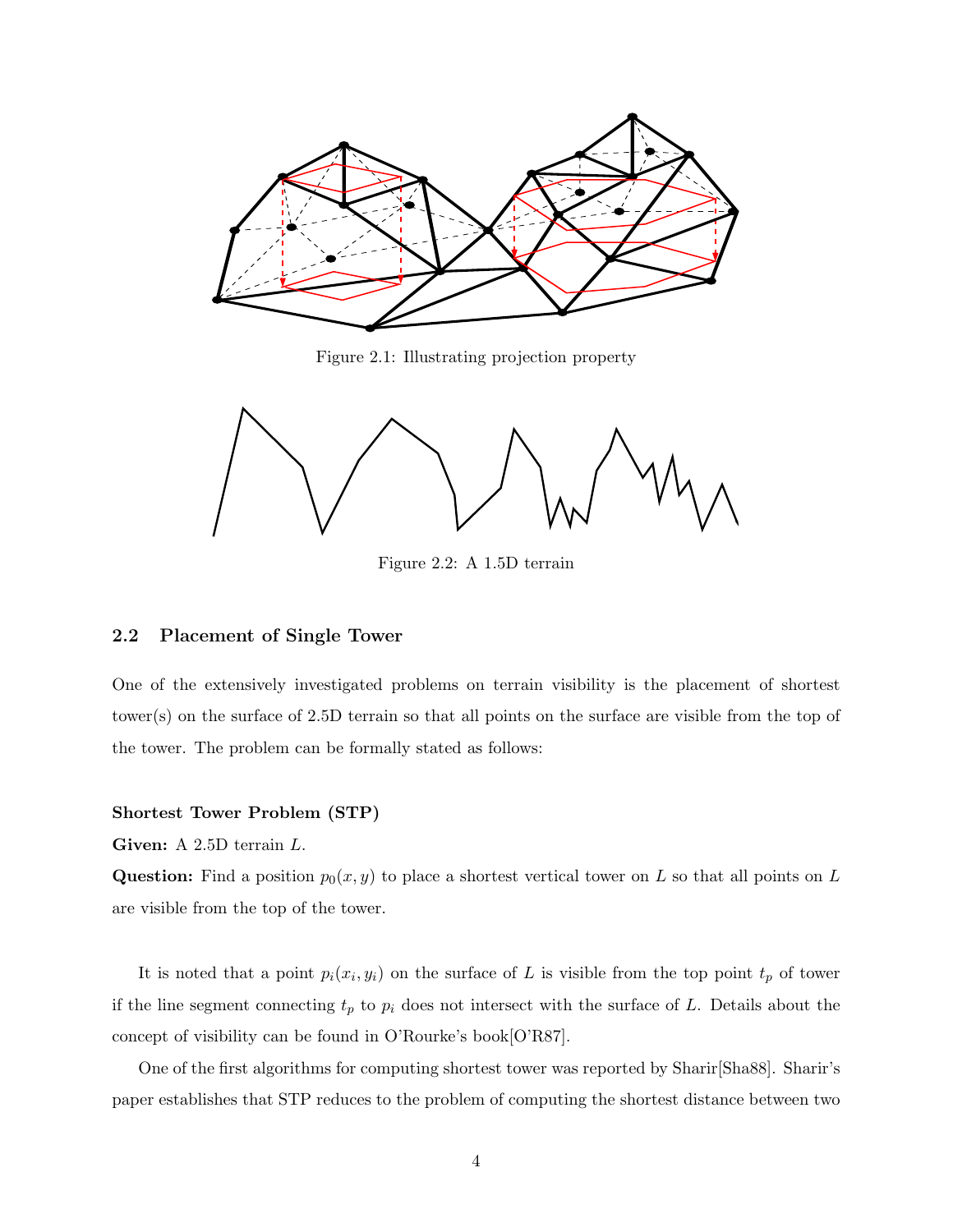

Figure 2.1: Illustrating projection property



Figure 2.2: A 1.5D terrain

#### 2.2 Placement of Single Tower

One of the extensively investigated problems on terrain visibility is the placement of shortest tower(s) on the surface of 2.5D terrain so that all points on the surface are visible from the top of the tower. The problem can be formally stated as follows:

#### Shortest Tower Problem (STP)

Given: A 2.5D terrain L.

**Question:** Find a position  $p_0(x, y)$  to place a shortest vertical tower on L so that all points on L are visible from the top of the tower.

It is noted that a point  $p_i(x_i, y_i)$  on the surface of L is visible from the top point  $t_p$  of tower if the line segment connecting  $t_p$  to  $p_i$  does not intersect with the surface of L. Details about the concept of visibility can be found in O'Rourke's book[O'R87].

One of the first algorithms for computing shortest tower was reported by Sharir[Sha88]. Sharir's paper establishes that STP reduces to the problem of computing the shortest distance between two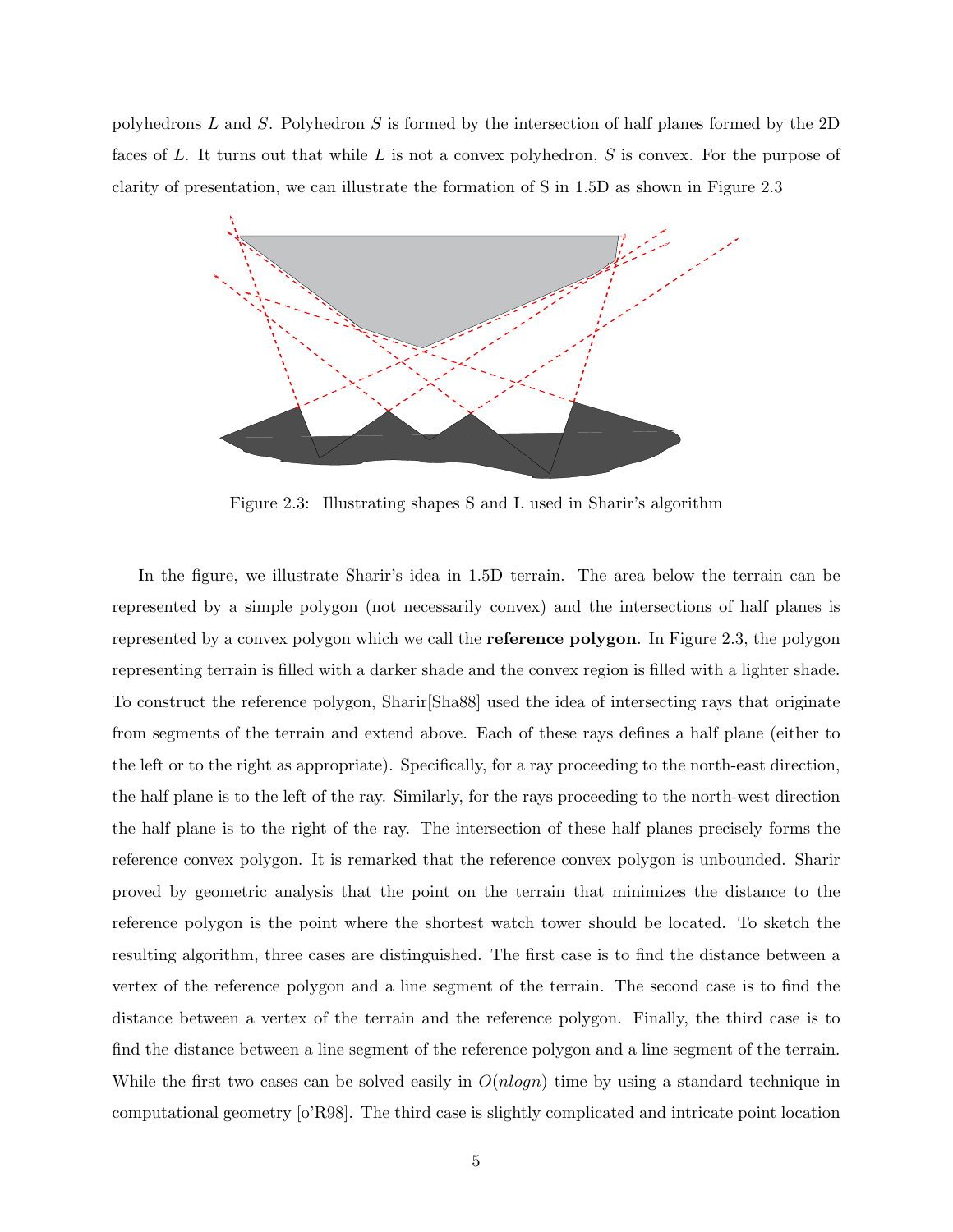polyhedrons L and S. Polyhedron S is formed by the intersection of half planes formed by the  $2D$ faces of L. It turns out that while L is not a convex polyhedron, S is convex. For the purpose of clarity of presentation, we can illustrate the formation of S in 1.5D as shown in Figure 2.3



Figure 2.3: Illustrating shapes S and L used in Sharir's algorithm

In the figure, we illustrate Sharir's idea in 1.5D terrain. The area below the terrain can be represented by a simple polygon (not necessarily convex) and the intersections of half planes is represented by a convex polygon which we call the reference polygon. In Figure 2.3, the polygon representing terrain is filled with a darker shade and the convex region is filled with a lighter shade. To construct the reference polygon, Sharir[Sha88] used the idea of intersecting rays that originate from segments of the terrain and extend above. Each of these rays defines a half plane (either to the left or to the right as appropriate). Specifically, for a ray proceeding to the north-east direction, the half plane is to the left of the ray. Similarly, for the rays proceeding to the north-west direction the half plane is to the right of the ray. The intersection of these half planes precisely forms the reference convex polygon. It is remarked that the reference convex polygon is unbounded. Sharir proved by geometric analysis that the point on the terrain that minimizes the distance to the reference polygon is the point where the shortest watch tower should be located. To sketch the resulting algorithm, three cases are distinguished. The first case is to find the distance between a vertex of the reference polygon and a line segment of the terrain. The second case is to find the distance between a vertex of the terrain and the reference polygon. Finally, the third case is to find the distance between a line segment of the reference polygon and a line segment of the terrain. While the first two cases can be solved easily in  $O(n \log n)$  time by using a standard technique in computational geometry [o'R98]. The third case is slightly complicated and intricate point location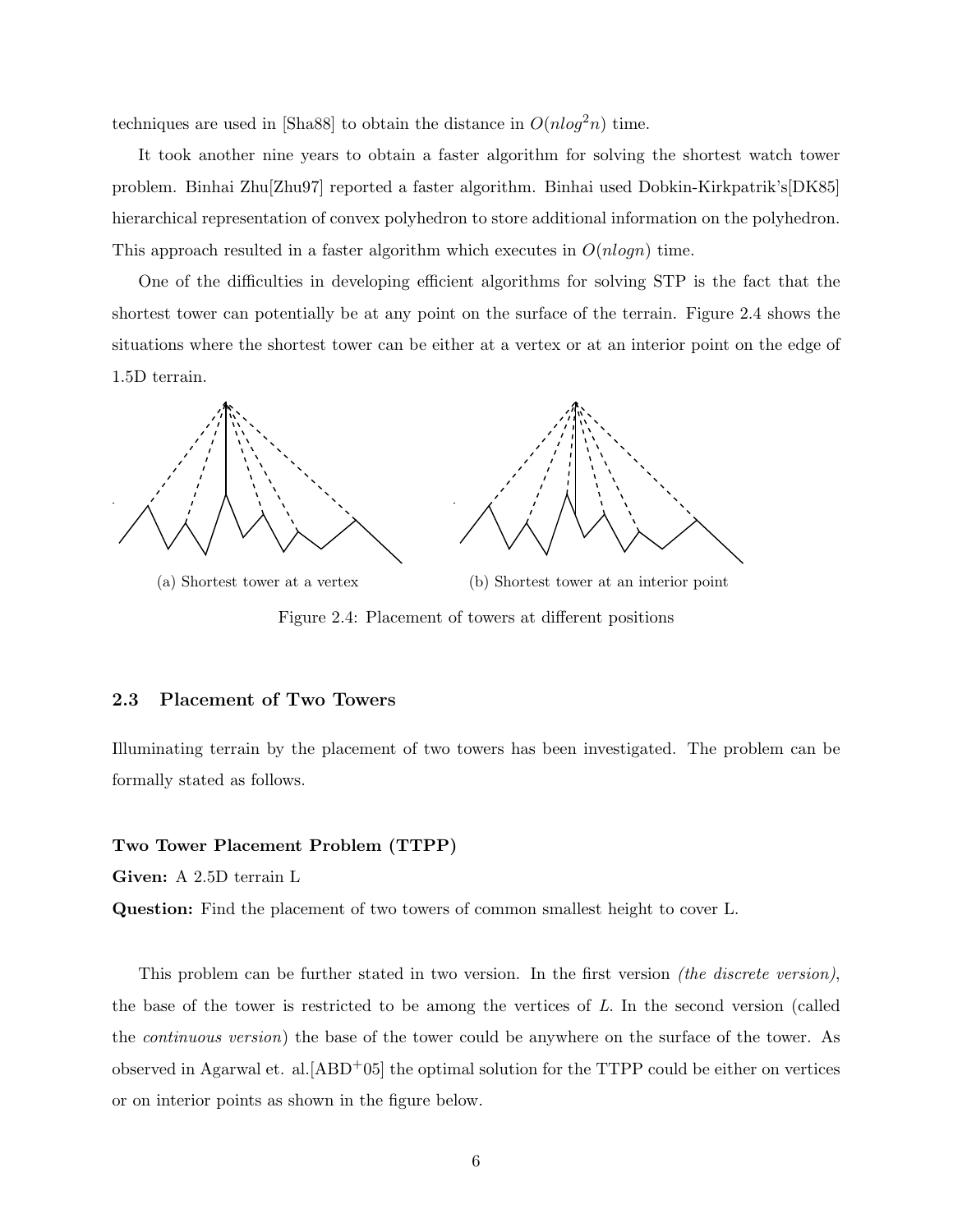techniques are used in [Sha88] to obtain the distance in  $O(nlog^2 n)$  time.

It took another nine years to obtain a faster algorithm for solving the shortest watch tower problem. Binhai Zhu[Zhu97] reported a faster algorithm. Binhai used Dobkin-Kirkpatrik's[DK85] hierarchical representation of convex polyhedron to store additional information on the polyhedron. This approach resulted in a faster algorithm which executes in  $O(n \log n)$  time.

One of the difficulties in developing efficient algorithms for solving STP is the fact that the shortest tower can potentially be at any point on the surface of the terrain. Figure 2.4 shows the situations where the shortest tower can be either at a vertex or at an interior point on the edge of 1.5D terrain.



(a) Shortest tower at a vertex (b) Shortest tower at an interior point Figure 2.4: Placement of towers at different positions

#### 2.3 Placement of Two Towers

Illuminating terrain by the placement of two towers has been investigated. The problem can be formally stated as follows.

#### Two Tower Placement Problem (TTPP)

Given: A 2.5D terrain L

Question: Find the placement of two towers of common smallest height to cover L.

This problem can be further stated in two version. In the first version *(the discrete version)*, the base of the tower is restricted to be among the vertices of  $L$ . In the second version (called the continuous version) the base of the tower could be anywhere on the surface of the tower. As observed in Agarwal et. al.  $[ABD<sup>+</sup>05]$  the optimal solution for the TTPP could be either on vertices or on interior points as shown in the figure below.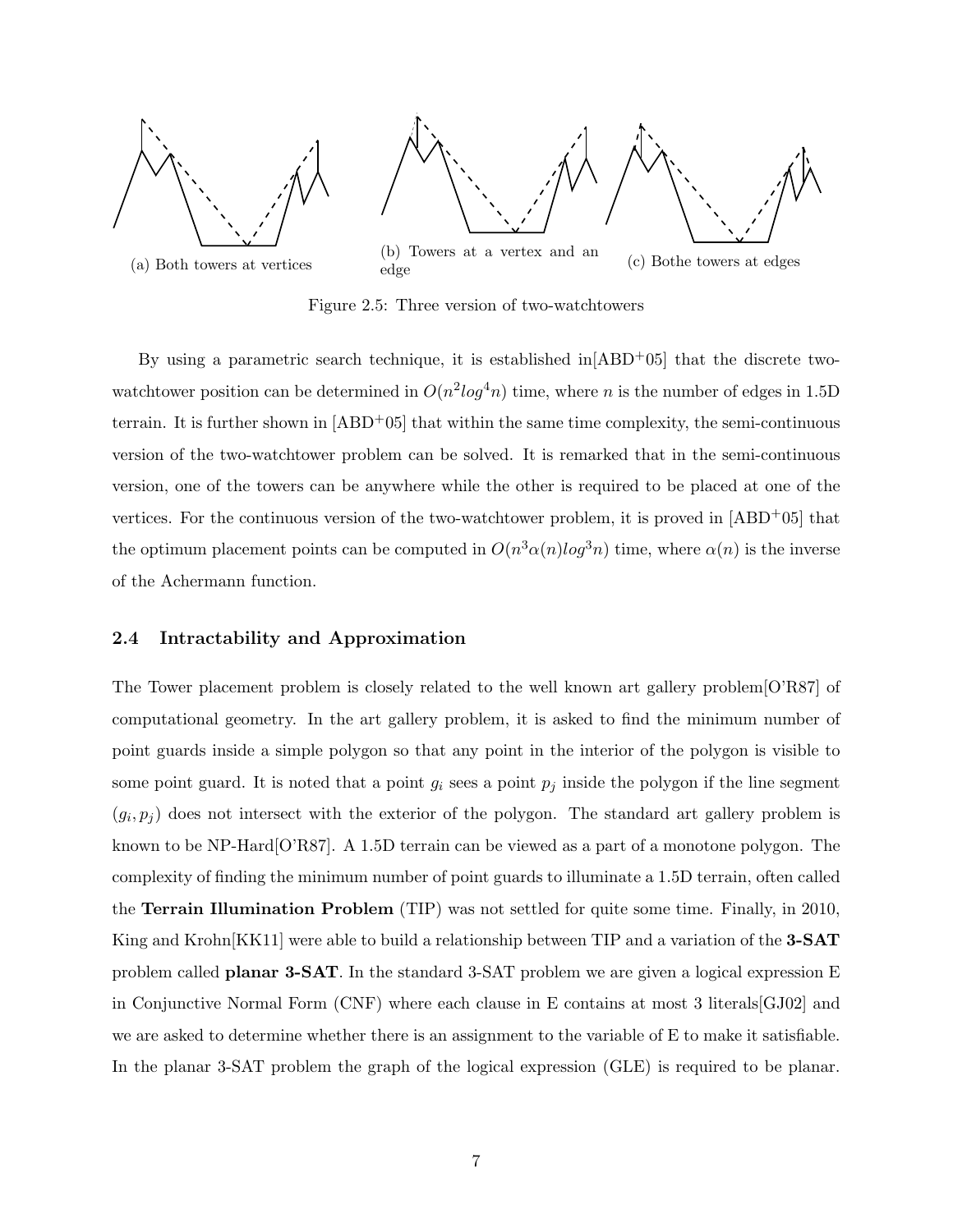

Figure 2.5: Three version of two-watchtowers

By using a parametric search technique, it is established in  $[ABD<sup>+</sup>05]$  that the discrete twowatchtower position can be determined in  $O(n^2 \log^4 n)$  time, where n is the number of edges in 1.5D terrain. It is further shown in  $[ABD<sup>+</sup>05]$  that within the same time complexity, the semi-continuous version of the two-watchtower problem can be solved. It is remarked that in the semi-continuous version, one of the towers can be anywhere while the other is required to be placed at one of the vertices. For the continuous version of the two-watchtower problem, it is proved in  $[ABD<sup>+</sup>05]$  that the optimum placement points can be computed in  $O(n^3\alpha(n)log^3n)$  time, where  $\alpha(n)$  is the inverse of the Achermann function.

#### 2.4 Intractability and Approximation

The Tower placement problem is closely related to the well known art gallery problem[O'R87] of computational geometry. In the art gallery problem, it is asked to find the minimum number of point guards inside a simple polygon so that any point in the interior of the polygon is visible to some point guard. It is noted that a point  $g_i$  sees a point  $p_j$  inside the polygon if the line segment  $(g_i, p_j)$  does not intersect with the exterior of the polygon. The standard art gallery problem is known to be NP-Hard<sup>[O'R87]</sup>. A 1.5D terrain can be viewed as a part of a monotone polygon. The complexity of finding the minimum number of point guards to illuminate a 1.5D terrain, often called the Terrain Illumination Problem (TIP) was not settled for quite some time. Finally, in 2010, King and Krohn<sup>[KK11]</sup> were able to build a relationship between TIP and a variation of the **3-SAT** problem called planar 3-SAT. In the standard 3-SAT problem we are given a logical expression E in Conjunctive Normal Form (CNF) where each clause in E contains at most 3 literals[GJ02] and we are asked to determine whether there is an assignment to the variable of E to make it satisfiable. In the planar 3-SAT problem the graph of the logical expression (GLE) is required to be planar.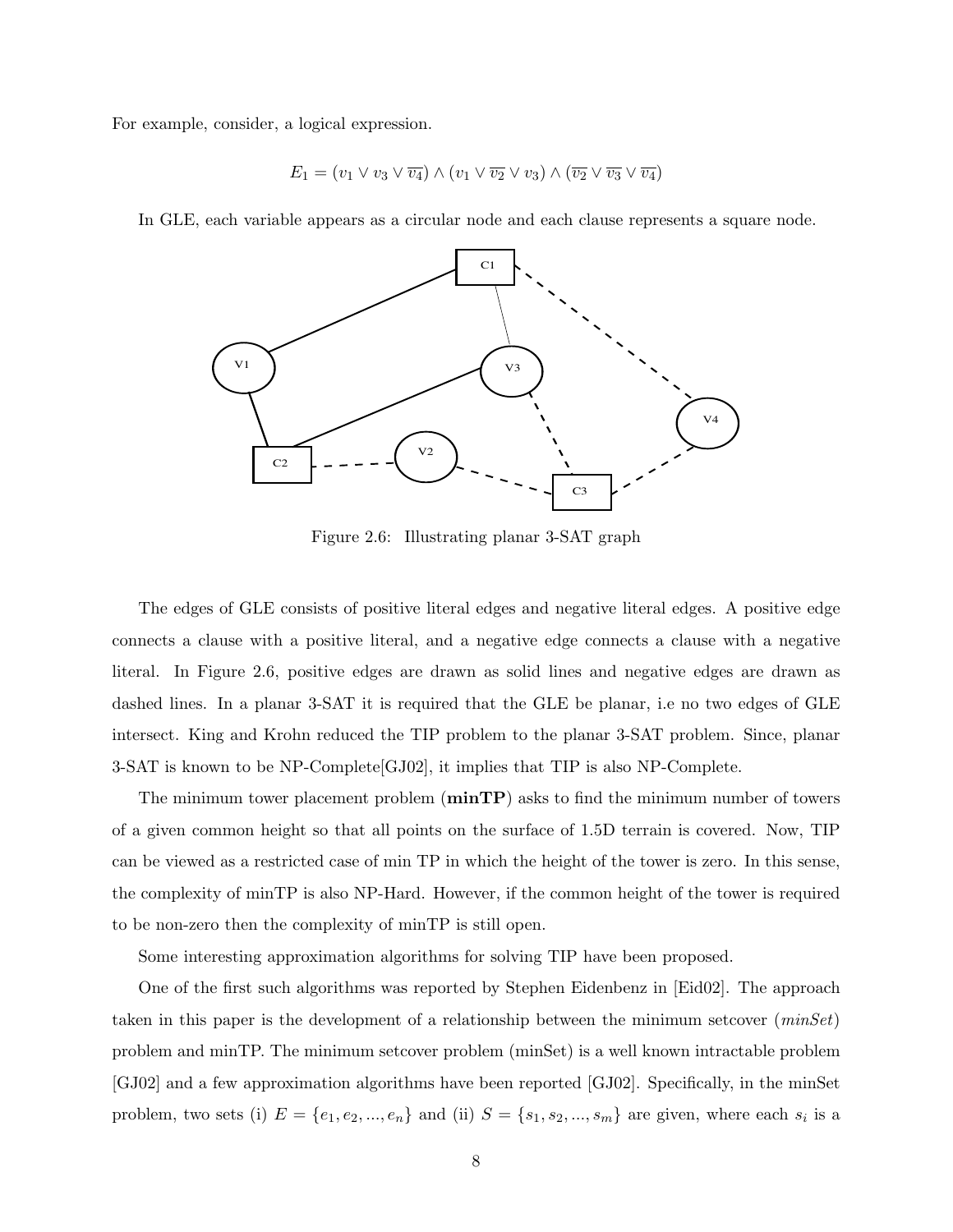For example, consider, a logical expression.

$$
E_1 = (v_1 \lor v_3 \lor \overline{v_4}) \land (v_1 \lor \overline{v_2} \lor v_3) \land (\overline{v_2} \lor \overline{v_3} \lor \overline{v_4})
$$

In GLE, each variable appears as a circular node and each clause represents a square node.



Figure 2.6: Illustrating planar 3-SAT graph

The edges of GLE consists of positive literal edges and negative literal edges. A positive edge connects a clause with a positive literal, and a negative edge connects a clause with a negative literal. In Figure 2.6, positive edges are drawn as solid lines and negative edges are drawn as dashed lines. In a planar 3-SAT it is required that the GLE be planar, i.e no two edges of GLE intersect. King and Krohn reduced the TIP problem to the planar 3-SAT problem. Since, planar 3-SAT is known to be NP-Complete[GJ02], it implies that TIP is also NP-Complete.

The minimum tower placement problem  $(\min \mathbf{TP})$  asks to find the minimum number of towers of a given common height so that all points on the surface of 1.5D terrain is covered. Now, TIP can be viewed as a restricted case of min TP in which the height of the tower is zero. In this sense, the complexity of minTP is also NP-Hard. However, if the common height of the tower is required to be non-zero then the complexity of minTP is still open.

Some interesting approximation algorithms for solving TIP have been proposed.

One of the first such algorithms was reported by Stephen Eidenbenz in [Eid02]. The approach taken in this paper is the development of a relationship between the minimum setcover  $(minSet)$ problem and minTP. The minimum setcover problem (minSet) is a well known intractable problem [GJ02] and a few approximation algorithms have been reported [GJ02]. Specifically, in the minSet problem, two sets (i)  $E = \{e_1, e_2, ..., e_n\}$  and (ii)  $S = \{s_1, s_2, ..., s_m\}$  are given, where each  $s_i$  is a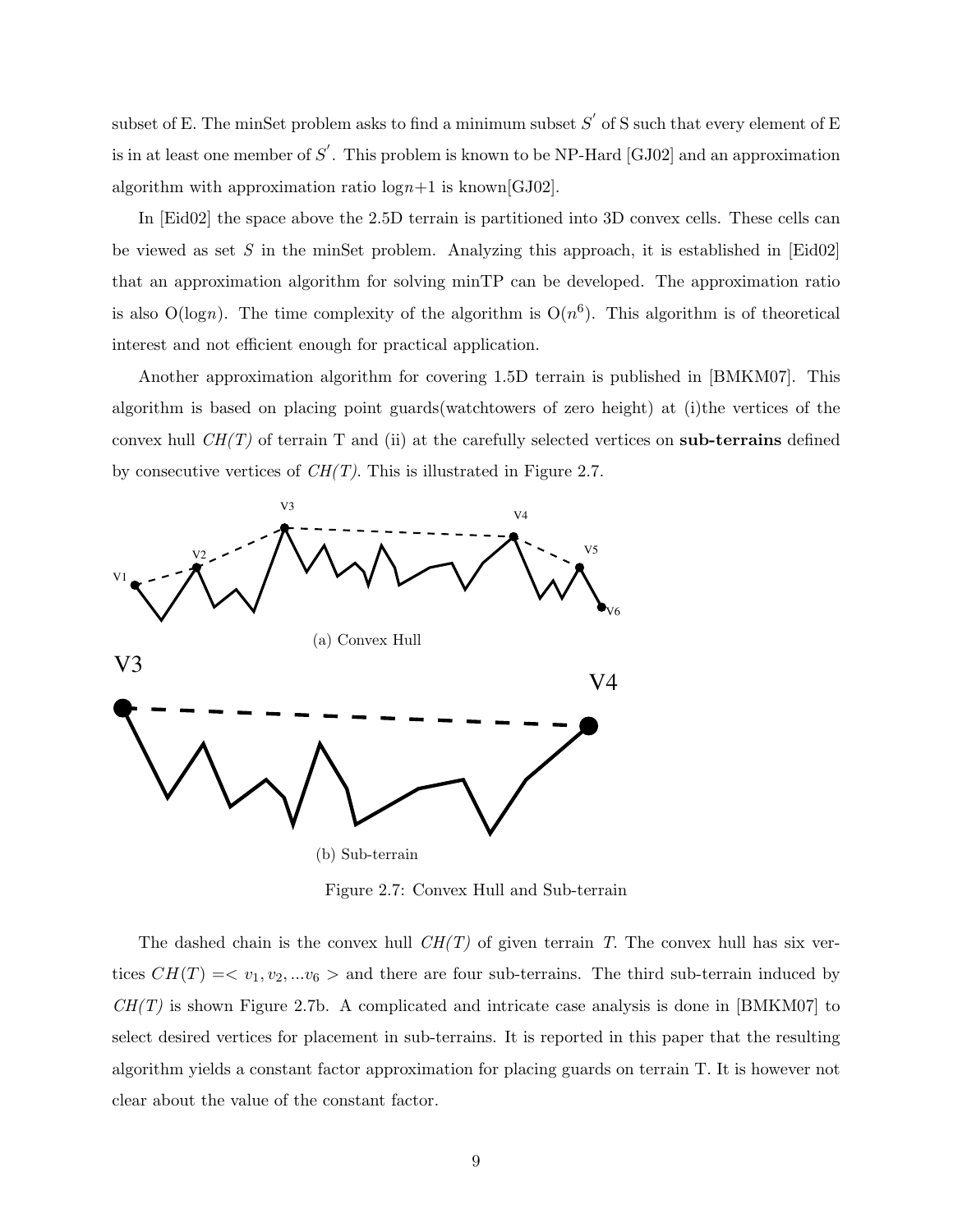subset of E. The minSet problem asks to find a minimum subset  $S'$  of S such that every element of E is in at least one member of  $S'$ . This problem is known to be NP-Hard [GJ02] and an approximation algorithm with approximation ratio  $\log n+1$  is known[GJ02].

In [Eid02] the space above the 2.5D terrain is partitioned into 3D convex cells. These cells can be viewed as set S in the minSet problem. Analyzing this approach, it is established in  $[\text{Eid}02]$ that an approximation algorithm for solving minTP can be developed. The approximation ratio is also  $O(logn)$ . The time complexity of the algorithm is  $O(n^6)$ . This algorithm is of theoretical interest and not efficient enough for practical application.

Another approximation algorithm for covering 1.5D terrain is published in [BMKM07]. This algorithm is based on placing point guards(watchtowers of zero height) at (i)the vertices of the convex hull  $CH(T)$  of terrain T and (ii) at the carefully selected vertices on sub-terrains defined by consecutive vertices of  $CH(T)$ . This is illustrated in Figure 2.7.



Figure 2.7: Convex Hull and Sub-terrain

The dashed chain is the convex hull  $CH(T)$  of given terrain T. The convex hull has six vertices  $CH(T) = \langle v_1, v_2, ... v_6 \rangle$  and there are four sub-terrains. The third sub-terrain induced by  $CH(T)$  is shown Figure 2.7b. A complicated and intricate case analysis is done in [BMKM07] to select desired vertices for placement in sub-terrains. It is reported in this paper that the resulting algorithm yields a constant factor approximation for placing guards on terrain T. It is however not clear about the value of the constant factor.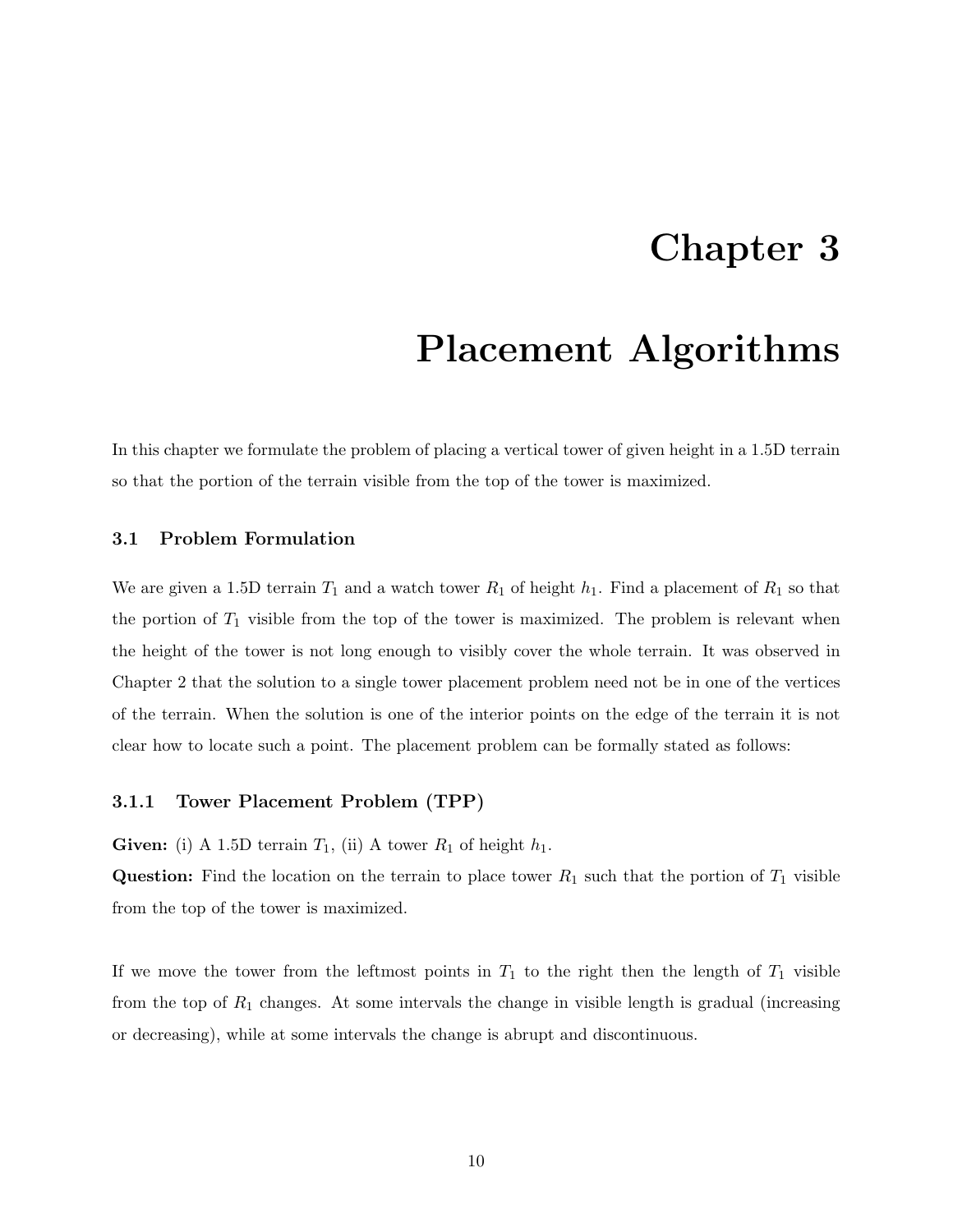### Chapter 3

### Placement Algorithms

In this chapter we formulate the problem of placing a vertical tower of given height in a 1.5D terrain so that the portion of the terrain visible from the top of the tower is maximized.

### 3.1 Problem Formulation

We are given a 1.5D terrain  $T_1$  and a watch tower  $R_1$  of height  $h_1$ . Find a placement of  $R_1$  so that the portion of  $T_1$  visible from the top of the tower is maximized. The problem is relevant when the height of the tower is not long enough to visibly cover the whole terrain. It was observed in Chapter 2 that the solution to a single tower placement problem need not be in one of the vertices of the terrain. When the solution is one of the interior points on the edge of the terrain it is not clear how to locate such a point. The placement problem can be formally stated as follows:

#### 3.1.1 Tower Placement Problem (TPP)

**Given:** (i) A 1.5D terrain  $T_1$ , (ii) A tower  $R_1$  of height  $h_1$ .

**Question:** Find the location on the terrain to place tower  $R_1$  such that the portion of  $T_1$  visible from the top of the tower is maximized.

If we move the tower from the leftmost points in  $T_1$  to the right then the length of  $T_1$  visible from the top of  $R_1$  changes. At some intervals the change in visible length is gradual (increasing or decreasing), while at some intervals the change is abrupt and discontinuous.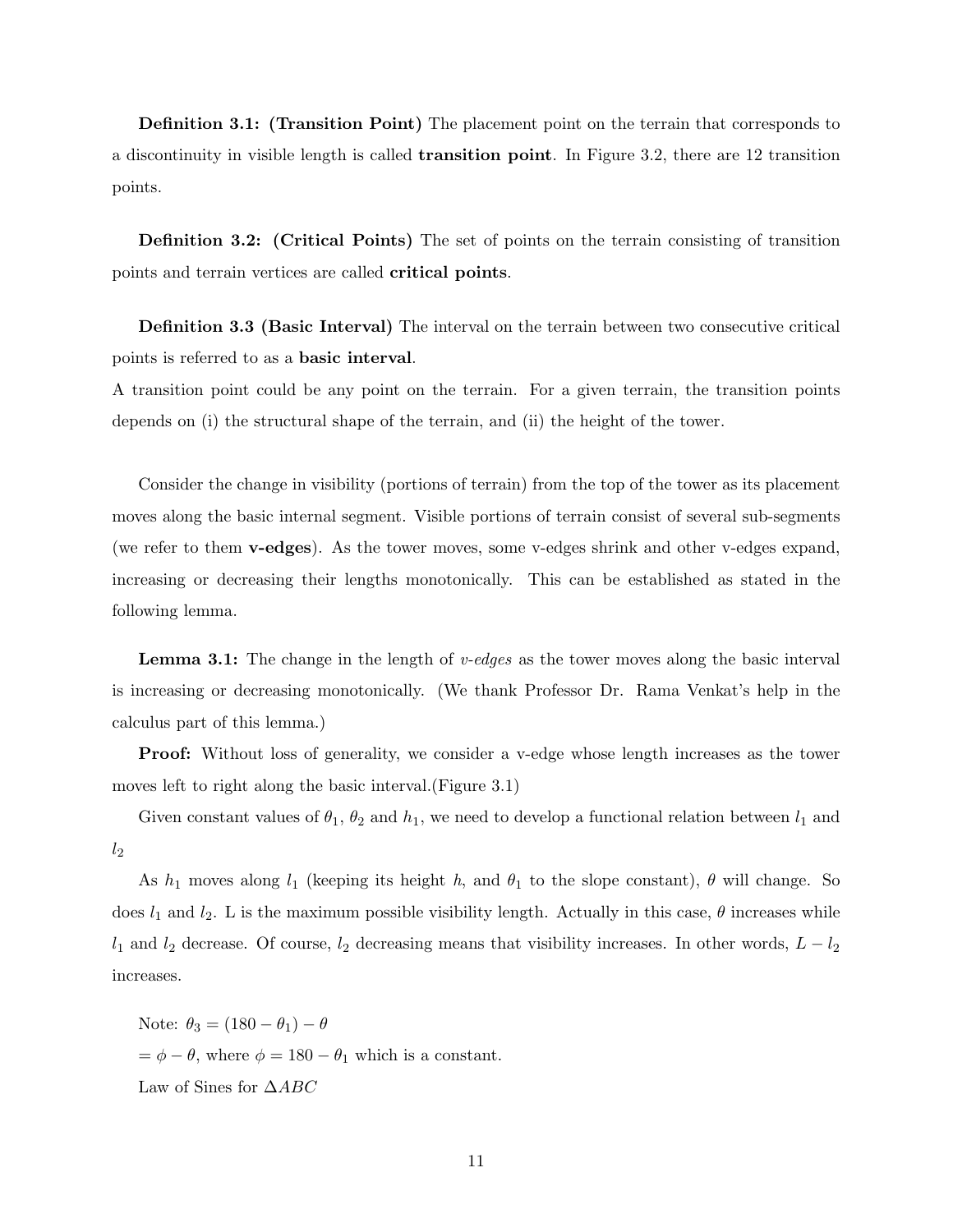Definition 3.1: (Transition Point) The placement point on the terrain that corresponds to a discontinuity in visible length is called transition point. In Figure 3.2, there are 12 transition points.

Definition 3.2: (Critical Points) The set of points on the terrain consisting of transition points and terrain vertices are called critical points.

Definition 3.3 (Basic Interval) The interval on the terrain between two consecutive critical points is referred to as a basic interval.

A transition point could be any point on the terrain. For a given terrain, the transition points depends on (i) the structural shape of the terrain, and (ii) the height of the tower.

Consider the change in visibility (portions of terrain) from the top of the tower as its placement moves along the basic internal segment. Visible portions of terrain consist of several sub-segments (we refer to them v-edges). As the tower moves, some v-edges shrink and other v-edges expand, increasing or decreasing their lengths monotonically. This can be established as stated in the following lemma.

**Lemma 3.1:** The change in the length of  $v$ -edges as the tower moves along the basic interval is increasing or decreasing monotonically. (We thank Professor Dr. Rama Venkat's help in the calculus part of this lemma.)

Proof: Without loss of generality, we consider a v-edge whose length increases as the tower moves left to right along the basic interval.(Figure 3.1)

Given constant values of  $\theta_1$ ,  $\theta_2$  and  $h_1$ , we need to develop a functional relation between  $l_1$  and  $l_2$ 

As  $h_1$  moves along  $l_1$  (keeping its height h, and  $\theta_1$  to the slope constant),  $\theta$  will change. So does  $l_1$  and  $l_2$ . L is the maximum possible visibility length. Actually in this case,  $\theta$  increases while  $l_1$  and  $l_2$  decrease. Of course,  $l_2$  decreasing means that visibility increases. In other words,  $L - l_2$ increases.

Note:  $\theta_3 = (180 - \theta_1) - \theta$  $=\phi - \theta$ , where  $\phi = 180 - \theta_1$  which is a constant. Law of Sines for  $\triangle ABC$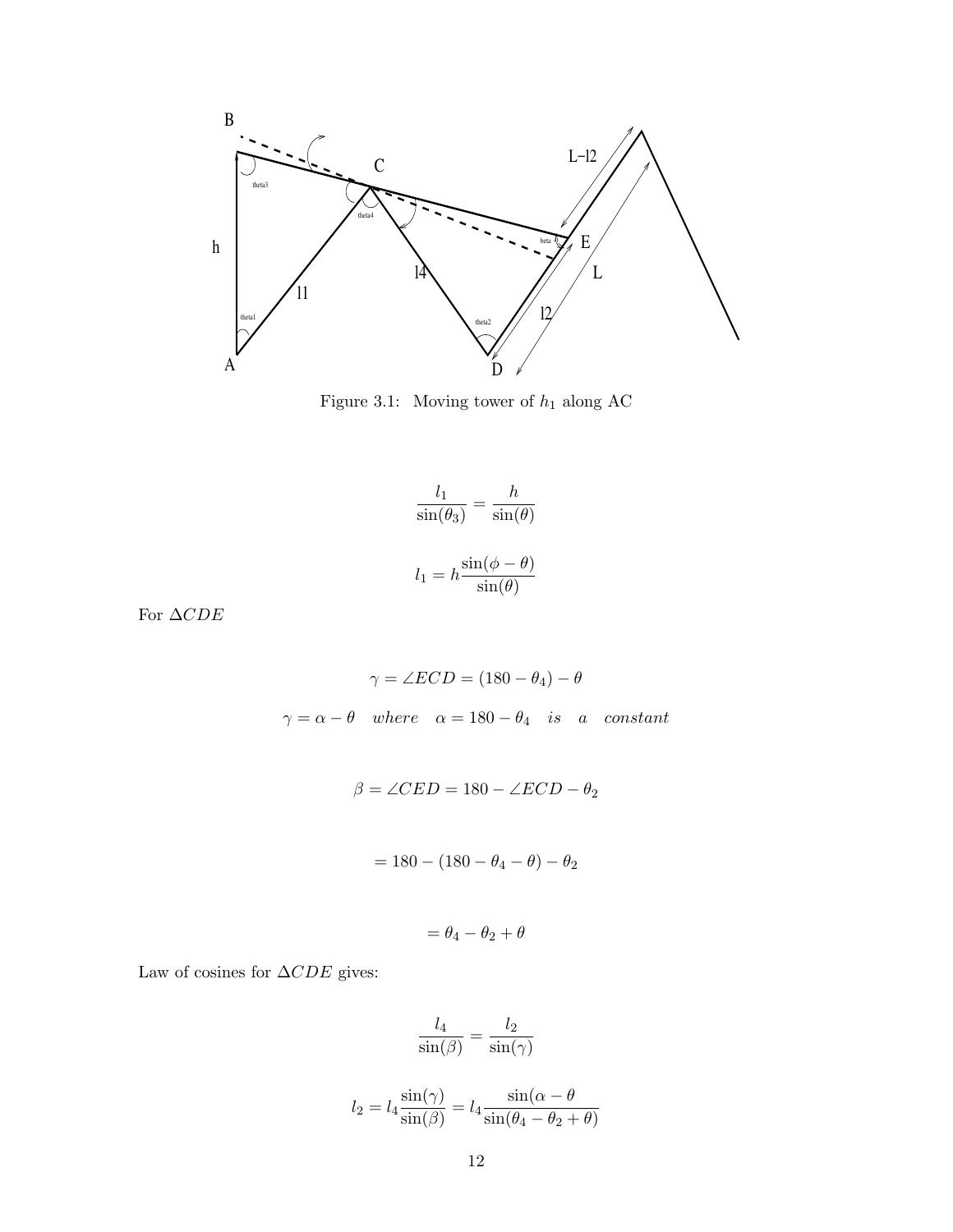

Figure 3.1: Moving tower of  $h_1$  along AC

$$
\frac{l_1}{\sin(\theta_3)} = \frac{h}{\sin(\theta)}
$$

$$
l_1 = h \frac{\sin(\phi - \theta)}{\sin(\theta)}
$$

For  $\Delta CDE$ 

$$
\gamma = \angle ECD = (180 - \theta_4) - \theta
$$

$$
\gamma = \alpha - \theta \quad where \quad \alpha = 180 - \theta_4 \quad is \quad a \quad constant
$$

 $\beta = \angle CED = 180 - \angle ECD - \theta_2$ 

$$
= 180 - (180 - \theta_4 - \theta) - \theta_2
$$

$$
=\theta_4-\theta_2+\theta
$$

Law of cosines for  $\Delta CDE$  gives:

$$
\frac{l_4}{\sin(\beta)} = \frac{l_2}{\sin(\gamma)}
$$

$$
l_2 = l_4 \frac{\sin(\gamma)}{\sin(\beta)} = l_4 \frac{\sin(\alpha - \theta)}{\sin(\theta_4 - \theta_2 + \theta)}
$$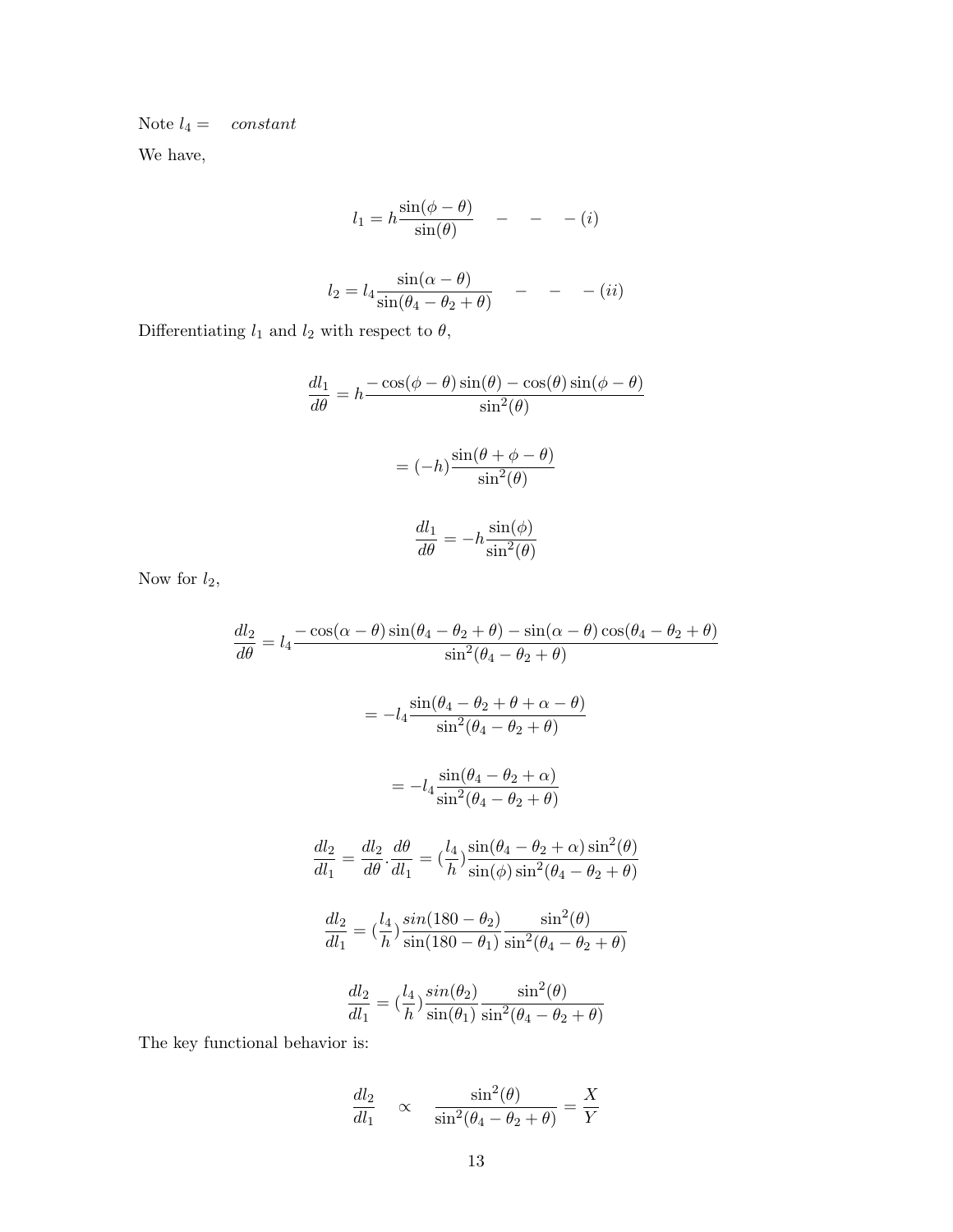Note  $l_4 =$  constant

We have,

$$
l_1 = h \frac{\sin(\phi - \theta)}{\sin(\theta)} \quad - \quad - \quad (i)
$$

$$
l_2 = l_4 \frac{\sin(\alpha - \theta)}{\sin(\theta_4 - \theta_2 + \theta)} \quad - \quad - \quad (ii)
$$

Differentiating  $l_1$  and  $l_2$  with respect to  $\theta,$ 

$$
\frac{dl_1}{d\theta} = h \frac{-\cos(\phi - \theta)\sin(\theta) - \cos(\theta)\sin(\phi - \theta)}{\sin^2(\theta)}
$$

$$
= (-h) \frac{\sin(\theta + \phi - \theta)}{\sin^2(\theta)}
$$

$$
\frac{dl_1}{d\theta} = -h \frac{\sin(\phi)}{\sin^2(\theta)}
$$

Now for  $l_2$ ,

$$
\frac{dl_2}{d\theta} = l_4 \frac{-\cos(\alpha - \theta)\sin(\theta_4 - \theta_2 + \theta) - \sin(\alpha - \theta)\cos(\theta_4 - \theta_2 + \theta)}{\sin^2(\theta_4 - \theta_2 + \theta)}
$$

$$
= -l_4 \frac{\sin(\theta_4 - \theta_2 + \theta + \alpha - \theta)}{\sin^2(\theta_4 - \theta_2 + \theta)}
$$

$$
= -l_4 \frac{\sin(\theta_4 - \theta_2 + \alpha)}{\sin^2(\theta_4 - \theta_2 + \theta)}
$$

$$
\frac{dl_2}{dl_1} = \frac{dl_2}{d\theta} \cdot \frac{d\theta}{dl_1} = \left(\frac{l_4}{h}\right) \frac{\sin(\theta_4 - \theta_2 + \alpha)\sin^2(\theta)}{\sin(\phi)\sin^2(\theta_4 - \theta_2 + \theta)}
$$

$$
\frac{dl_2}{dl_1} = \left(\frac{l_4}{h}\right) \frac{\sin(180 - \theta_2)}{\sin(180 - \theta_1)} \frac{\sin^2(\theta)}{\sin^2(\theta_4 - \theta_2 + \theta)}
$$

$$
\frac{dl_2}{dl_1} = \left(\frac{l_4}{h}\right) \frac{\sin(\theta_2)}{\sin(\theta_1)} \frac{\sin^2(\theta_4 - \theta_2 + \theta)}{\sin^2(\theta_4 - \theta_2 + \theta)}
$$
The key functional behavior is:

$$
\frac{dl_2}{dl_1} \quad \propto \quad \frac{\sin^2(\theta)}{\sin^2(\theta_4 - \theta_2 + \theta)} = \frac{X}{Y}
$$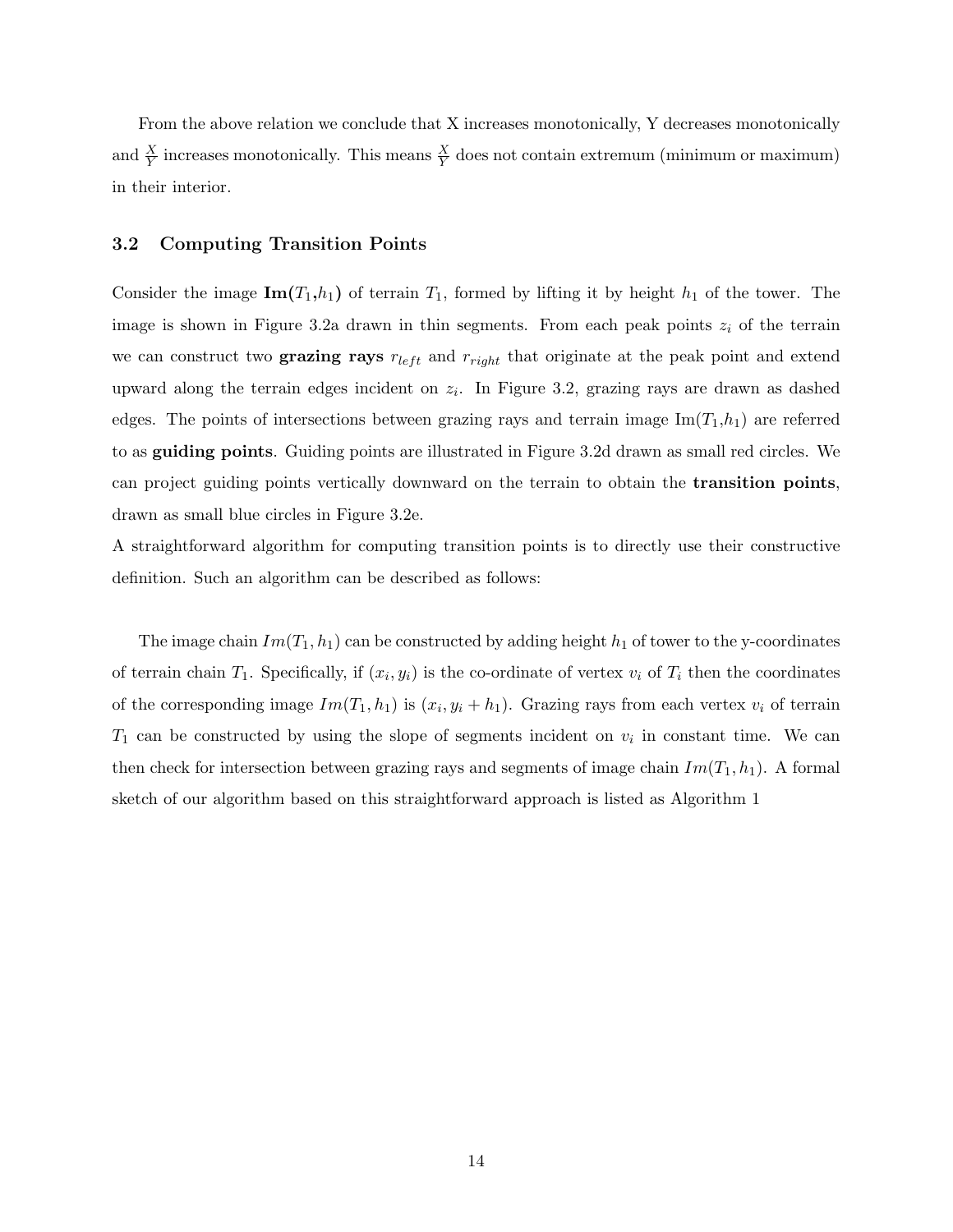From the above relation we conclude that X increases monotonically, Y decreases monotonically and  $\frac{X}{Y}$  increases monotonically. This means  $\frac{X}{Y}$  does not contain extremum (minimum or maximum) in their interior.

#### 3.2 Computing Transition Points

Consider the image  $\text{Im}(T_1,h_1)$  of terrain  $T_1$ , formed by lifting it by height  $h_1$  of the tower. The image is shown in Figure 3.2a drawn in thin segments. From each peak points  $z_i$  of the terrain we can construct two grazing rays  $r_{left}$  and  $r_{right}$  that originate at the peak point and extend upward along the terrain edges incident on  $z_i$ . In Figure 3.2, grazing rays are drawn as dashed edges. The points of intersections between grazing rays and terrain image  $\text{Im}(T_1,h_1)$  are referred to as guiding points. Guiding points are illustrated in Figure 3.2d drawn as small red circles. We can project guiding points vertically downward on the terrain to obtain the transition points, drawn as small blue circles in Figure 3.2e.

A straightforward algorithm for computing transition points is to directly use their constructive definition. Such an algorithm can be described as follows:

The image chain  $Im(T_1, h_1)$  can be constructed by adding height  $h_1$  of tower to the y-coordinates of terrain chain  $T_1$ . Specifically, if  $(x_i, y_i)$  is the co-ordinate of vertex  $v_i$  of  $T_i$  then the coordinates of the corresponding image  $Im(T_1, h_1)$  is  $(x_i, y_i + h_1)$ . Grazing rays from each vertex  $v_i$  of terrain  $T_1$  can be constructed by using the slope of segments incident on  $v_i$  in constant time. We can then check for intersection between grazing rays and segments of image chain  $Im(T_1, h_1)$ . A formal sketch of our algorithm based on this straightforward approach is listed as Algorithm 1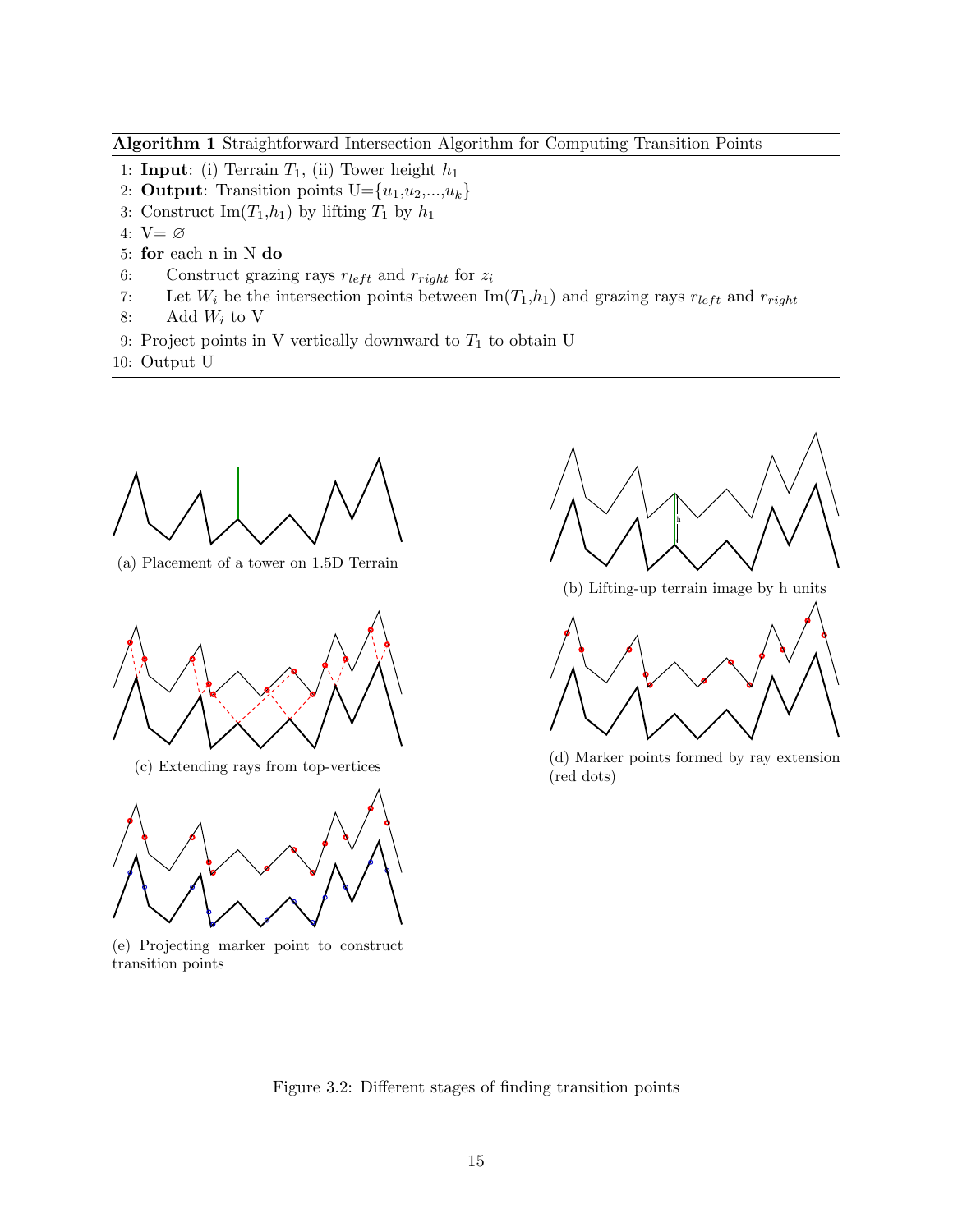Algorithm 1 Straightforward Intersection Algorithm for Computing Transition Points

- 1: **Input**: (i) Terrain  $T_1$ , (ii) Tower height  $h_1$
- 2: Output: Transition points  $U = \{u_1, u_2, \ldots, u_k\}$
- 3: Construct Im $(T_1,h_1)$  by lifting  $T_1$  by  $h_1$
- 4: V= ∅
- 5: for each n in N do
- 6: Construct grazing rays  $r_{left}$  and  $r_{right}$  for  $z_i$
- 7: Let  $W_i$  be the intersection points between  $\text{Im}(T_1,h_1)$  and grazing rays  $r_{left}$  and  $r_{right}$
- 8: Add  $W_i$  to V
- 9: Project points in V vertically downward to  $T_1$  to obtain U
- 10: Output U



(a) Placement of a tower on 1.5D Terrain





(e) Projecting marker point to construct transition points





(b) Lifting-up terrain image by h units



(c) Extending rays from top-vertices (d) Marker points formed by ray extension (red dots)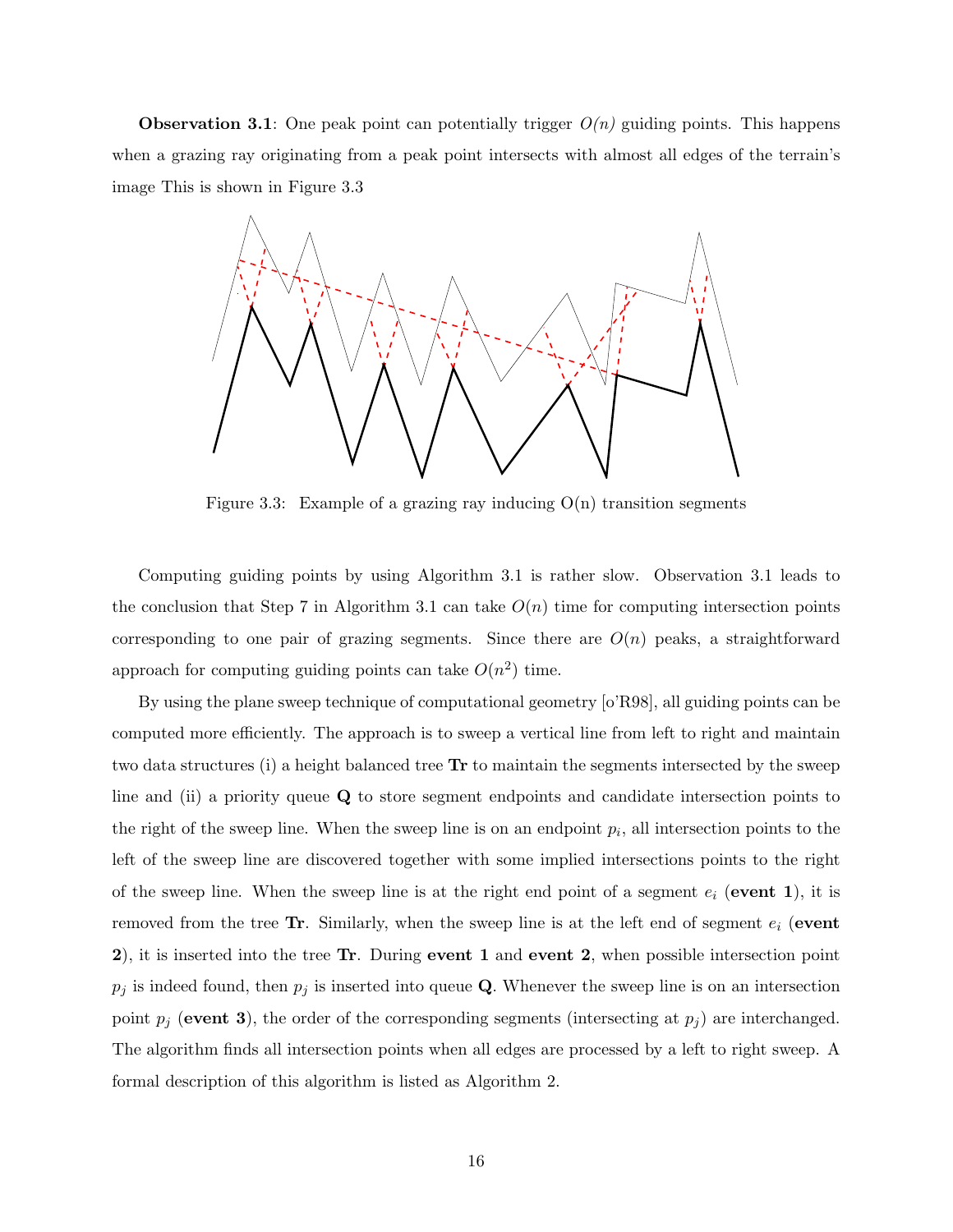**Observation 3.1**: One peak point can potentially trigger  $O(n)$  guiding points. This happens when a grazing ray originating from a peak point intersects with almost all edges of the terrain's image This is shown in Figure 3.3



Figure 3.3: Example of a grazing ray inducing  $O(n)$  transition segments

Computing guiding points by using Algorithm 3.1 is rather slow. Observation 3.1 leads to the conclusion that Step 7 in Algorithm 3.1 can take  $O(n)$  time for computing intersection points corresponding to one pair of grazing segments. Since there are  $O(n)$  peaks, a straightforward approach for computing guiding points can take  $O(n^2)$  time.

By using the plane sweep technique of computational geometry [o'R98], all guiding points can be computed more efficiently. The approach is to sweep a vertical line from left to right and maintain two data structures (i) a height balanced tree Tr to maintain the segments intersected by the sweep line and (ii) a priority queue Q to store segment endpoints and candidate intersection points to the right of the sweep line. When the sweep line is on an endpoint  $p_i$ , all intersection points to the left of the sweep line are discovered together with some implied intersections points to the right of the sweep line. When the sweep line is at the right end point of a segment  $e_i$  (event 1), it is removed from the tree Tr. Similarly, when the sweep line is at the left end of segment  $e_i$  (event 2), it is inserted into the tree Tr. During event 1 and event 2, when possible intersection point  $p_j$  is indeed found, then  $p_j$  is inserted into queue Q. Whenever the sweep line is on an intersection point  $p_j$  (event 3), the order of the corresponding segments (intersecting at  $p_j$ ) are interchanged. The algorithm finds all intersection points when all edges are processed by a left to right sweep. A formal description of this algorithm is listed as Algorithm 2.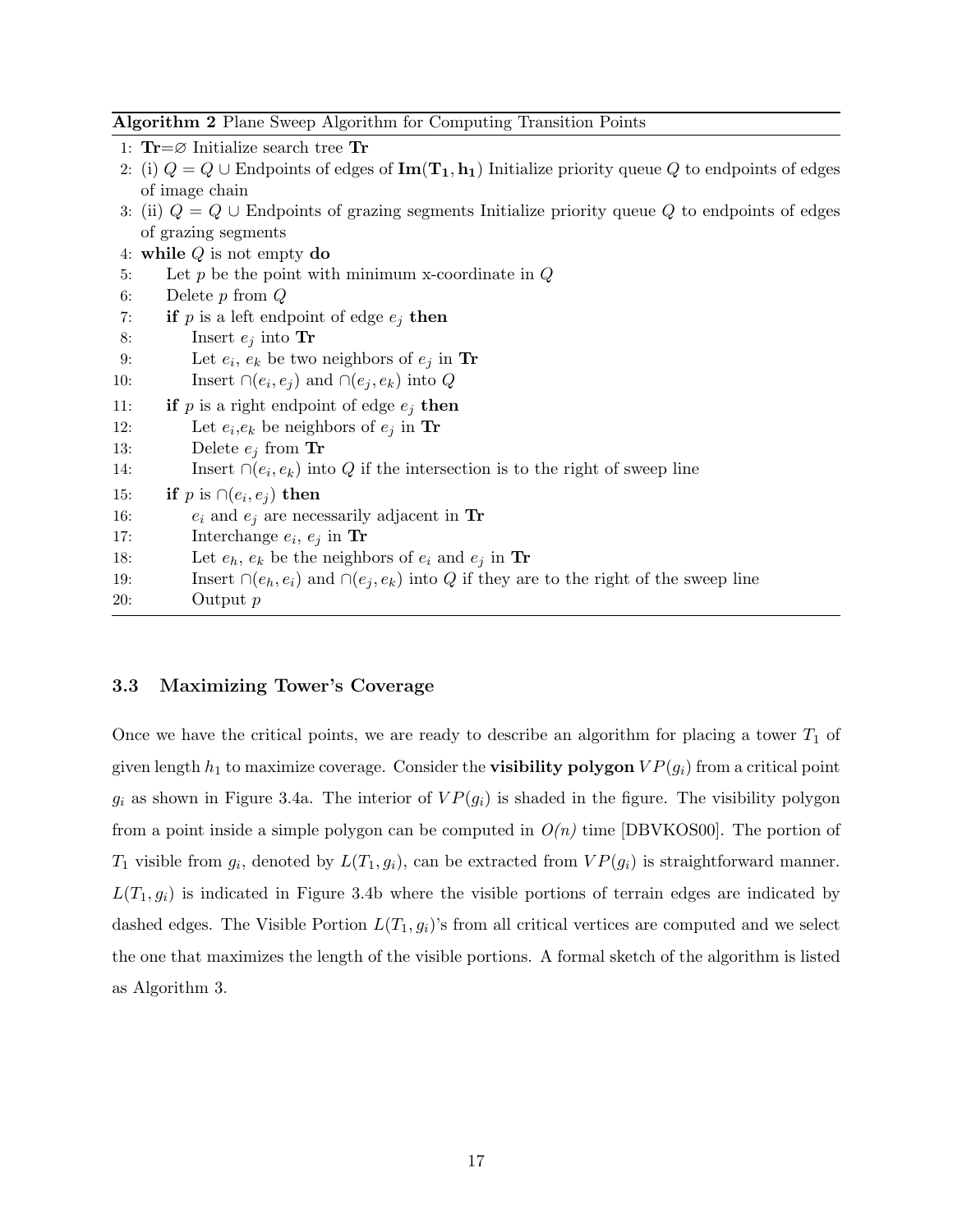|  | <b>Algorithm 2</b> Plane Sweep Algorithm for Computing Transition Points |  |  |  |  |  |  |  |  |  |  |
|--|--------------------------------------------------------------------------|--|--|--|--|--|--|--|--|--|--|
|--|--------------------------------------------------------------------------|--|--|--|--|--|--|--|--|--|--|

1:  $\text{Tr} = \varnothing$  Initialize search tree  $\text{Tr}$ 

- 2: (i)  $Q = Q \cup$  Endpoints of edges of  $\text{Im}(\mathbf{T}_1, \mathbf{h}_1)$  Initialize priority queue Q to endpoints of edges of image chain
- 3: (ii)  $Q = Q \cup$  Endpoints of grazing segments Initialize priority queue Q to endpoints of edges of grazing segments

|     | 4: while $Q$ is not empty do                                                                           |
|-----|--------------------------------------------------------------------------------------------------------|
| 5:  | Let $p$ be the point with minimum x-coordinate in $Q$                                                  |
| 6:  | Delete $p$ from $Q$                                                                                    |
| 7:  | if p is a left endpoint of edge $e_i$ then                                                             |
| 8:  | Insert $e_i$ into Tr                                                                                   |
| 9:  | Let $e_i$ , $e_k$ be two neighbors of $e_i$ in Tr                                                      |
| 10: | Insert $\cap (e_i, e_j)$ and $\cap (e_j, e_k)$ into Q                                                  |
| 11: | <b>if</b> p is a right endpoint of edge $e_i$ then                                                     |
| 12: | Let $e_i, e_k$ be neighbors of $e_i$ in Tr                                                             |
| 13: | Delete $e_i$ from Tr                                                                                   |
| 14: | Insert $\cap (e_i, e_k)$ into Q if the intersection is to the right of sweep line                      |
| 15: | <b>if</b> p is $\cap (e_i, e_j)$ then                                                                  |
| 16: | $e_i$ and $e_j$ are necessarily adjacent in Tr                                                         |
| 17: | Interchange $e_i, e_j$ in Tr                                                                           |
| 18: | Let $e_h$ , $e_k$ be the neighbors of $e_i$ and $e_j$ in Tr                                            |
| 19: | Insert $\bigcap (e_h, e_i)$ and $\bigcap (e_j, e_k)$ into Q if they are to the right of the sweep line |
| 20: | Output $p$                                                                                             |
|     |                                                                                                        |

#### 3.3 Maximizing Tower's Coverage

Once we have the critical points, we are ready to describe an algorithm for placing a tower  $T_1$  of given length  $h_1$  to maximize coverage. Consider the **visibility polygon**  $VP(g_i)$  from a critical point  $g_i$  as shown in Figure 3.4a. The interior of  $VP(g_i)$  is shaded in the figure. The visibility polygon from a point inside a simple polygon can be computed in  $O(n)$  time [DBVKOS00]. The portion of  $T_1$  visible from  $g_i$ , denoted by  $L(T_1, g_i)$ , can be extracted from  $VP(g_i)$  is straightforward manner.  $L(T_1, g_i)$  is indicated in Figure 3.4b where the visible portions of terrain edges are indicated by dashed edges. The Visible Portion  $L(T_1, g_i)$ 's from all critical vertices are computed and we select the one that maximizes the length of the visible portions. A formal sketch of the algorithm is listed as Algorithm 3.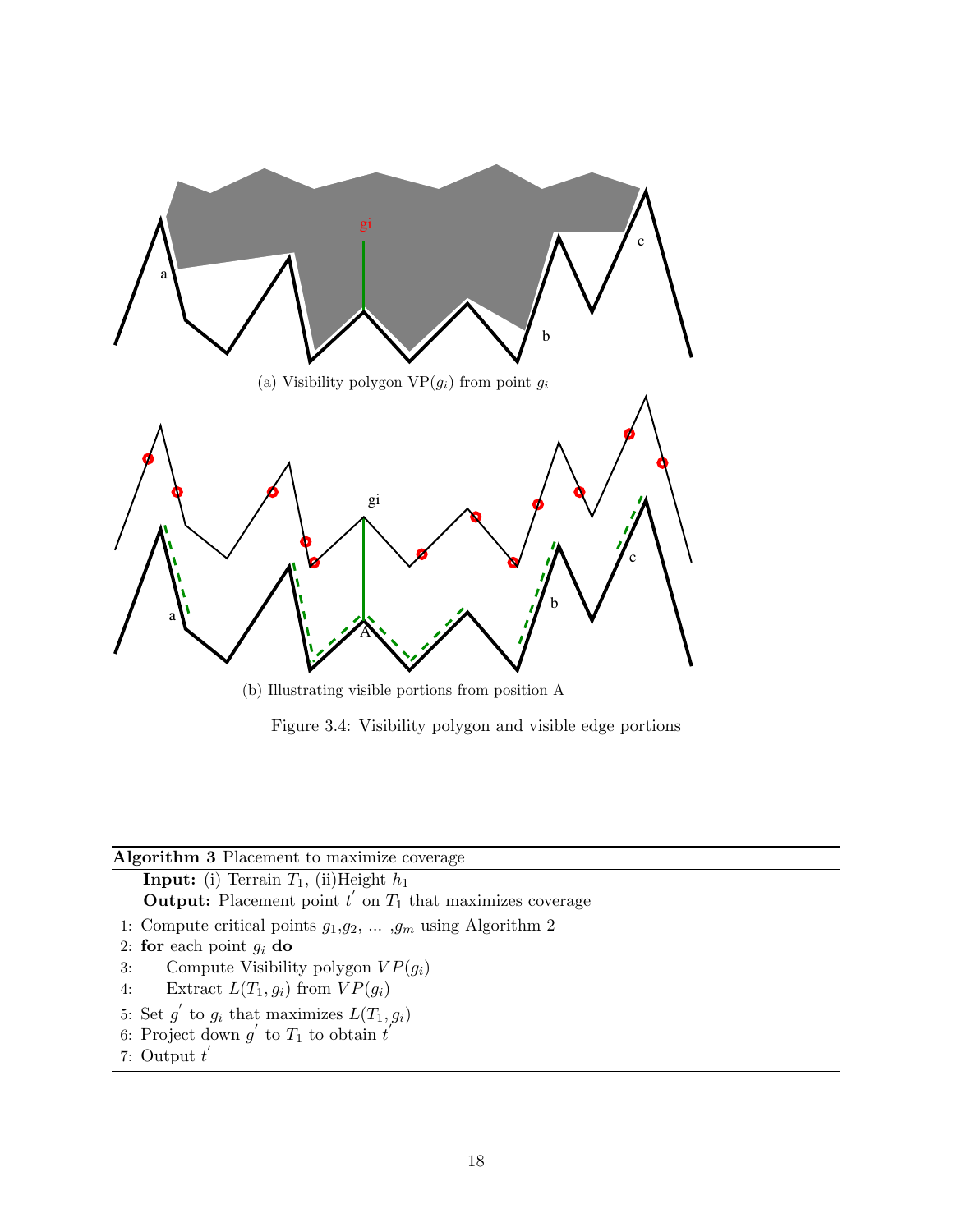

(b) Illustrating visible portions from position A

Figure 3.4: Visibility polygon and visible edge portions

### Algorithm 3 Placement to maximize coverage

**Input:** (i) Terrain  $T_1$ , (ii)Height  $h_1$ **Output:** Placement point  $t'$  on  $T_1$  that maximizes coverage

- 1: Compute critical points  $g_1,g_2,\,\ldots\, ,g_m$  using Algorithm 2
- 2: for each point  $g_i$  do
- 3: Compute Visibility polygon  $VP(g_i)$
- 4: Extract  $L(T_1, g_i)$  from  $VP(g_i)$
- 5: Set  $g'$  to  $g_i$  that maximizes  $L(T_1, g_i)$
- 6: Project down  $g'$  to  $T_1$  to obtain  $t'$
- 7: Output  $t'$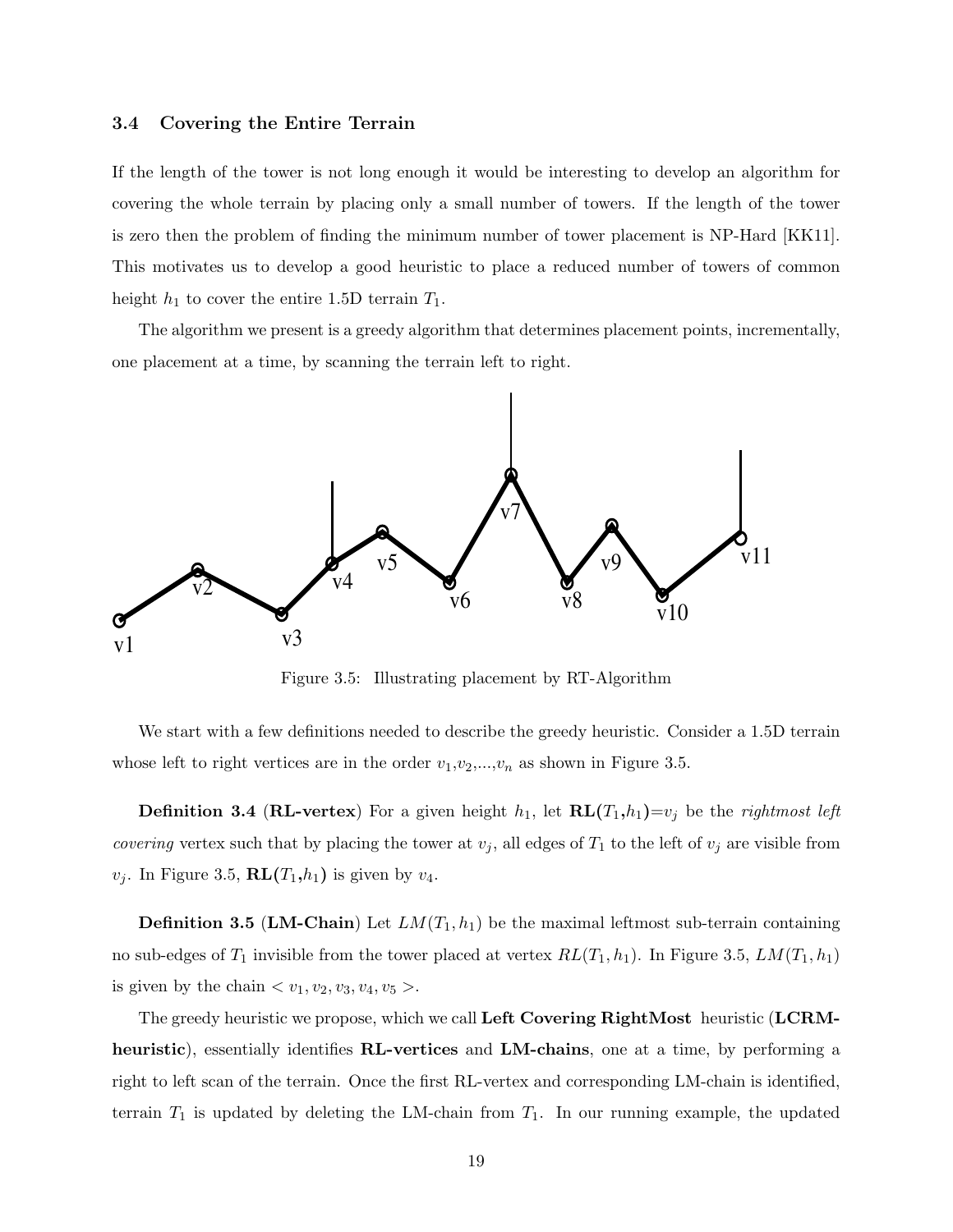#### 3.4 Covering the Entire Terrain

If the length of the tower is not long enough it would be interesting to develop an algorithm for covering the whole terrain by placing only a small number of towers. If the length of the tower is zero then the problem of finding the minimum number of tower placement is NP-Hard [KK11]. This motivates us to develop a good heuristic to place a reduced number of towers of common height  $h_1$  to cover the entire 1.5D terrain  $T_1$ .

The algorithm we present is a greedy algorithm that determines placement points, incrementally, one placement at a time, by scanning the terrain left to right.



Figure 3.5: Illustrating placement by RT-Algorithm

We start with a few definitions needed to describe the greedy heuristic. Consider a 1.5D terrain whose left to right vertices are in the order  $v_1,v_2,...,v_n$  as shown in Figure 3.5.

**Definition 3.4 (RL-vertex)** For a given height  $h_1$ , let  $\mathbf{RL}(T_1,h_1)=v_j$  be the *rightmost left* covering vertex such that by placing the tower at  $v_j$ , all edges of  $T_1$  to the left of  $v_j$  are visible from  $v_j$ . In Figure 3.5,  $\mathbf{RL}(T_1,h_1)$  is given by  $v_4$ .

**Definition 3.5 (LM-Chain)** Let  $LM(T_1, h_1)$  be the maximal leftmost sub-terrain containing no sub-edges of  $T_1$  invisible from the tower placed at vertex  $RL(T_1, h_1)$ . In Figure 3.5,  $LM(T_1, h_1)$ is given by the chain  $\langle v_1, v_2, v_3, v_4, v_5 \rangle$ .

The greedy heuristic we propose, which we call Left Covering RightMost heuristic (LCRMheuristic), essentially identifies **RL-vertices** and **LM-chains**, one at a time, by performing a right to left scan of the terrain. Once the first RL-vertex and corresponding LM-chain is identified, terrain  $T_1$  is updated by deleting the LM-chain from  $T_1$ . In our running example, the updated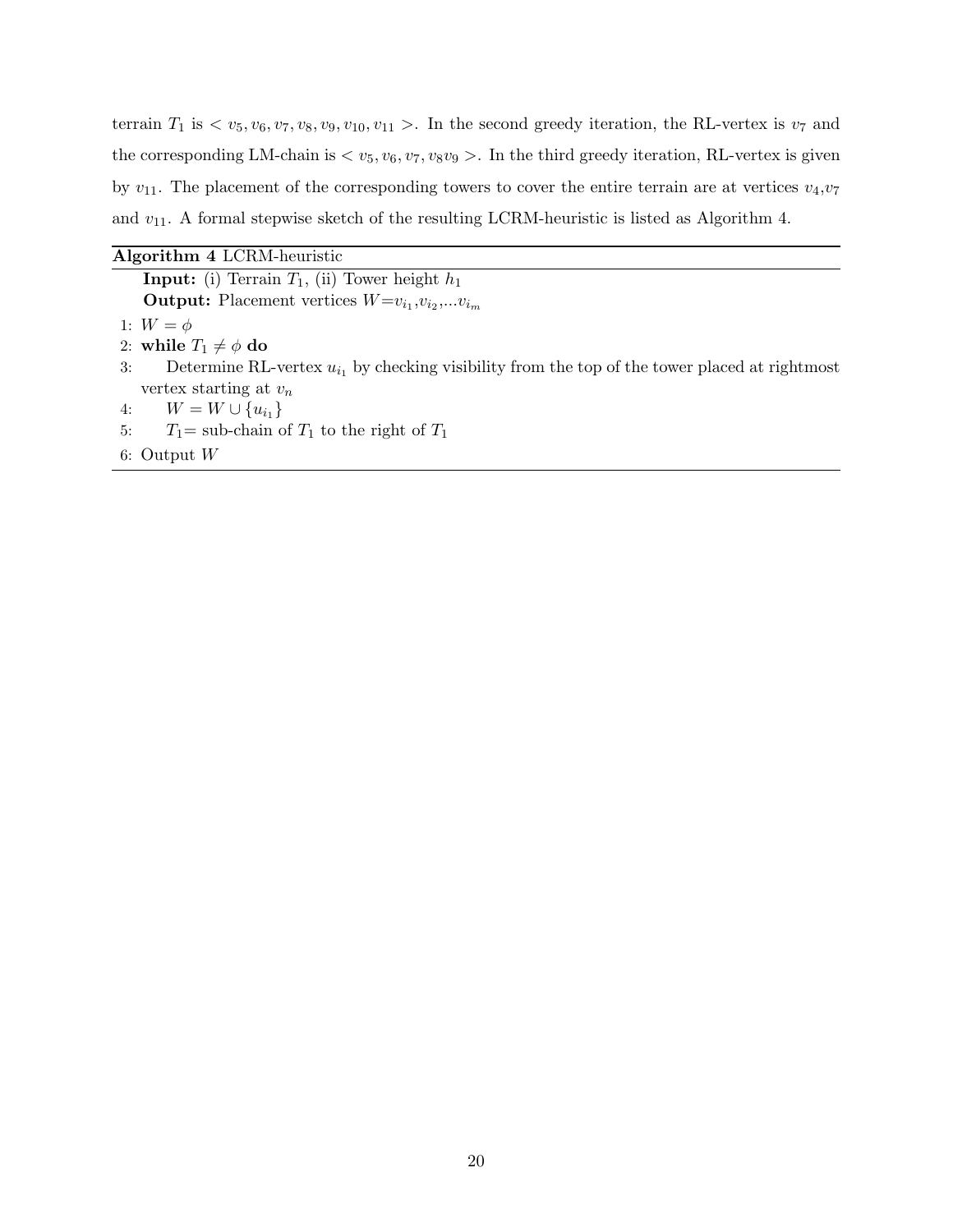terrain  $T_1$  is  $\langle v_5, v_6, v_7, v_8, v_9, v_{10}, v_{11} \rangle$ . In the second greedy iteration, the RL-vertex is  $v_7$  and the corresponding LM-chain is  $\langle v_5, v_6, v_7, v_8v_9 \rangle$ . In the third greedy iteration, RL-vertex is given by  $v_{11}$ . The placement of the corresponding towers to cover the entire terrain are at vertices  $v_4, v_7$ and  $v_{11}$ . A formal stepwise sketch of the resulting LCRM-heuristic is listed as Algorithm 4.

| Algorithm 4 LCRM-heuristic |  |  |  |
|----------------------------|--|--|--|
|----------------------------|--|--|--|

**Input:** (i) Terrain  $T_1$ , (ii) Tower height  $h_1$ **Output:** Placement vertices  $W = v_{i_1}, v_{i_2}, \ldots v_{i_m}$ 

- 1:  $W = \phi$
- 2: while  $T_1 \neq \phi$  do
- 3: Determine RL-vertex  $u_{i_1}$  by checking visibility from the top of the tower placed at rightmost vertex starting at  $v_n$
- 4:  $W = W \cup \{u_{i_1}\}\$
- 5:  $T_1$  = sub-chain of  $T_1$  to the right of  $T_1$
- 6: Output W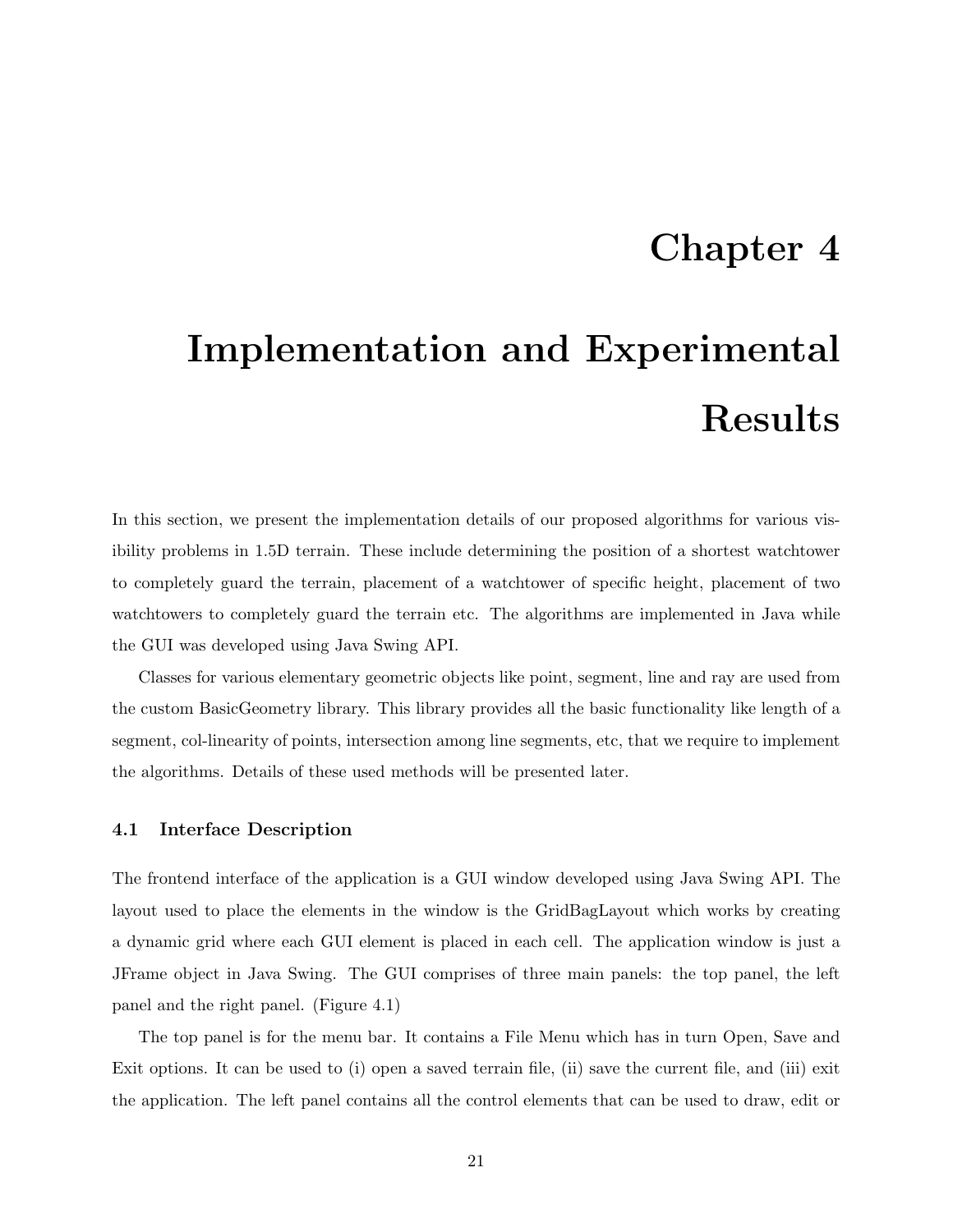### Chapter 4

## Implementation and Experimental Results

In this section, we present the implementation details of our proposed algorithms for various visibility problems in 1.5D terrain. These include determining the position of a shortest watchtower to completely guard the terrain, placement of a watchtower of specific height, placement of two watchtowers to completely guard the terrain etc. The algorithms are implemented in Java while the GUI was developed using Java Swing API.

Classes for various elementary geometric objects like point, segment, line and ray are used from the custom BasicGeometry library. This library provides all the basic functionality like length of a segment, col-linearity of points, intersection among line segments, etc, that we require to implement the algorithms. Details of these used methods will be presented later.

#### 4.1 Interface Description

The frontend interface of the application is a GUI window developed using Java Swing API. The layout used to place the elements in the window is the GridBagLayout which works by creating a dynamic grid where each GUI element is placed in each cell. The application window is just a JFrame object in Java Swing. The GUI comprises of three main panels: the top panel, the left panel and the right panel. (Figure 4.1)

The top panel is for the menu bar. It contains a File Menu which has in turn Open, Save and Exit options. It can be used to (i) open a saved terrain file, (ii) save the current file, and (iii) exit the application. The left panel contains all the control elements that can be used to draw, edit or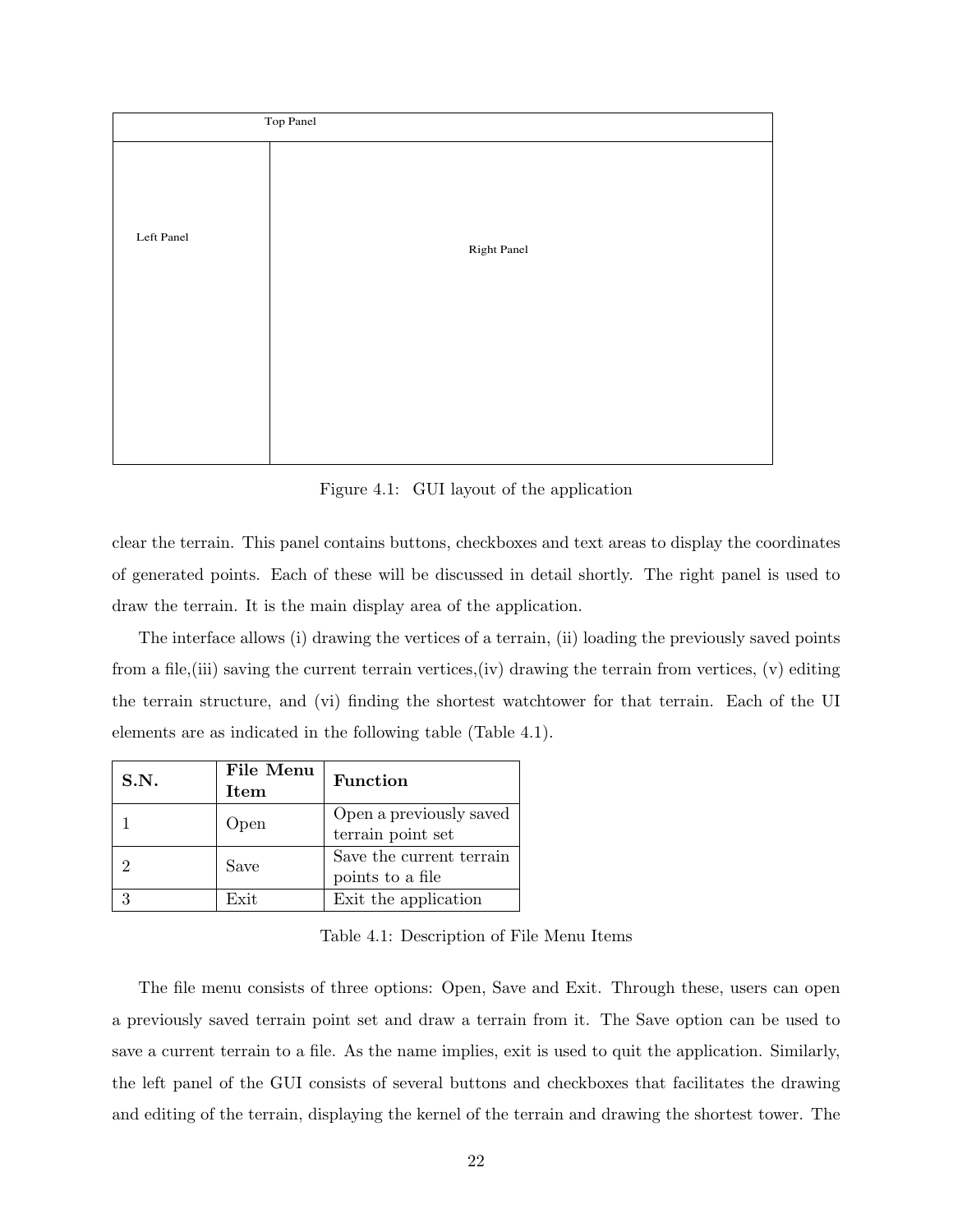

Figure 4.1: GUI layout of the application

clear the terrain. This panel contains buttons, checkboxes and text areas to display the coordinates of generated points. Each of these will be discussed in detail shortly. The right panel is used to draw the terrain. It is the main display area of the application.

The interface allows (i) drawing the vertices of a terrain, (ii) loading the previously saved points from a file, (iii) saving the current terrain vertices, (iv) drawing the terrain from vertices, (v) editing the terrain structure, and (vi) finding the shortest watchtower for that terrain. Each of the UI elements are as indicated in the following table (Table 4.1).

| S.N. | File Menu<br>Item | <b>Function</b>                              |
|------|-------------------|----------------------------------------------|
|      | Open              | Open a previously saved<br>terrain point set |
|      | Save              | Save the current terrain<br>points to a file |
| 3    | Exit              | Exit the application                         |

Table 4.1: Description of File Menu Items

The file menu consists of three options: Open, Save and Exit. Through these, users can open a previously saved terrain point set and draw a terrain from it. The Save option can be used to save a current terrain to a file. As the name implies, exit is used to quit the application. Similarly, the left panel of the GUI consists of several buttons and checkboxes that facilitates the drawing and editing of the terrain, displaying the kernel of the terrain and drawing the shortest tower. The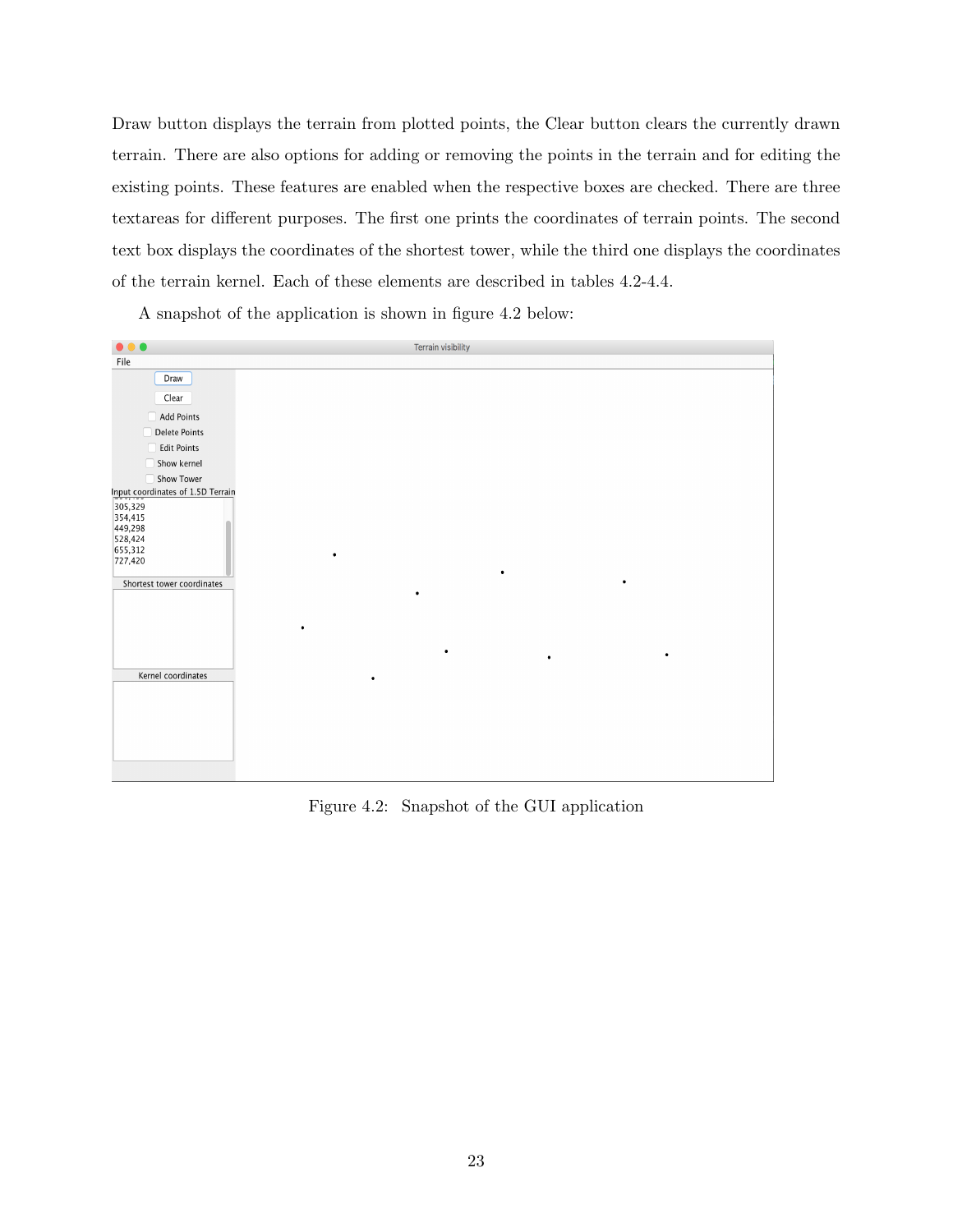Draw button displays the terrain from plotted points, the Clear button clears the currently drawn terrain. There are also options for adding or removing the points in the terrain and for editing the existing points. These features are enabled when the respective boxes are checked. There are three textareas for different purposes. The first one prints the coordinates of terrain points. The second text box displays the coordinates of the shortest tower, while the third one displays the coordinates of the terrain kernel. Each of these elements are described in tables 4.2-4.4.

A snapshot of the application is shown in figure 4.2 below:



Figure 4.2: Snapshot of the GUI application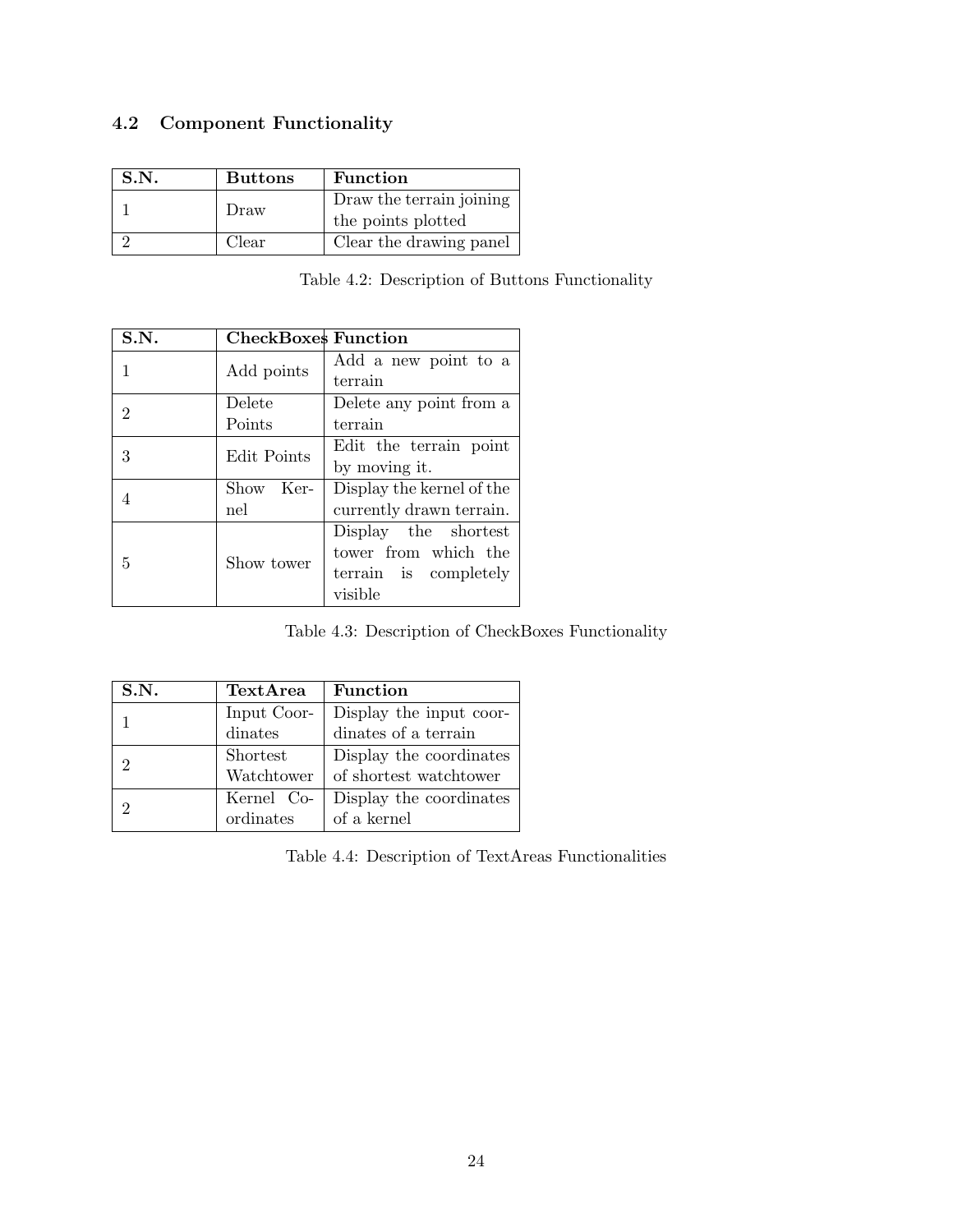### 4.2 Component Functionality

| S.N. | <b>Buttons</b> | <b>Function</b>          |
|------|----------------|--------------------------|
|      | Draw           | Draw the terrain joining |
|      |                | the points plotted       |
|      | Clear          | Clear the drawing panel  |

Table 4.2: Description of Buttons Functionality

| S.N. | <b>CheckBoxes Function</b> |                           |  |  |  |
|------|----------------------------|---------------------------|--|--|--|
| 1    | Add points                 | Add a new point to a      |  |  |  |
|      |                            | terrain                   |  |  |  |
| 2    | Delete                     | Delete any point from a   |  |  |  |
|      | Points                     | terrain                   |  |  |  |
| 3    | Edit Points                | Edit the terrain point    |  |  |  |
|      |                            | by moving it.             |  |  |  |
| 4    | Show Ker-                  | Display the kernel of the |  |  |  |
|      | nel                        | currently drawn terrain.  |  |  |  |
|      |                            | Display the shortest      |  |  |  |
| 5    | Show tower                 | tower from which the      |  |  |  |
|      |                            | terrain is completely     |  |  |  |
|      |                            | visible                   |  |  |  |

Table 4.3: Description of CheckBoxes Functionality

| S.N. | TextArea    | <b>Function</b>         |
|------|-------------|-------------------------|
|      | Input Coor- | Display the input coor- |
|      | dinates     | dinates of a terrain    |
| 9    | Shortest    | Display the coordinates |
|      | Watchtower  | of shortest watchtower  |
|      | Kernel Co-  | Display the coordinates |
|      | ordinates   | of a kernel             |

Table 4.4: Description of TextAreas Functionalities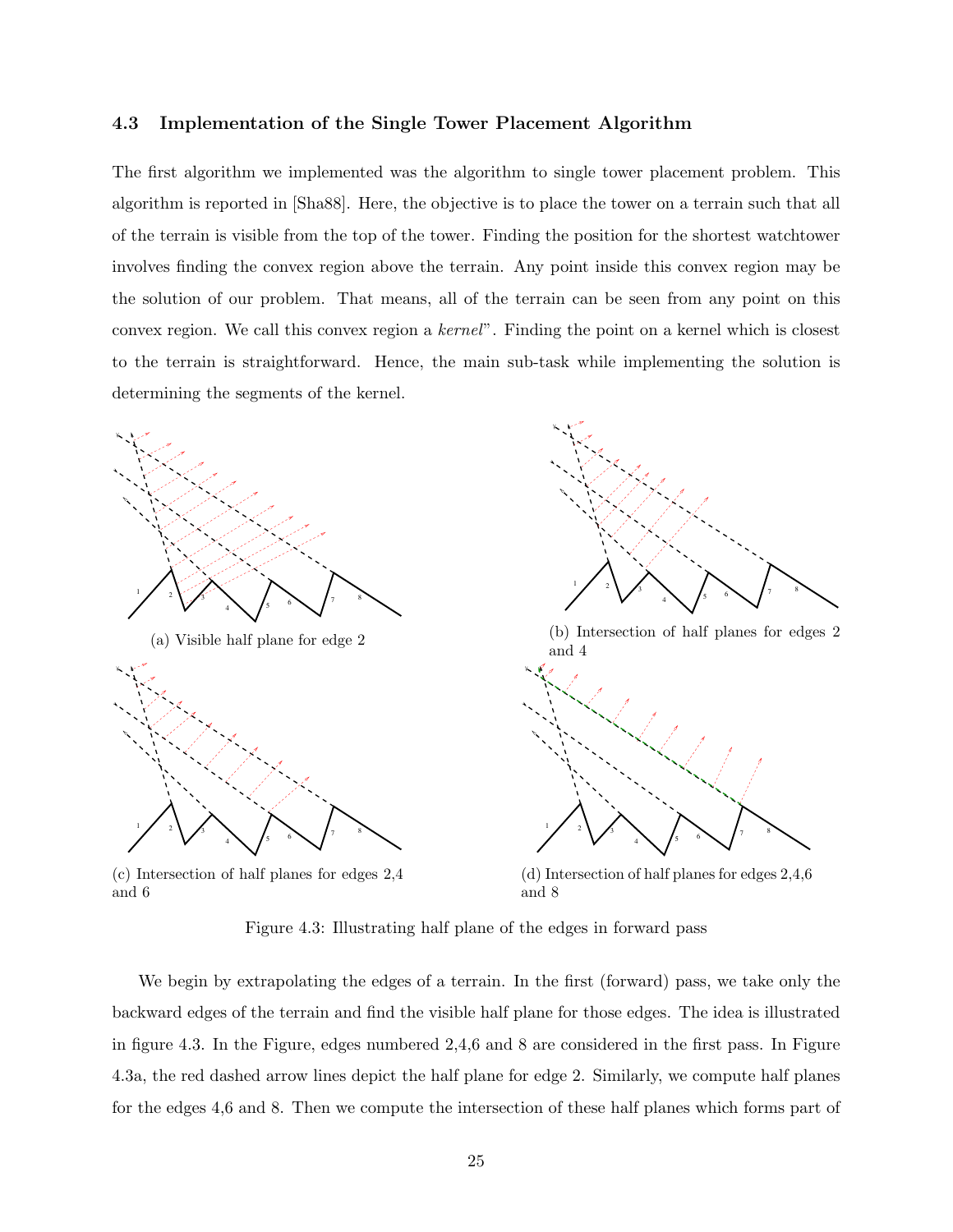#### 4.3 Implementation of the Single Tower Placement Algorithm

The first algorithm we implemented was the algorithm to single tower placement problem. This algorithm is reported in [Sha88]. Here, the objective is to place the tower on a terrain such that all of the terrain is visible from the top of the tower. Finding the position for the shortest watchtower involves finding the convex region above the terrain. Any point inside this convex region may be the solution of our problem. That means, all of the terrain can be seen from any point on this convex region. We call this convex region a kernel". Finding the point on a kernel which is closest to the terrain is straightforward. Hence, the main sub-task while implementing the solution is determining the segments of the kernel.



(c) Intersection of half planes for edges 2,4 and 6

(d) Intersection of half planes for edges 2,4,6 and 8

8

Figure 4.3: Illustrating half plane of the edges in forward pass

We begin by extrapolating the edges of a terrain. In the first (forward) pass, we take only the backward edges of the terrain and find the visible half plane for those edges. The idea is illustrated in figure 4.3. In the Figure, edges numbered 2,4,6 and 8 are considered in the first pass. In Figure 4.3a, the red dashed arrow lines depict the half plane for edge 2. Similarly, we compute half planes for the edges 4,6 and 8. Then we compute the intersection of these half planes which forms part of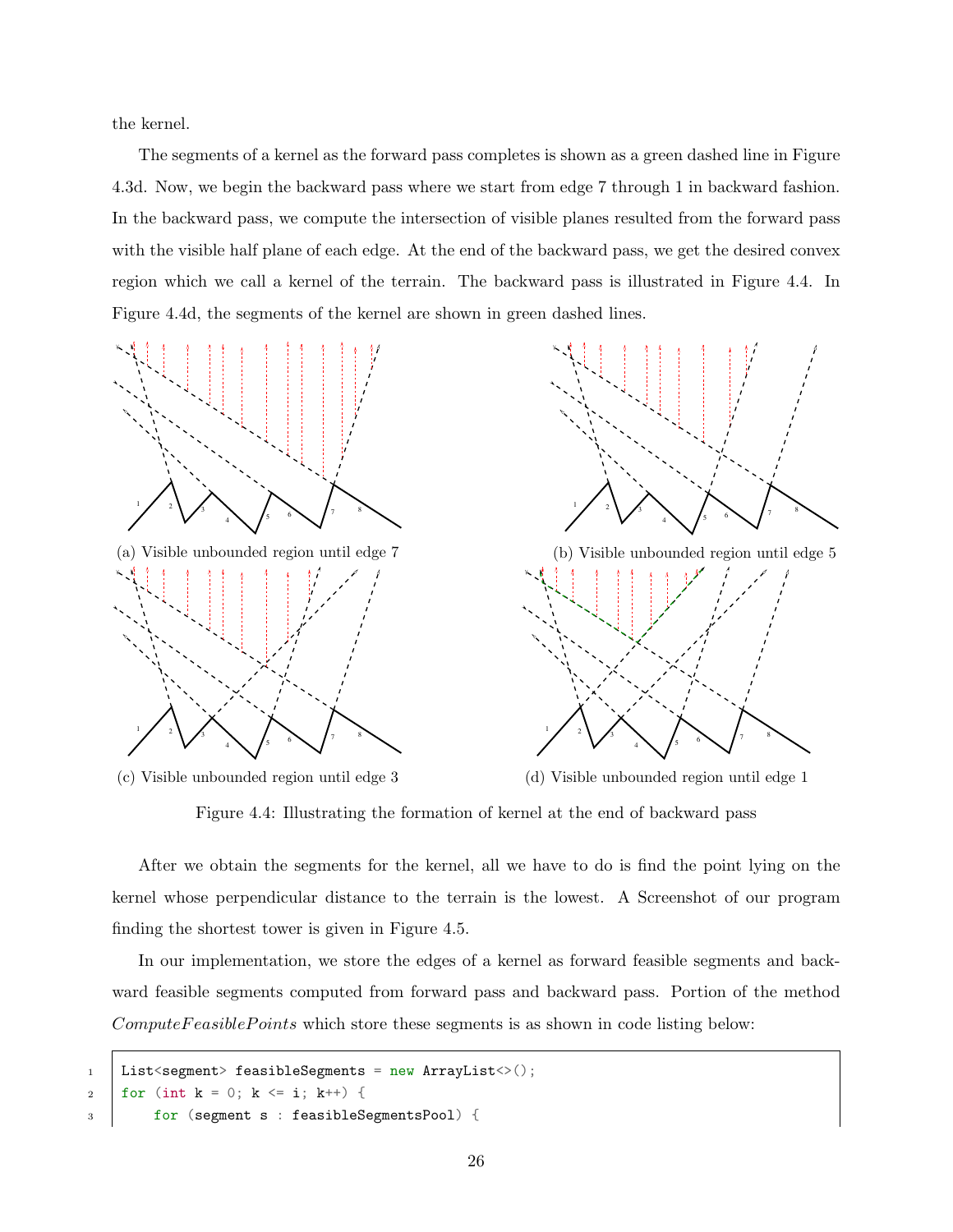the kernel.

The segments of a kernel as the forward pass completes is shown as a green dashed line in Figure 4.3d. Now, we begin the backward pass where we start from edge 7 through 1 in backward fashion. In the backward pass, we compute the intersection of visible planes resulted from the forward pass with the visible half plane of each edge. At the end of the backward pass, we get the desired convex region which we call a kernel of the terrain. The backward pass is illustrated in Figure 4.4. In Figure 4.4d, the segments of the kernel are shown in green dashed lines.







Figure 4.4: Illustrating the formation of kernel at the end of backward pass

After we obtain the segments for the kernel, all we have to do is find the point lying on the kernel whose perpendicular distance to the terrain is the lowest. A Screenshot of our program finding the shortest tower is given in Figure 4.5.

In our implementation, we store the edges of a kernel as forward feasible segments and backward feasible segments computed from forward pass and backward pass. Portion of the method  $ComputeFeasiblePoints$  which store these segments is as shown in code listing below:

```
1 | List<segment> feasibleSegments = new ArrayList<>();
2 | for (int k = 0; k \le i; k^{++}) {
3 for (segment s : feasibleSegmentsPool) {
```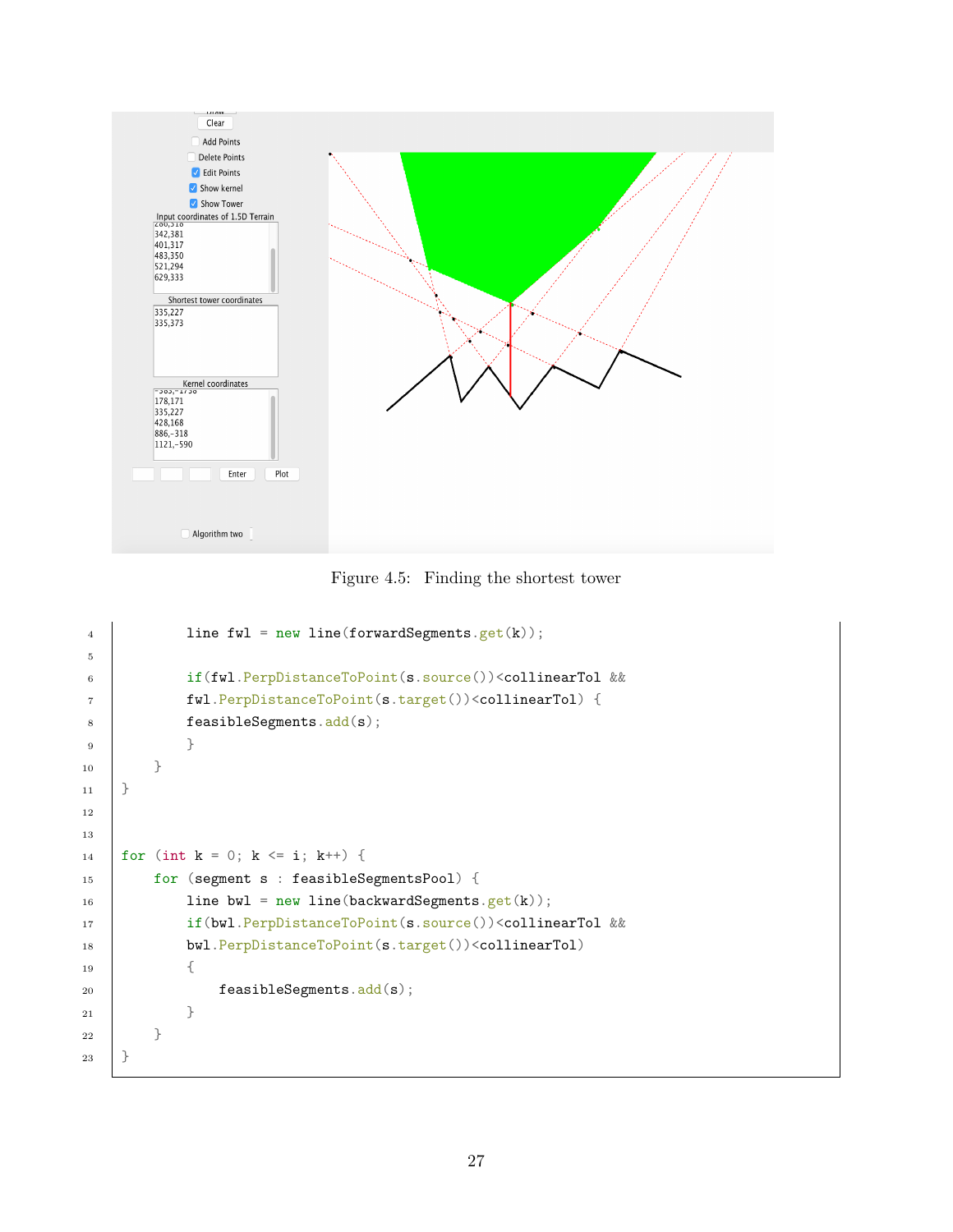

Figure 4.5: Finding the shortest tower

|               | line $fwl = new line (forward Segments.get(k));$                                  |
|---------------|-----------------------------------------------------------------------------------|
|               |                                                                                   |
|               | if(fwl.PerpDistanceToPoint(s.source()) <collineartol &&<="" th=""></collineartol> |
|               | fwl.PerpDistanceToPoint(s.target()) <collineartol) th="" {<=""></collineartol)>   |
|               | feasible Segments.add(s);                                                         |
|               | ł                                                                                 |
| $\mathcal{F}$ |                                                                                   |
| $\rightarrow$ |                                                                                   |
|               |                                                                                   |
|               |                                                                                   |
|               | for (int $k = 0$ ; $k \le i$ ; $k^{++}$ ) {                                       |
|               | for (segment s : feasibleSegmentsPool) {                                          |
|               | line bwl = $new$ line(backwardSegments.get(k));                                   |
|               | if(bwl.PerpDistanceToPoint(s.source()) <collineartol &&<="" th=""></collineartol> |
|               | bwl.PerpDistanceToPoint(s.target()) <collineartol)< th=""></collineartol)<>       |
|               | €                                                                                 |
|               | feasible Segments.add(s);                                                         |
|               | }                                                                                 |
| ł             |                                                                                   |
| ł             |                                                                                   |
|               |                                                                                   |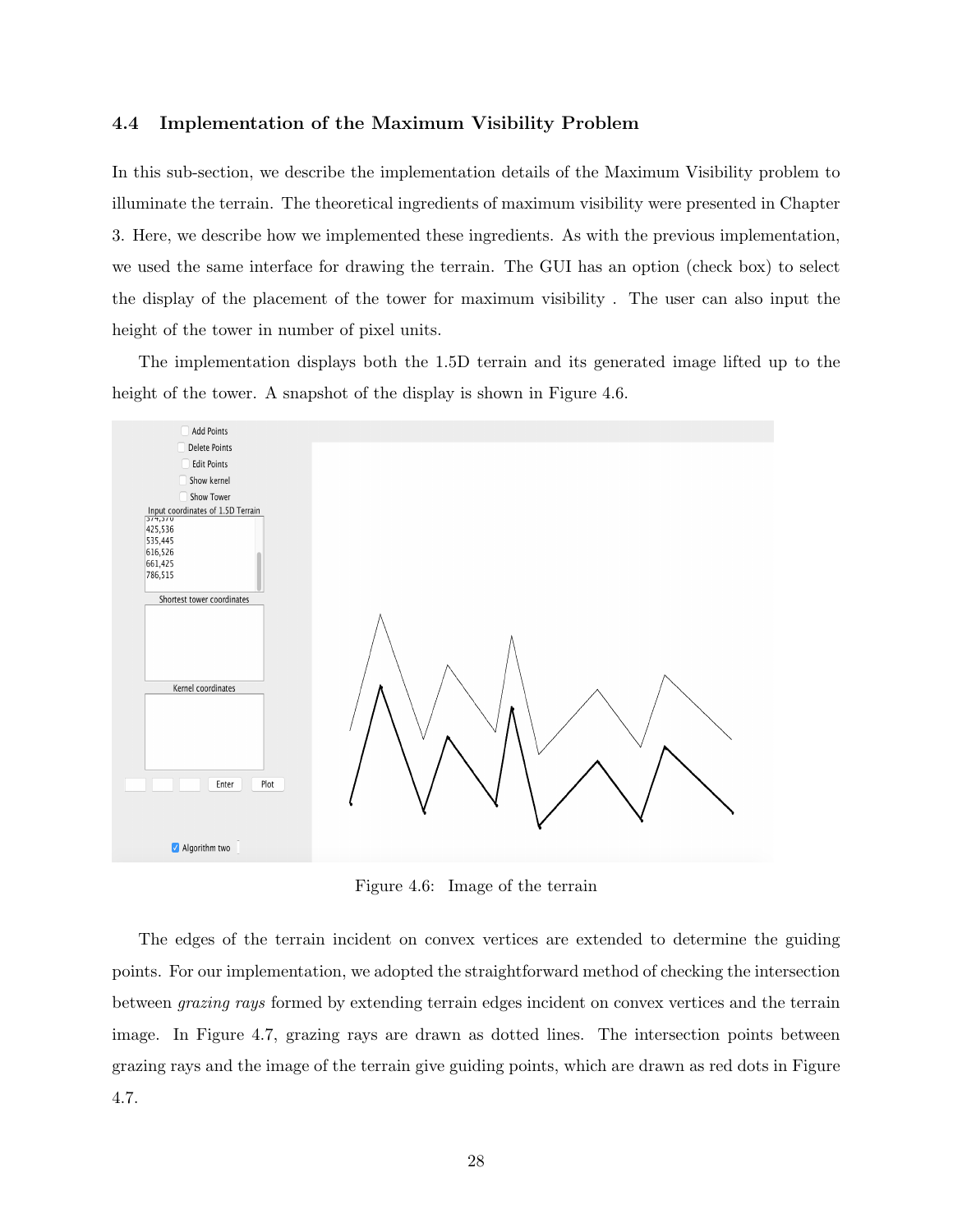#### 4.4 Implementation of the Maximum Visibility Problem

In this sub-section, we describe the implementation details of the Maximum Visibility problem to illuminate the terrain. The theoretical ingredients of maximum visibility were presented in Chapter 3. Here, we describe how we implemented these ingredients. As with the previous implementation, we used the same interface for drawing the terrain. The GUI has an option (check box) to select the display of the placement of the tower for maximum visibility . The user can also input the height of the tower in number of pixel units.

The implementation displays both the 1.5D terrain and its generated image lifted up to the height of the tower. A snapshot of the display is shown in Figure 4.6.



Figure 4.6: Image of the terrain

The edges of the terrain incident on convex vertices are extended to determine the guiding points. For our implementation, we adopted the straightforward method of checking the intersection between grazing rays formed by extending terrain edges incident on convex vertices and the terrain image. In Figure 4.7, grazing rays are drawn as dotted lines. The intersection points between grazing rays and the image of the terrain give guiding points, which are drawn as red dots in Figure 4.7.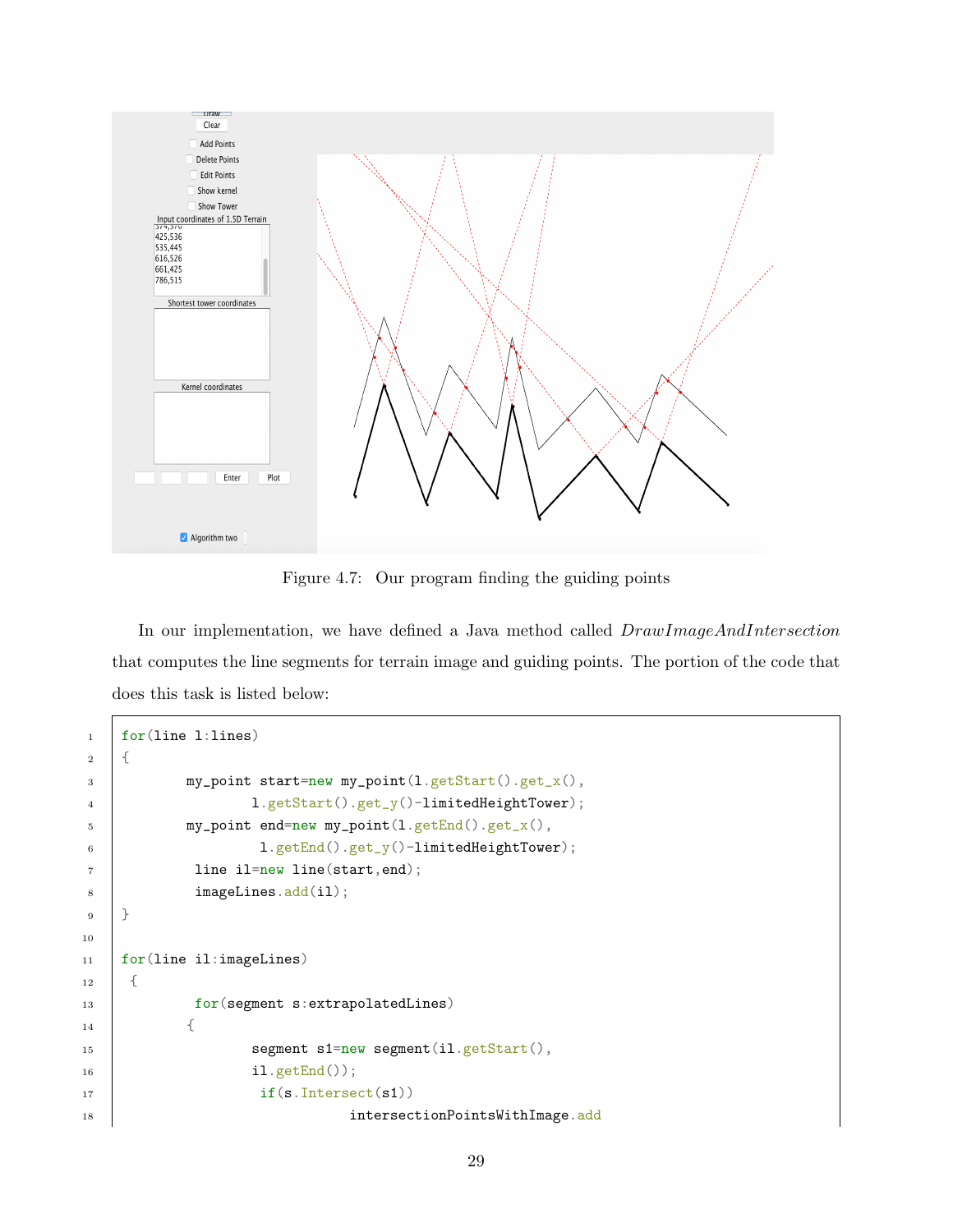

Figure 4.7: Our program finding the guiding points

In our implementation, we have defined a Java method called  $DrawImageAndIntersection$ that computes the line segments for terrain image and guiding points. The portion of the code that does this task is listed below:

```
1 for(line l:lines)
2 \mid \{3 my_point start=new my_point(l.getStart().get_x(),
4 <br> 1.getStart().get_y()-limitedHeightTower);
5 my_point end=new my_point(l.getEnd().get_x(),
6 <br>1.getEnd().get_y()-limitedHeightTower);
7 line il=new line(start, end);
8 imageLines.add(il);
9 }
10
11 for(line il:imageLines)
12 \mid \in \{13 for(segment s:extrapolatedLines)
14 {
15 segment s1=new segment(il.getStart(),
16 il.getEnd());
17 if(s.Intersect(s1))
18 intersectionPointsWithImage.add
```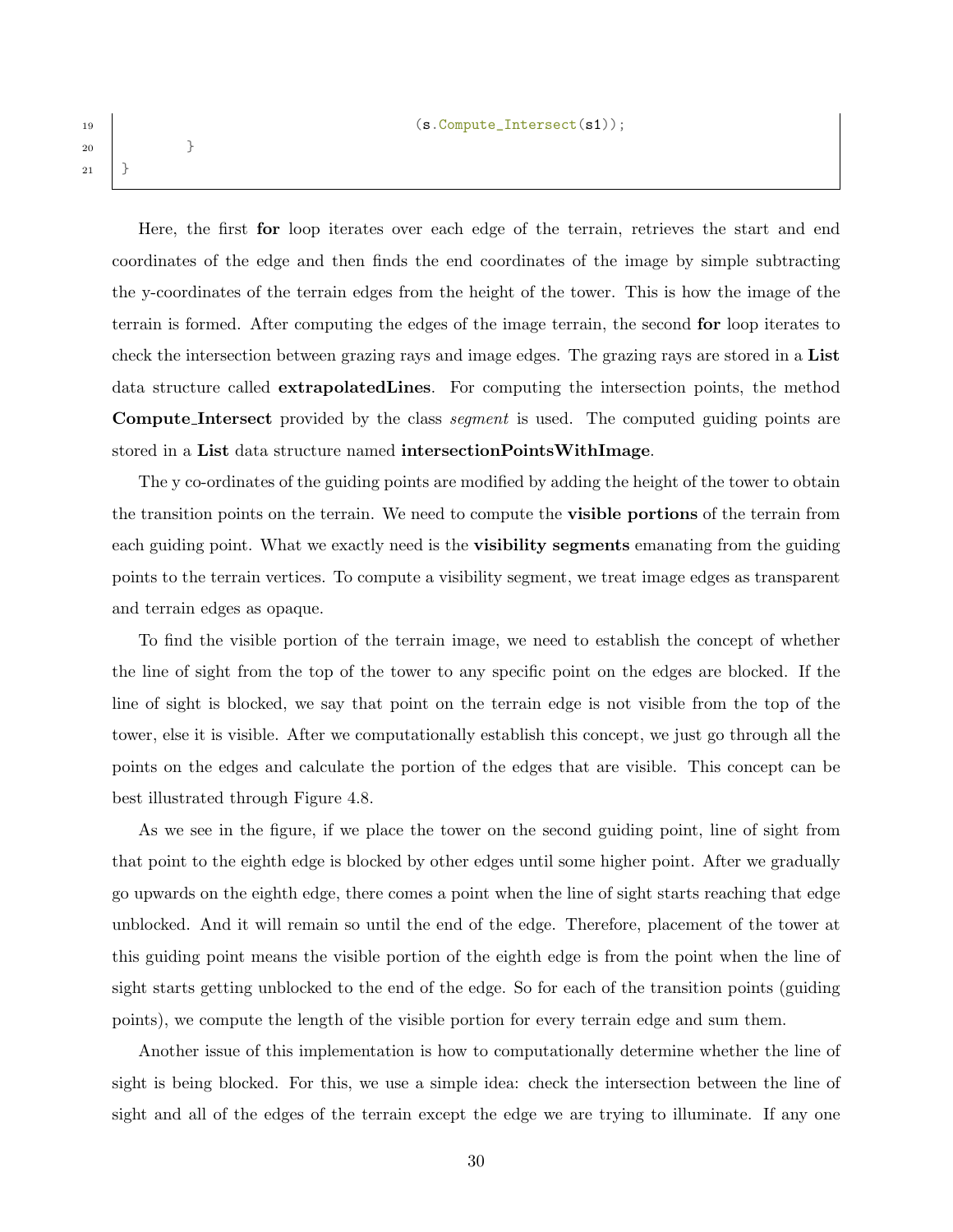19 (s. Compute\_Intersect(s1));

<sup>20</sup> } <sup>21</sup> }

> Here, the first for loop iterates over each edge of the terrain, retrieves the start and end coordinates of the edge and then finds the end coordinates of the image by simple subtracting the y-coordinates of the terrain edges from the height of the tower. This is how the image of the terrain is formed. After computing the edges of the image terrain, the second for loop iterates to check the intersection between grazing rays and image edges. The grazing rays are stored in a List data structure called extrapolatedLines. For computing the intersection points, the method Compute Intersect provided by the class segment is used. The computed guiding points are stored in a List data structure named intersectionPointsWithImage.

> The y co-ordinates of the guiding points are modified by adding the height of the tower to obtain the transition points on the terrain. We need to compute the visible portions of the terrain from each guiding point. What we exactly need is the **visibility segments** emanating from the guiding points to the terrain vertices. To compute a visibility segment, we treat image edges as transparent and terrain edges as opaque.

> To find the visible portion of the terrain image, we need to establish the concept of whether the line of sight from the top of the tower to any specific point on the edges are blocked. If the line of sight is blocked, we say that point on the terrain edge is not visible from the top of the tower, else it is visible. After we computationally establish this concept, we just go through all the points on the edges and calculate the portion of the edges that are visible. This concept can be best illustrated through Figure 4.8.

> As we see in the figure, if we place the tower on the second guiding point, line of sight from that point to the eighth edge is blocked by other edges until some higher point. After we gradually go upwards on the eighth edge, there comes a point when the line of sight starts reaching that edge unblocked. And it will remain so until the end of the edge. Therefore, placement of the tower at this guiding point means the visible portion of the eighth edge is from the point when the line of sight starts getting unblocked to the end of the edge. So for each of the transition points (guiding points), we compute the length of the visible portion for every terrain edge and sum them.

> Another issue of this implementation is how to computationally determine whether the line of sight is being blocked. For this, we use a simple idea: check the intersection between the line of sight and all of the edges of the terrain except the edge we are trying to illuminate. If any one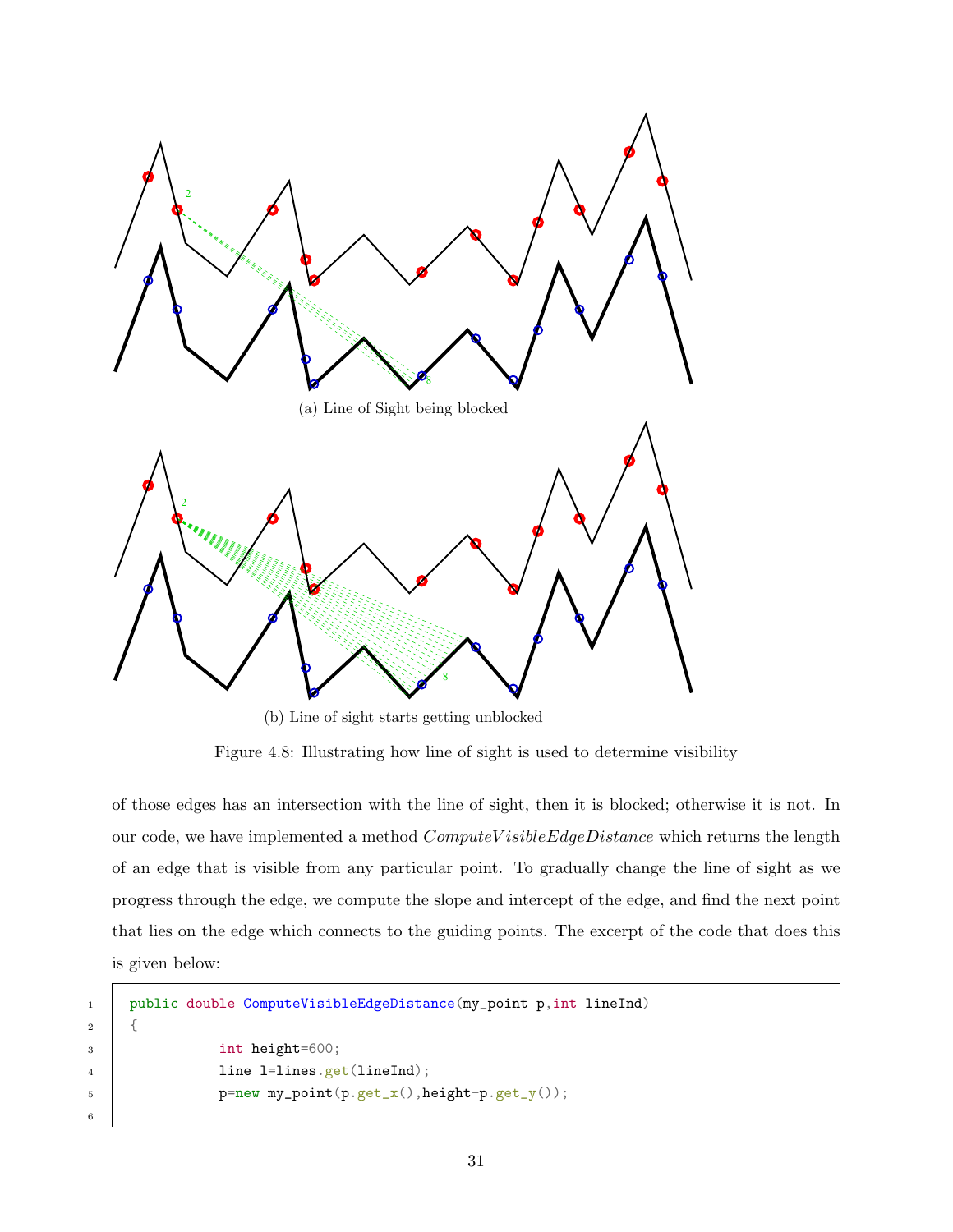

(b) Line of sight starts getting unblocked

Figure 4.8: Illustrating how line of sight is used to determine visibility

of those edges has an intersection with the line of sight, then it is blocked; otherwise it is not. In our code, we have implemented a method  $ComputeVisibleEdgeDistance$  which returns the length of an edge that is visible from any particular point. To gradually change the line of sight as we progress through the edge, we compute the slope and intercept of the edge, and find the next point that lies on the edge which connects to the guiding points. The excerpt of the code that does this is given below:

```
1 public double ComputeVisibleEdgeDistance(my_point p,int lineInd)
2 \mid \in \mathcal{E}3 int height=600;
4 | line l=lines.get(lineInd);
5 p=new my_point(p.get_x(),height-p.get_y());
```
6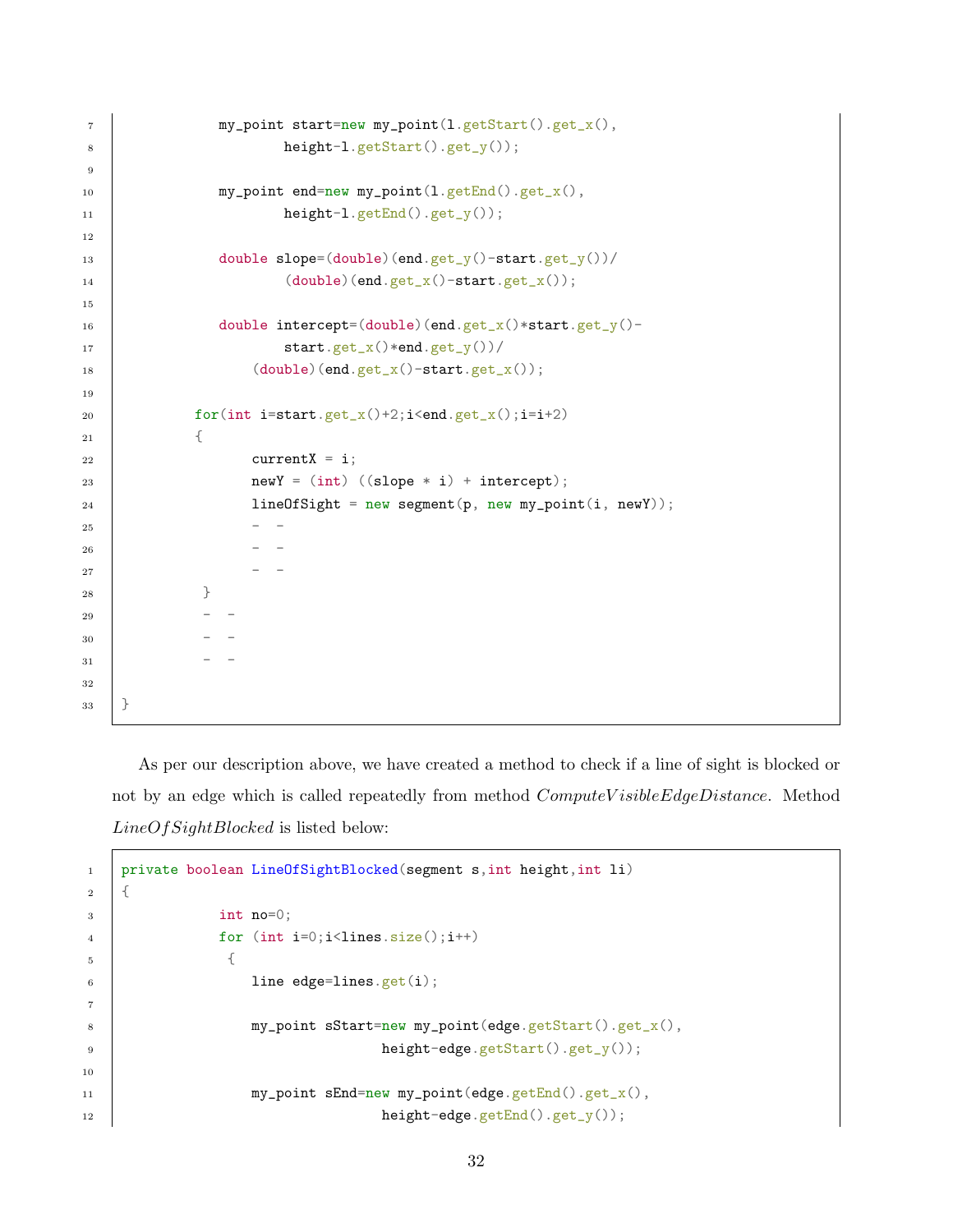```
7 | my_point start=new my_point(l.getStart().get_x(),
8 height-l.getStart().get_y());
9
10 my_point end=new my_point(l.getEnd().get_x(),
11 height-l.getEnd().get_y());
12
13 double slope=(double)(end.get_y()-start.get_y())/
14 (double)(end.get_x()-start.get_x());
15
16 double intercept=(double)(end.get_x()*start.get_y()-
17 | start.get_x()*end.get_y())/
18 (double)(end.get_x()-start.get_x());
19
20 for(int i=start.get_x()+2;i<end.get_x();i=i+2)
21 {
22 current X = i;
23 newY = (int) ((slope * i) + intercept);24 lineOfSight = new segment(p, new my_point(i, newY));
25 - -
26 - -
27 -
28 }
29 - -
30 - -31 - -
32
33 }
```
As per our description above, we have created a method to check if a line of sight is blocked or not by an edge which is called repeatedly from method *ComputeV isibleEdgeDistance*. Method LineOfSightBlocked is listed below:

```
1 private boolean LineOfSightBlocked(segment s,int height,int li)
2 \mid \{3 int no=0;
4 for (int i=0; i<1ines.size(); i++)\frac{1}{5} \frac{1}{5}6 \qquad line edge=lines.get(i);
7
8 my_point sStart=new my_point(edge.getStart().get_x(),
9 height-edge.getStart().get_y());
10
11 my_point sEnd=new my_point(edge.getEnd().get_x(),
12 height-edge.getEnd().get_y());
```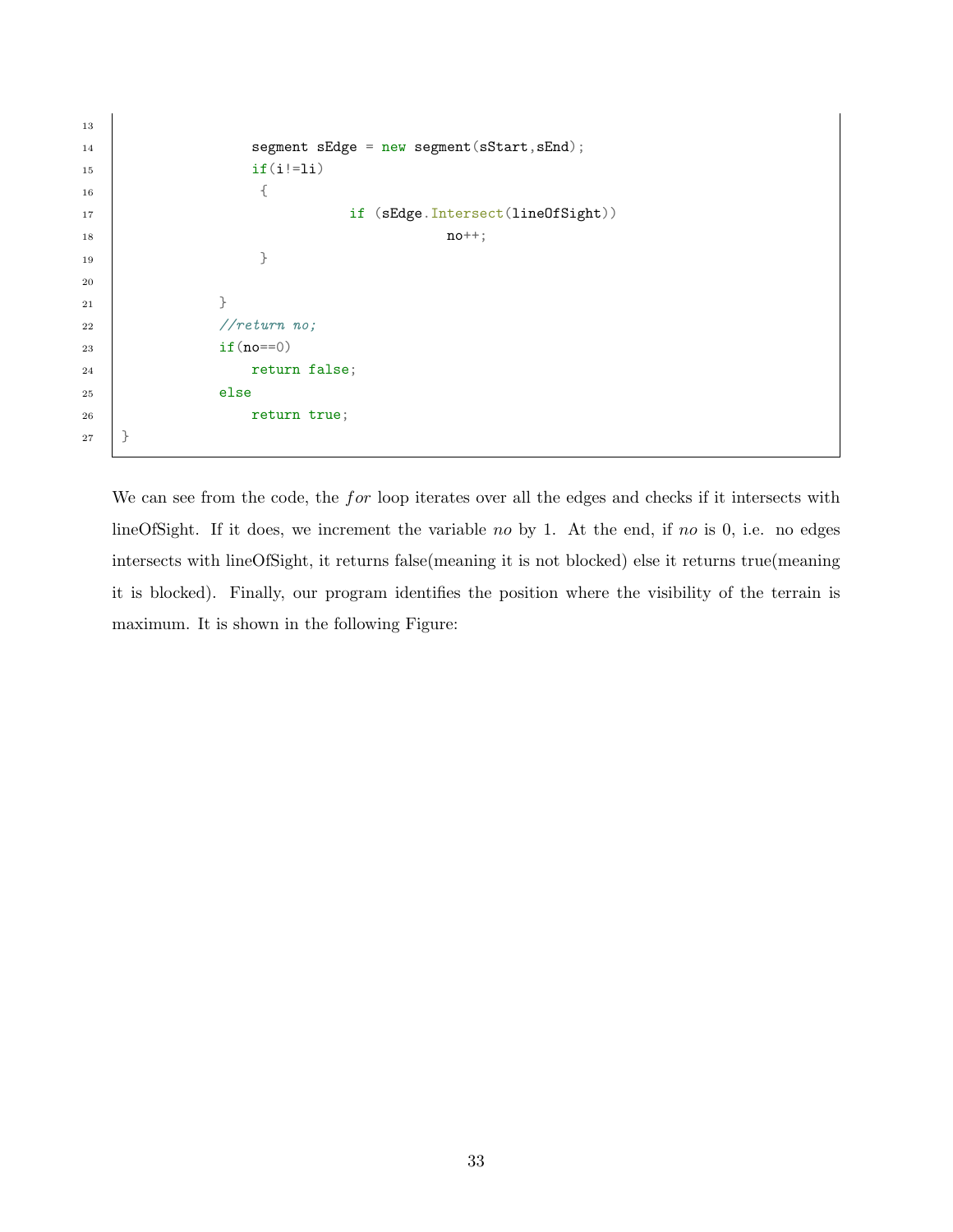```
13
14 | segment sEdge = new segment (sStart, sEnd);
15 if(i!=li)
16 \{17 if (sEdge.Intersect(lineOfSight))
18 \t \cdot n0^{++};
19 }
20
21 }
22 //return no;
23 if(no==0)
24 return false;
25 else
26 return true;
27 }
```
We can see from the code, the *for* loop iterates over all the edges and checks if it intersects with lineOfSight. If it does, we increment the variable no by 1. At the end, if no is 0, i.e. no edges intersects with lineOfSight, it returns false(meaning it is not blocked) else it returns true(meaning it is blocked). Finally, our program identifies the position where the visibility of the terrain is maximum. It is shown in the following Figure: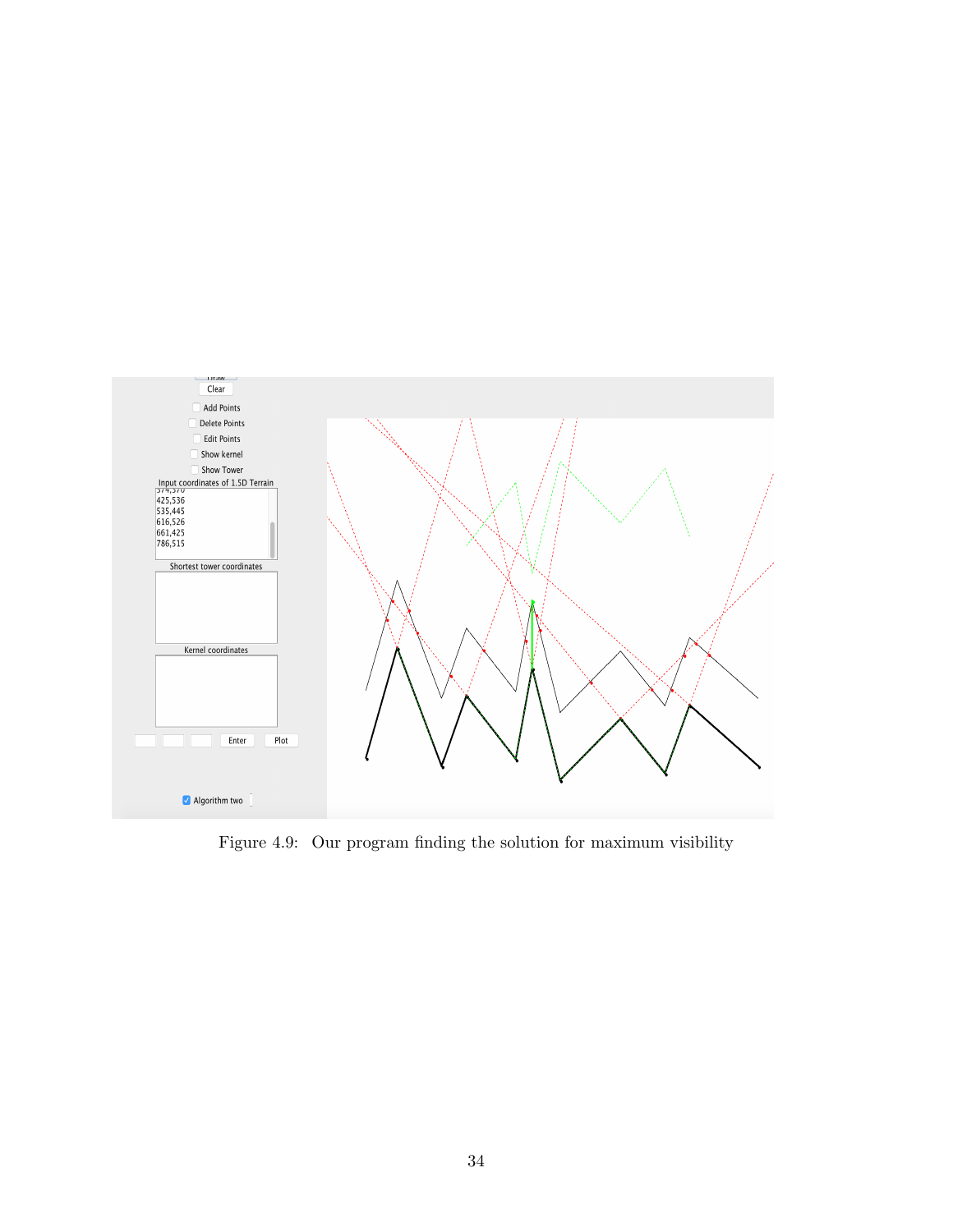

Figure 4.9: Our program finding the solution for maximum visibility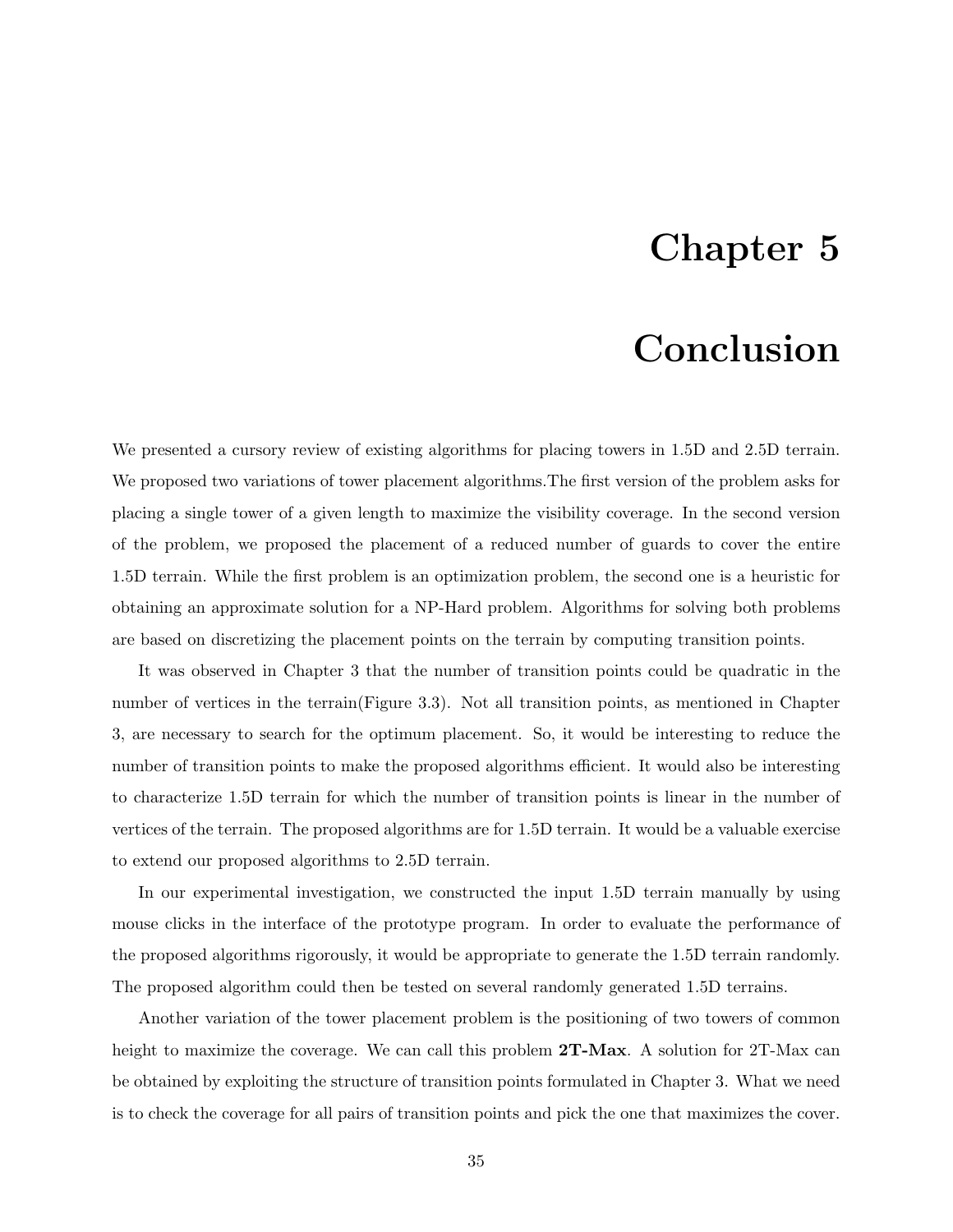### Chapter 5

### Conclusion

We presented a cursory review of existing algorithms for placing towers in 1.5D and 2.5D terrain. We proposed two variations of tower placement algorithms.The first version of the problem asks for placing a single tower of a given length to maximize the visibility coverage. In the second version of the problem, we proposed the placement of a reduced number of guards to cover the entire 1.5D terrain. While the first problem is an optimization problem, the second one is a heuristic for obtaining an approximate solution for a NP-Hard problem. Algorithms for solving both problems are based on discretizing the placement points on the terrain by computing transition points.

It was observed in Chapter 3 that the number of transition points could be quadratic in the number of vertices in the terrain(Figure 3.3). Not all transition points, as mentioned in Chapter 3, are necessary to search for the optimum placement. So, it would be interesting to reduce the number of transition points to make the proposed algorithms efficient. It would also be interesting to characterize 1.5D terrain for which the number of transition points is linear in the number of vertices of the terrain. The proposed algorithms are for 1.5D terrain. It would be a valuable exercise to extend our proposed algorithms to 2.5D terrain.

In our experimental investigation, we constructed the input 1.5D terrain manually by using mouse clicks in the interface of the prototype program. In order to evaluate the performance of the proposed algorithms rigorously, it would be appropriate to generate the 1.5D terrain randomly. The proposed algorithm could then be tested on several randomly generated 1.5D terrains.

Another variation of the tower placement problem is the positioning of two towers of common height to maximize the coverage. We can call this problem **2T-Max**. A solution for 2T-Max can be obtained by exploiting the structure of transition points formulated in Chapter 3. What we need is to check the coverage for all pairs of transition points and pick the one that maximizes the cover.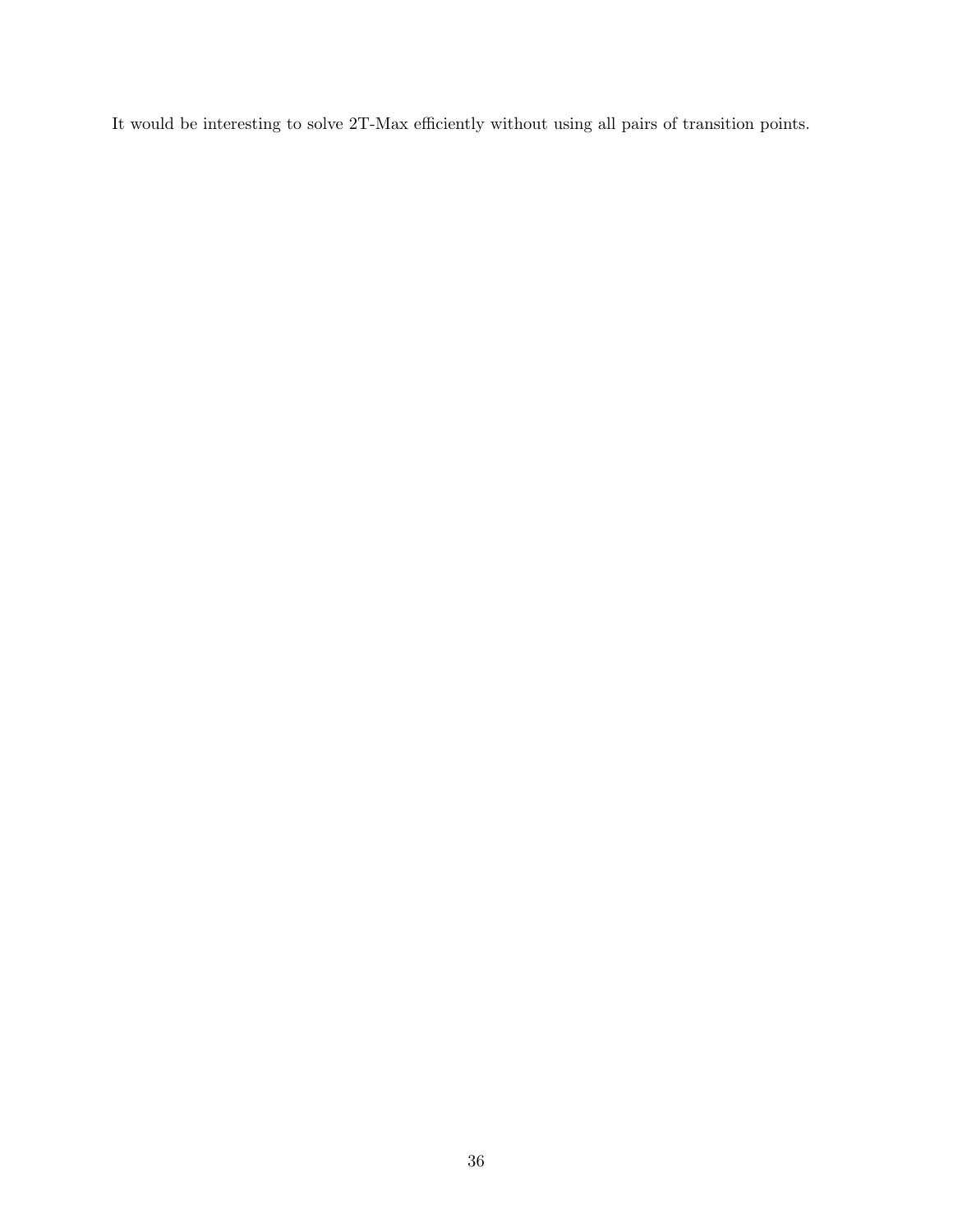It would be interesting to solve 2T-Max efficiently without using all pairs of transition points.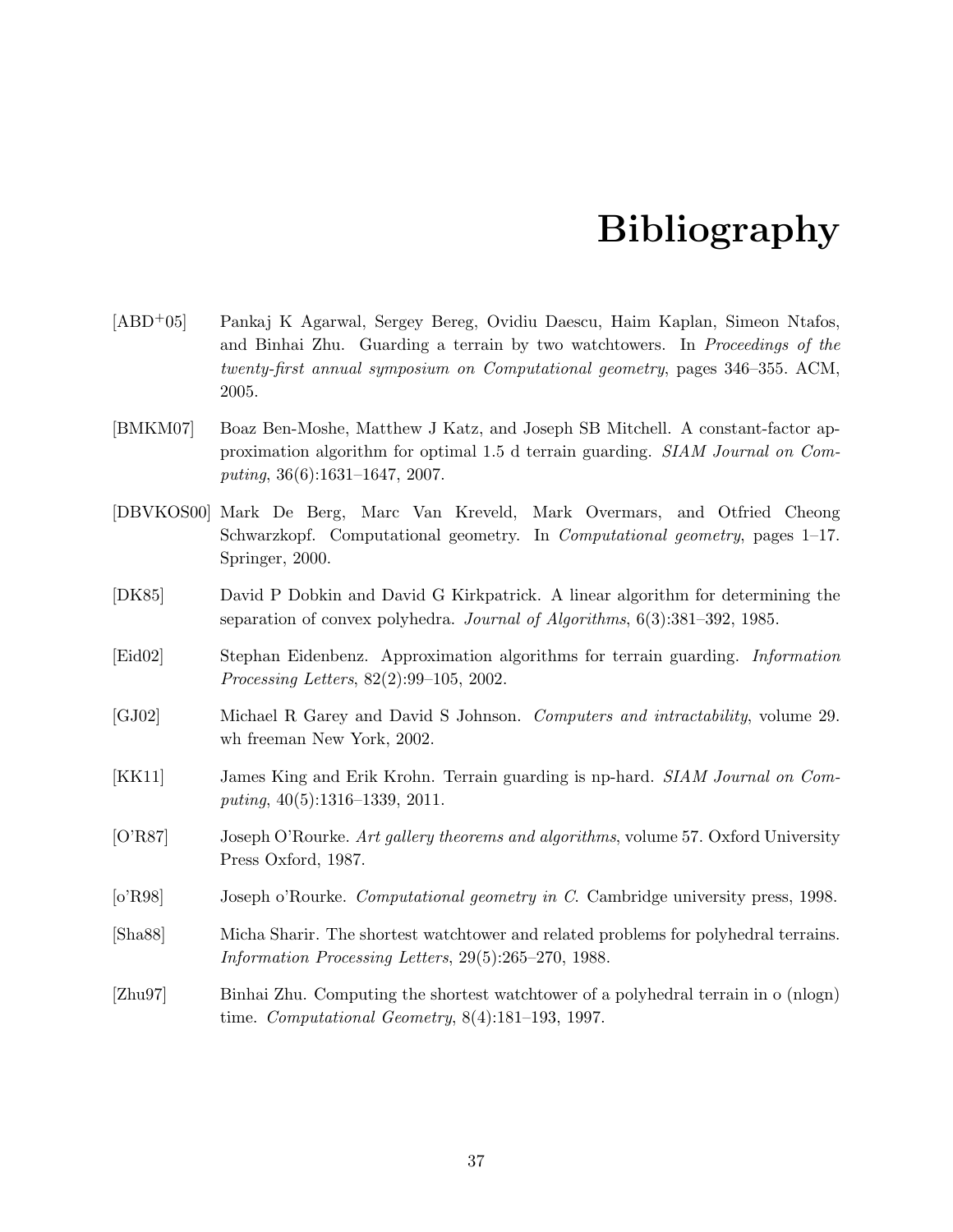### Bibliography

- [ABD+05] Pankaj K Agarwal, Sergey Bereg, Ovidiu Daescu, Haim Kaplan, Simeon Ntafos, and Binhai Zhu. Guarding a terrain by two watchtowers. In Proceedings of the twenty-first annual symposium on Computational geometry, pages 346–355. ACM, 2005.
- [BMKM07] Boaz Ben-Moshe, Matthew J Katz, and Joseph SB Mitchell. A constant-factor approximation algorithm for optimal 1.5 d terrain guarding. SIAM Journal on Computing, 36(6):1631–1647, 2007.
- [DBVKOS00] Mark De Berg, Marc Van Kreveld, Mark Overmars, and Otfried Cheong Schwarzkopf. Computational geometry. In Computational geometry, pages 1–17. Springer, 2000.
- [DK85] David P Dobkin and David G Kirkpatrick. A linear algorithm for determining the separation of convex polyhedra. Journal of Algorithms, 6(3):381–392, 1985.
- [Eid02] Stephan Eidenbenz. Approximation algorithms for terrain guarding. Information Processing Letters, 82(2):99–105, 2002.
- [GJ02] Michael R Garey and David S Johnson. Computers and intractability, volume 29. wh freeman New York, 2002.
- [KK11] James King and Erik Krohn. Terrain guarding is np-hard. SIAM Journal on Computing, 40(5):1316–1339, 2011.
- [O'R87] Joseph O'Rourke. Art gallery theorems and algorithms, volume 57. Oxford University Press Oxford, 1987.
- [o'R98] Joseph o'Rourke. *Computational geometry in C*. Cambridge university press, 1998.
- [Sha88] Micha Sharir. The shortest watchtower and related problems for polyhedral terrains. Information Processing Letters, 29(5):265–270, 1988.
- [Zhu97] Binhai Zhu. Computing the shortest watchtower of a polyhedral terrain in o (nlogn) time. Computational Geometry, 8(4):181–193, 1997.